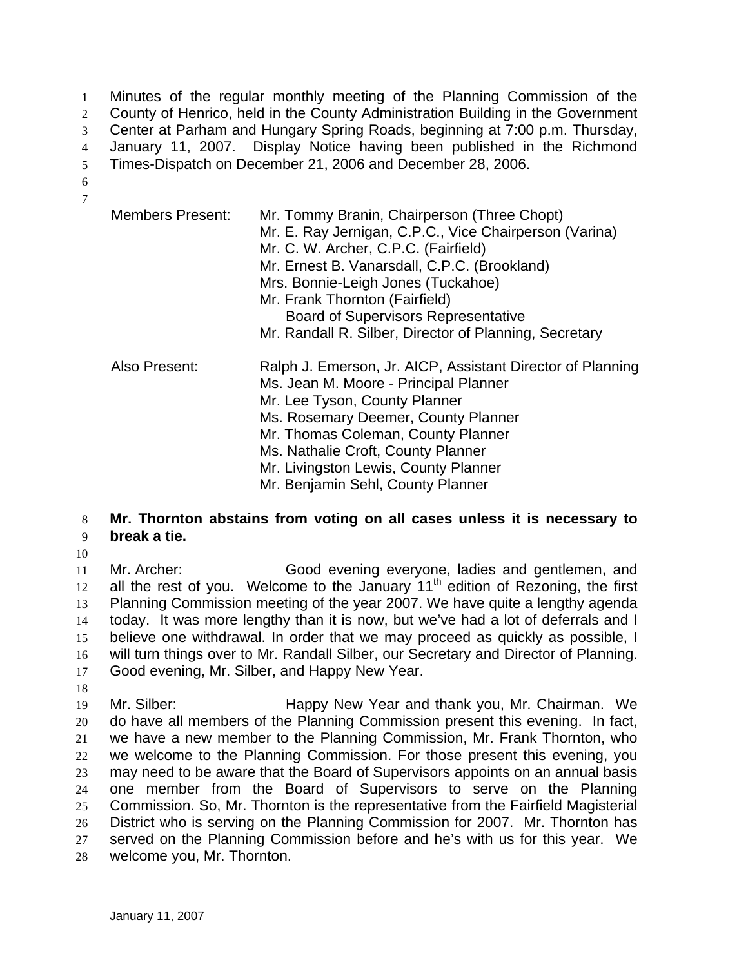Minutes of the regular monthly meeting of the Planning Commission of the County of Henrico, held in the County Administration Building in the Government Center at Parham and Hungary Spring Roads, beginning at 7:00 p.m. Thursday, January 11, 2007. Display Notice having been published in the Richmond Times-Dispatch on December 21, 2006 and December 28, 2006. 1  $\mathcal{L}$ 3 4 5

6 7

| <b>Members Present:</b> | Mr. Tommy Branin, Chairperson (Three Chopt)<br>Mr. E. Ray Jernigan, C.P.C., Vice Chairperson (Varina)<br>Mr. C. W. Archer, C.P.C. (Fairfield)<br>Mr. Ernest B. Vanarsdall, C.P.C. (Brookland)<br>Mrs. Bonnie-Leigh Jones (Tuckahoe)<br>Mr. Frank Thornton (Fairfield)<br><b>Board of Supervisors Representative</b><br>Mr. Randall R. Silber, Director of Planning, Secretary |
|-------------------------|-------------------------------------------------------------------------------------------------------------------------------------------------------------------------------------------------------------------------------------------------------------------------------------------------------------------------------------------------------------------------------|
| Also Present:           | Ralph J. Emerson, Jr. AICP, Assistant Director of Planning<br>Ms. Jean M. Moore - Principal Planner<br>Mr. Lee Tyson, County Planner<br>Ms. Rosemary Deemer, County Planner<br>Mr. Thomas Coleman, County Planner<br>Ms. Nathalie Croft, County Planner<br>Mr. Livingston Lewis, County Planner<br>Mr. Benjamin Sehl, County Planner                                          |

## 8 9 **Mr. Thornton abstains from voting on all cases unless it is necessary to break a tie.**

10

11 12 13 14 15 16 17 Mr. Archer: Good evening everyone, ladies and gentlemen, and all the rest of you. Welcome to the January  $11<sup>th</sup>$  edition of Rezoning, the first Planning Commission meeting of the year 2007. We have quite a lengthy agenda today. It was more lengthy than it is now, but we've had a lot of deferrals and I believe one withdrawal. In order that we may proceed as quickly as possible, I will turn things over to Mr. Randall Silber, our Secretary and Director of Planning. Good evening, Mr. Silber, and Happy New Year.

18

19 20 21 22 23 24 25 26 27 28 Mr. Silber: Happy New Year and thank you, Mr. Chairman. We do have all members of the Planning Commission present this evening. In fact, we have a new member to the Planning Commission, Mr. Frank Thornton, who we welcome to the Planning Commission. For those present this evening, you may need to be aware that the Board of Supervisors appoints on an annual basis one member from the Board of Supervisors to serve on the Planning Commission. So, Mr. Thornton is the representative from the Fairfield Magisterial District who is serving on the Planning Commission for 2007. Mr. Thornton has served on the Planning Commission before and he's with us for this year. We welcome you, Mr. Thornton.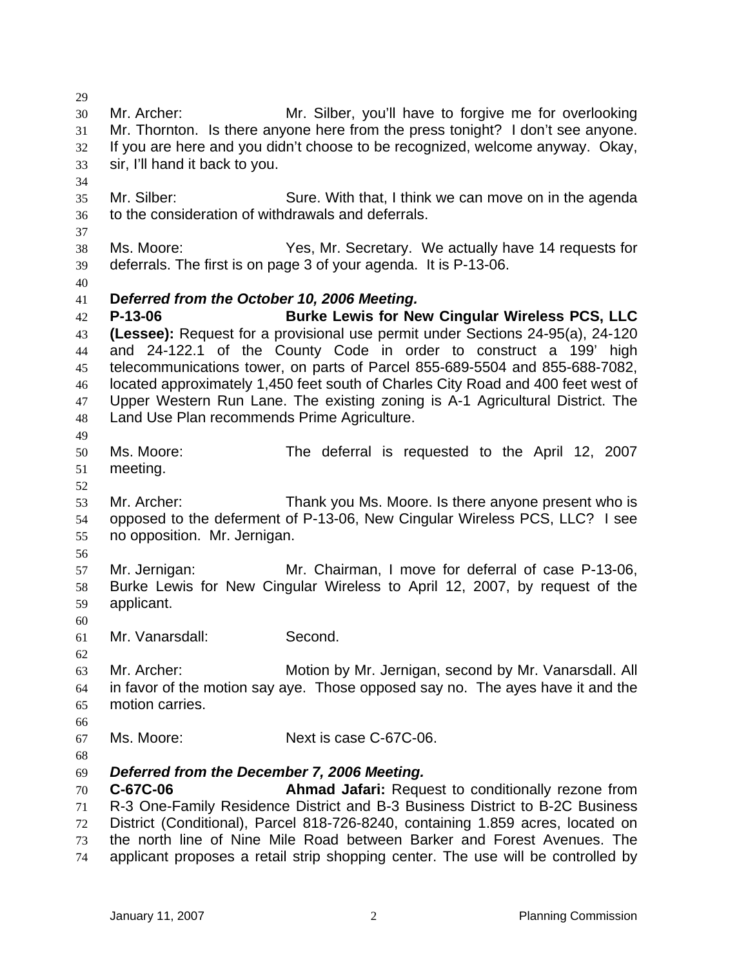29 30 31 32 33 34 35 36 37 38 39 40 41 42 43 44 45 46 47 48 49 50 51 52 53 54 55 56 57 58 59 60 61 62 63 64 65 66 67 68 69 70 71 72 73 74 Mr. Archer: Mr. Silber, you'll have to forgive me for overlooking Mr. Thornton. Is there anyone here from the press tonight? I don't see anyone. If you are here and you didn't choose to be recognized, welcome anyway. Okay, sir, I'll hand it back to you. Mr. Silber: Sure. With that, I think we can move on in the agenda to the consideration of withdrawals and deferrals. Ms. Moore: Yes, Mr. Secretary. We actually have 14 requests for deferrals. The first is on page 3 of your agenda. It is P-13-06. **D***eferred from the October 10, 2006 Meeting.*  **P-13-06 Burke Lewis for New Cingular Wireless PCS, LLC (Lessee):** Request for a provisional use permit under Sections 24-95(a), 24-120 and 24-122.1 of the County Code in order to construct a 199' high telecommunications tower, on parts of Parcel 855-689-5504 and 855-688-7082, located approximately 1,450 feet south of Charles City Road and 400 feet west of Upper Western Run Lane. The existing zoning is A-1 Agricultural District. The Land Use Plan recommends Prime Agriculture. Ms. Moore: The deferral is requested to the April 12, 2007 meeting. Mr. Archer: Thank you Ms. Moore. Is there anyone present who is opposed to the deferment of P-13-06, New Cingular Wireless PCS, LLC? I see no opposition. Mr. Jernigan. Mr. Jernigan: Mr. Chairman, I move for deferral of case P-13-06, Burke Lewis for New Cingular Wireless to April 12, 2007, by request of the applicant. Mr. Vanarsdall: Second. Mr. Archer: Motion by Mr. Jernigan, second by Mr. Vanarsdall. All in favor of the motion say aye. Those opposed say no. The ayes have it and the motion carries. Ms. Moore: Next is case C-67C-06. *Deferred from the December 7, 2006 Meeting.*  **C-67C-06 Ahmad Jafari:** Request to conditionally rezone from R-3 One-Family Residence District and B-3 Business District to B-2C Business District (Conditional), Parcel 818-726-8240, containing 1.859 acres, located on the north line of Nine Mile Road between Barker and Forest Avenues. The applicant proposes a retail strip shopping center. The use will be controlled by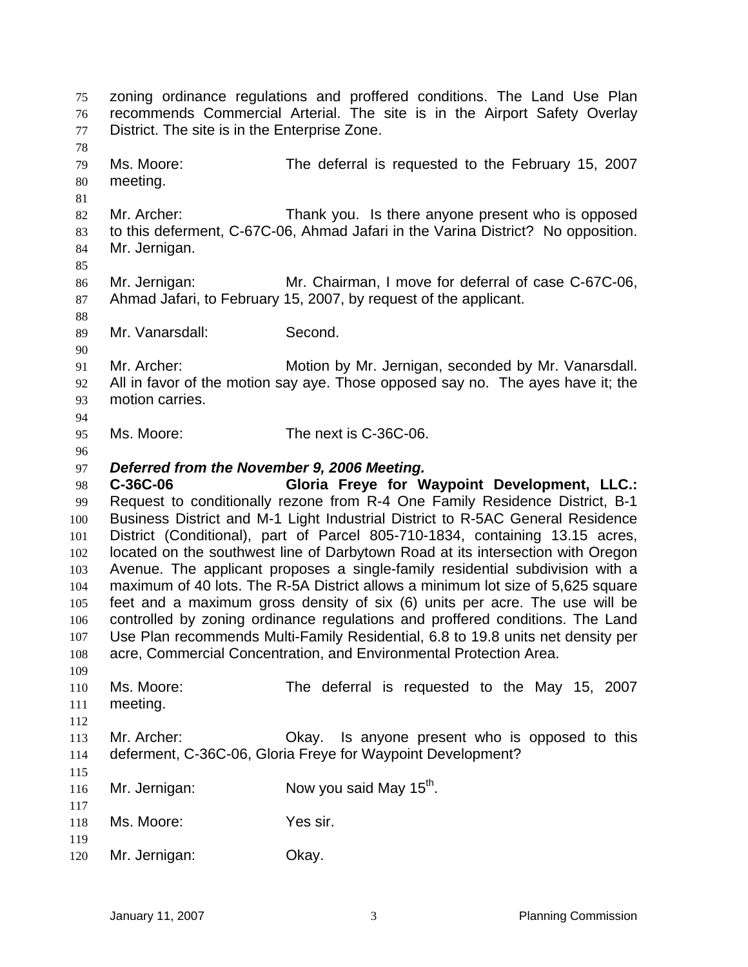zoning ordinance regulations and proffered conditions. The Land Use Plan recommends Commercial Arterial. The site is in the Airport Safety Overlay District. The site is in the Enterprise Zone. 75 76 77 78 79 80 81 82 83 84 85 86 87 88 89 90 91 92 93 94 95 96 97 98 99 100 101 102 103 104 105 106 107 108 109 110 111 112 113 114 115 116 117 118 119 120 Ms. Moore: The deferral is requested to the February 15, 2007 meeting. Mr. Archer: Thank you. Is there anyone present who is opposed to this deferment, C-67C-06, Ahmad Jafari in the Varina District? No opposition. Mr. Jernigan. Mr. Jernigan: Mr. Chairman, I move for deferral of case C-67C-06, Ahmad Jafari, to February 15, 2007, by request of the applicant. Mr. Vanarsdall: Second. Mr. Archer: Motion by Mr. Jernigan, seconded by Mr. Vanarsdall. All in favor of the motion say aye. Those opposed say no. The ayes have it; the motion carries. Ms. Moore: The next is C-36C-06. *Deferred from the November 9, 2006 Meeting.*  **C-36C-06 Gloria Freye for Waypoint Development, LLC.:** Request to conditionally rezone from R-4 One Family Residence District, B-1 Business District and M-1 Light Industrial District to R-5AC General Residence District (Conditional), part of Parcel 805-710-1834, containing 13.15 acres, located on the southwest line of Darbytown Road at its intersection with Oregon Avenue. The applicant proposes a single-family residential subdivision with a maximum of 40 lots. The R-5A District allows a minimum lot size of 5,625 square feet and a maximum gross density of six (6) units per acre. The use will be controlled by zoning ordinance regulations and proffered conditions. The Land Use Plan recommends Multi-Family Residential, 6.8 to 19.8 units net density per acre, Commercial Concentration, and Environmental Protection Area. Ms. Moore: The deferral is requested to the May 15, 2007 meeting. Mr. Archer: Okay. Is anyone present who is opposed to this deferment, C-36C-06, Gloria Freye for Waypoint Development? Mr. Jernigan:  $Now you said May 15<sup>th</sup>$ . Ms. Moore: Yes sir. Mr. Jernigan: Okay.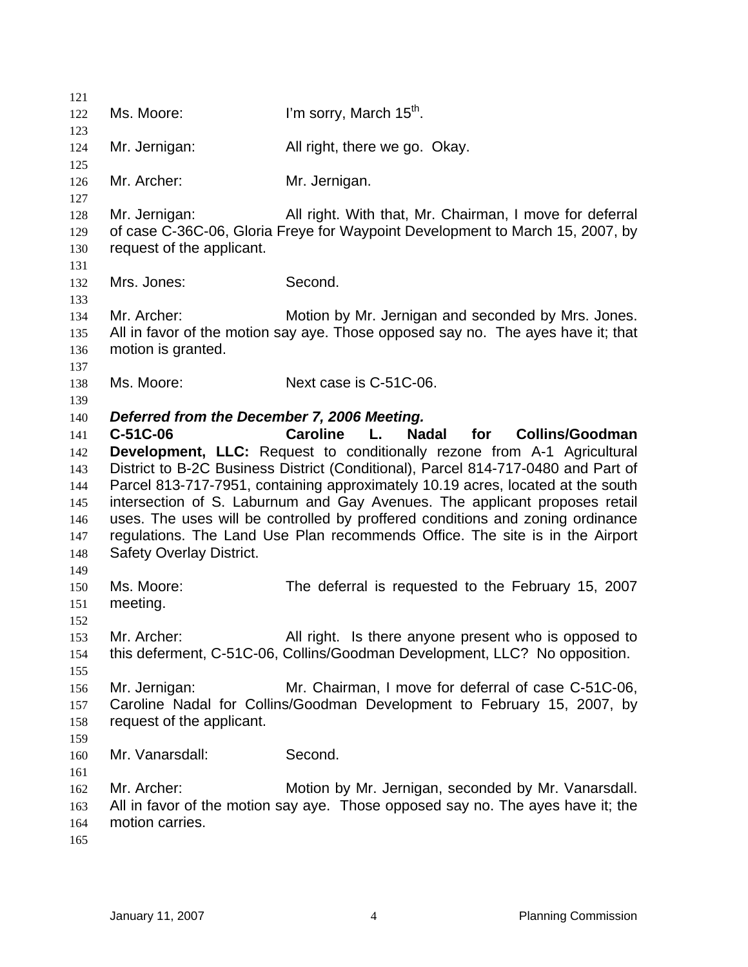| 121        |                                             |                                                                                                                                |
|------------|---------------------------------------------|--------------------------------------------------------------------------------------------------------------------------------|
| 122        | Ms. Moore:                                  | I'm sorry, March 15 <sup>th</sup> .                                                                                            |
| 123        |                                             |                                                                                                                                |
| 124        | Mr. Jernigan:                               | All right, there we go. Okay.                                                                                                  |
| 125        |                                             |                                                                                                                                |
| 126        | Mr. Archer:                                 | Mr. Jernigan.                                                                                                                  |
| 127        |                                             |                                                                                                                                |
| 128        | Mr. Jernigan:                               | All right. With that, Mr. Chairman, I move for deferral                                                                        |
| 129        |                                             | of case C-36C-06, Gloria Freye for Waypoint Development to March 15, 2007, by                                                  |
| 130        | request of the applicant.                   |                                                                                                                                |
| 131        |                                             |                                                                                                                                |
| 132        | Mrs. Jones:                                 | Second.                                                                                                                        |
| 133        | Mr. Archer:                                 | Motion by Mr. Jernigan and seconded by Mrs. Jones.                                                                             |
| 134<br>135 |                                             | All in favor of the motion say aye. Those opposed say no. The ayes have it; that                                               |
| 136        | motion is granted.                          |                                                                                                                                |
| 137        |                                             |                                                                                                                                |
| 138        | Ms. Moore:                                  | Next case is C-51C-06.                                                                                                         |
| 139        |                                             |                                                                                                                                |
| 140        | Deferred from the December 7, 2006 Meeting. |                                                                                                                                |
| 141        | C-51C-06                                    | <b>Caroline</b><br><b>Nadal</b><br>L.<br><b>Collins/Goodman</b><br>for                                                         |
| 142        |                                             | <b>Development, LLC:</b> Request to conditionally rezone from A-1 Agricultural                                                 |
| 143        |                                             | District to B-2C Business District (Conditional), Parcel 814-717-0480 and Part of                                              |
| 144        |                                             | Parcel 813-717-7951, containing approximately 10.19 acres, located at the south                                                |
| 145        |                                             | intersection of S. Laburnum and Gay Avenues. The applicant proposes retail                                                     |
| 146        |                                             | uses. The uses will be controlled by proffered conditions and zoning ordinance                                                 |
| 147        |                                             | regulations. The Land Use Plan recommends Office. The site is in the Airport                                                   |
| 148        | <b>Safety Overlay District.</b>             |                                                                                                                                |
| 149        |                                             |                                                                                                                                |
| 150        | Ms. Moore:                                  | The deferral is requested to the February 15, 2007                                                                             |
| 151        | meeting.                                    |                                                                                                                                |
| 152        |                                             |                                                                                                                                |
| 153        | Mr. Archer:                                 | All right. Is there anyone present who is opposed to                                                                           |
| 154        |                                             | this deferment, C-51C-06, Collins/Goodman Development, LLC? No opposition.                                                     |
| 155        |                                             |                                                                                                                                |
| 156        | Mr. Jernigan:                               | Mr. Chairman, I move for deferral of case C-51C-06,<br>Caroline Nadal for Collins/Goodman Development to February 15, 2007, by |
| 157<br>158 | request of the applicant.                   |                                                                                                                                |
| 159        |                                             |                                                                                                                                |
| 160        | Mr. Vanarsdall:                             | Second.                                                                                                                        |
| 161        |                                             |                                                                                                                                |
| 162        | Mr. Archer:                                 | Motion by Mr. Jernigan, seconded by Mr. Vanarsdall.                                                                            |
| 163        |                                             | All in favor of the motion say aye. Those opposed say no. The ayes have it; the                                                |
| 164        | motion carries.                             |                                                                                                                                |
| 165        |                                             |                                                                                                                                |
|            |                                             |                                                                                                                                |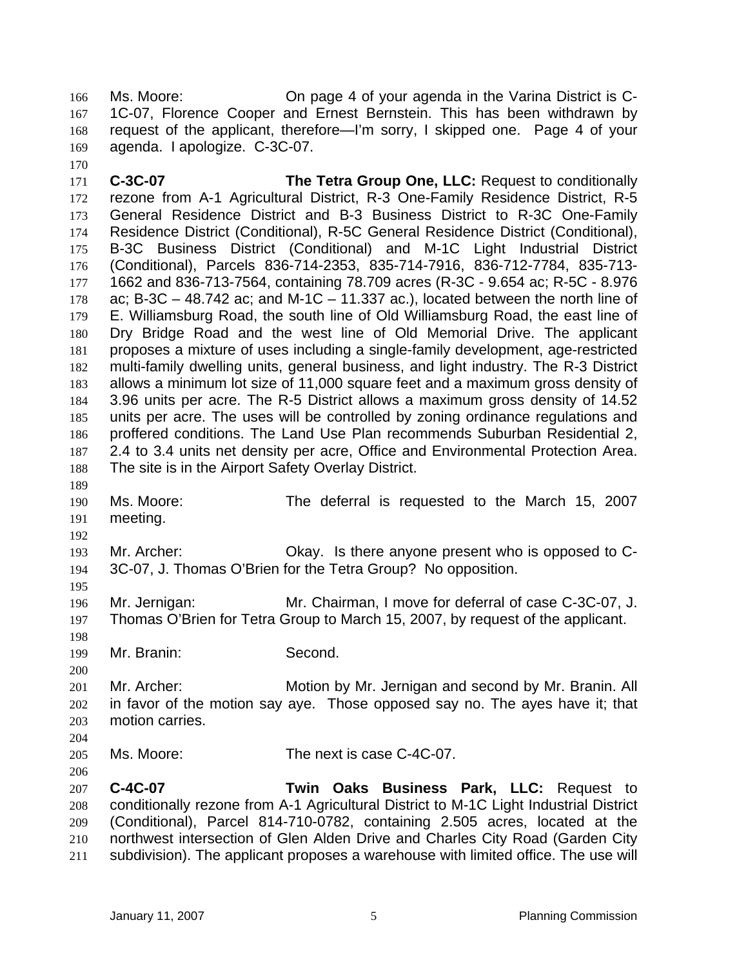Ms. Moore: On page 4 of your agenda in the Varina District is C-1C-07, Florence Cooper and Ernest Bernstein. This has been withdrawn by request of the applicant, therefore—I'm sorry, I skipped one. Page 4 of your agenda. I apologize. C-3C-07. 166 167 168 169

171 172 173 174 175 176 177 178 179 180 181 182 183 184 185 186 187 188 **C-3C-07 The Tetra Group One, LLC:** Request to conditionally rezone from A-1 Agricultural District, R-3 One-Family Residence District, R-5 General Residence District and B-3 Business District to R-3C One-Family Residence District (Conditional), R-5C General Residence District (Conditional), B-3C Business District (Conditional) and M-1C Light Industrial District (Conditional), Parcels 836-714-2353, 835-714-7916, 836-712-7784, 835-713- 1662 and 836-713-7564, containing 78.709 acres (R-3C - 9.654 ac; R-5C - 8.976 ac; B-3C  $-$  48.742 ac; and M-1C  $-$  11.337 ac.), located between the north line of E. Williamsburg Road, the south line of Old Williamsburg Road, the east line of Dry Bridge Road and the west line of Old Memorial Drive. The applicant proposes a mixture of uses including a single-family development, age-restricted multi-family dwelling units, general business, and light industry. The R-3 District allows a minimum lot size of 11,000 square feet and a maximum gross density of 3.96 units per acre. The R-5 District allows a maximum gross density of 14.52 units per acre. The uses will be controlled by zoning ordinance regulations and proffered conditions. The Land Use Plan recommends Suburban Residential 2, 2.4 to 3.4 units net density per acre, Office and Environmental Protection Area. The site is in the Airport Safety Overlay District.

190 191 Ms. Moore: The deferral is requested to the March 15, 2007 meeting.

193 194 Mr. Archer: Okay. Is there anyone present who is opposed to C-3C-07, J. Thomas O'Brien for the Tetra Group? No opposition.

196 197 Mr. Jernigan: Mr. Chairman, I move for deferral of case C-3C-07, J. Thomas O'Brien for Tetra Group to March 15, 2007, by request of the applicant.

199 Mr. Branin: Second.

170

189

192

195

198

206

200 201 202 203 204 Mr. Archer: Motion by Mr. Jernigan and second by Mr. Branin. All in favor of the motion say aye. Those opposed say no. The ayes have it; that motion carries.

205 Ms. Moore: The next is case C-4C-07.

207 208 209 210 211 **C-4C-07 Twin Oaks Business Park, LLC:** Request to conditionally rezone from A-1 Agricultural District to M-1C Light Industrial District (Conditional), Parcel 814-710-0782, containing 2.505 acres, located at the northwest intersection of Glen Alden Drive and Charles City Road (Garden City subdivision). The applicant proposes a warehouse with limited office. The use will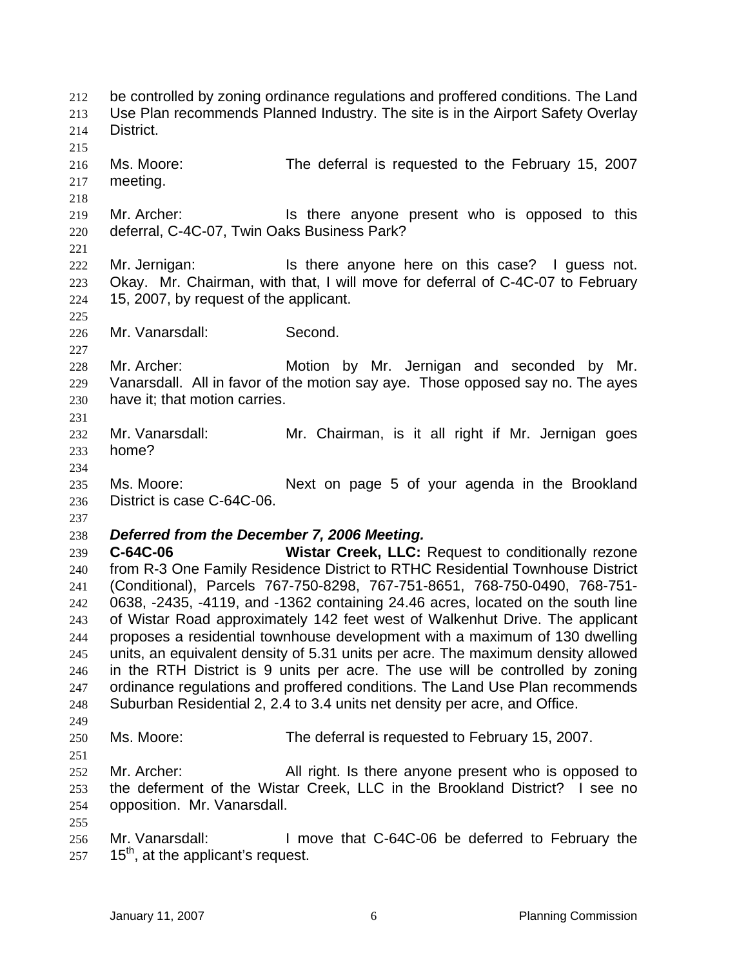be controlled by zoning ordinance regulations and proffered conditions. The Land Use Plan recommends Planned Industry. The site is in the Airport Safety Overlay District. 212 213 214 215 216 217 218 219 220 221 222 223 224 225 226 227 228 229 230 231 232 233 234 235 236 237 238 239 240 241 242 243 244 245 246 247 248 249 250 251 252 253 254 255 256 257 Ms. Moore: The deferral is requested to the February 15, 2007 meeting. Mr. Archer: **In the anyone present who is opposed to this** deferral, C-4C-07, Twin Oaks Business Park? Mr. Jernigan: Is there anyone here on this case? I guess not. Okay. Mr. Chairman, with that, I will move for deferral of C-4C-07 to February 15, 2007, by request of the applicant. Mr. Vanarsdall: Second. Mr. Archer: Motion by Mr. Jernigan and seconded by Mr. Vanarsdall. All in favor of the motion say aye. Those opposed say no. The ayes have it; that motion carries. Mr. Vanarsdall: Mr. Chairman, is it all right if Mr. Jernigan goes home? Ms. Moore: Next on page 5 of your agenda in the Brookland District is case C-64C-06. *Deferred from the December 7, 2006 Meeting.* **C-64C-06 Wistar Creek, LLC:** Request to conditionally rezone from R-3 One Family Residence District to RTHC Residential Townhouse District (Conditional), Parcels 767-750-8298, 767-751-8651, 768-750-0490, 768-751- 0638, -2435, -4119, and -1362 containing 24.46 acres, located on the south line of Wistar Road approximately 142 feet west of Walkenhut Drive. The applicant proposes a residential townhouse development with a maximum of 130 dwelling units, an equivalent density of 5.31 units per acre. The maximum density allowed in the RTH District is 9 units per acre. The use will be controlled by zoning ordinance regulations and proffered conditions. The Land Use Plan recommends Suburban Residential 2, 2.4 to 3.4 units net density per acre, and Office. Ms. Moore: The deferral is requested to February 15, 2007. Mr. Archer: All right. Is there anyone present who is opposed to the deferment of the Wistar Creek, LLC in the Brookland District? I see no opposition. Mr. Vanarsdall. Mr. Vanarsdall: I move that C-64C-06 be deferred to February the 15<sup>th</sup>, at the applicant's request.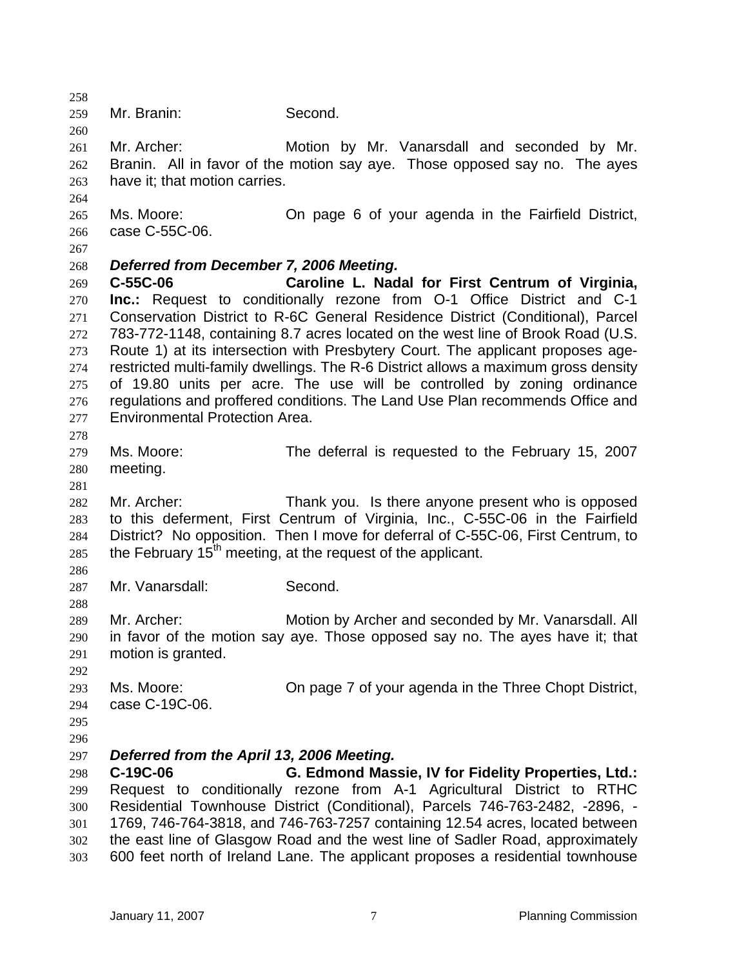258 259 260 261 262 263 264 265 266 267 268 269 270 271 272 273 274 275 276 277 278 279 280 281 282 283 284 285 286 287 288 289 290 291 292 293 294 295 296 297 298 299 300 301 302 303 Mr. Branin: Second. Mr. Archer: Motion by Mr. Vanarsdall and seconded by Mr. Branin. All in favor of the motion say aye. Those opposed say no. The ayes have it; that motion carries. Ms. Moore: On page 6 of your agenda in the Fairfield District, case C-55C-06. *Deferred from December 7, 2006 Meeting.* **C-55C-06 Caroline L. Nadal for First Centrum of Virginia, Inc.:** Request to conditionally rezone from O-1 Office District and C-1 Conservation District to R-6C General Residence District (Conditional), Parcel 783-772-1148, containing 8.7 acres located on the west line of Brook Road (U.S. Route 1) at its intersection with Presbytery Court. The applicant proposes agerestricted multi-family dwellings. The R-6 District allows a maximum gross density of 19.80 units per acre. The use will be controlled by zoning ordinance regulations and proffered conditions. The Land Use Plan recommends Office and Environmental Protection Area. Ms. Moore: The deferral is requested to the February 15, 2007 meeting. Mr. Archer: Thank you. Is there anyone present who is opposed to this deferment, First Centrum of Virginia, Inc., C-55C-06 in the Fairfield District? No opposition. Then I move for deferral of C-55C-06, First Centrum, to the February  $15<sup>th</sup>$  meeting, at the request of the applicant. Mr. Vanarsdall: Second. Mr. Archer: Motion by Archer and seconded by Mr. Vanarsdall. All in favor of the motion say aye. Those opposed say no. The ayes have it; that motion is granted. Ms. Moore: On page 7 of your agenda in the Three Chopt District, case C-19C-06. *Deferred from the April 13, 2006 Meeting.* **C-19C-06 G. Edmond Massie, IV for Fidelity Properties, Ltd.:** Request to conditionally rezone from A-1 Agricultural District to RTHC Residential Townhouse District (Conditional), Parcels 746-763-2482, -2896, - 1769, 746-764-3818, and 746-763-7257 containing 12.54 acres, located between the east line of Glasgow Road and the west line of Sadler Road, approximately 600 feet north of Ireland Lane. The applicant proposes a residential townhouse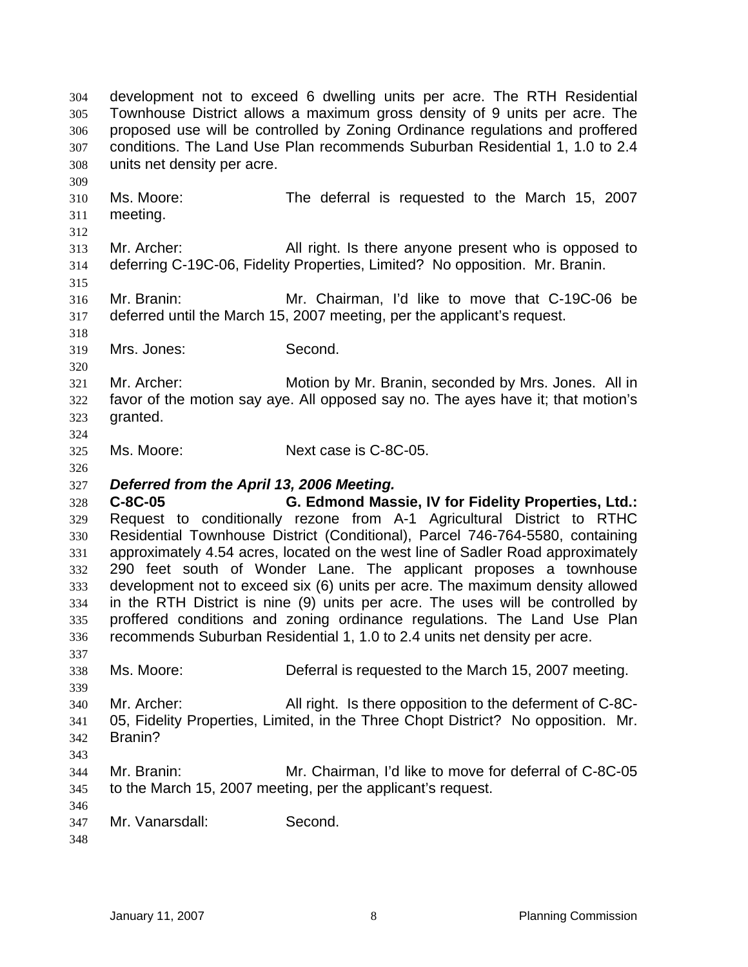development not to exceed 6 dwelling units per acre. The RTH Residential Townhouse District allows a maximum gross density of 9 units per acre. The proposed use will be controlled by Zoning Ordinance regulations and proffered conditions. The Land Use Plan recommends Suburban Residential 1, 1.0 to 2.4 units net density per acre. 304 305 306 307 308 309 310 311 312 313 314 315 316 317 318 319 320 321 322 323 324 325 326 327 328 329 330 331 332 333 334 335 336 337 338 339 340 341 342 343 344 345 346 347 348 Ms. Moore: The deferral is requested to the March 15, 2007 meeting. Mr. Archer: All right. Is there anyone present who is opposed to deferring C-19C-06, Fidelity Properties, Limited? No opposition. Mr. Branin. Mr. Branin: Mr. Chairman, I'd like to move that C-19C-06 be deferred until the March 15, 2007 meeting, per the applicant's request. Mrs. Jones: Second. Mr. Archer: Motion by Mr. Branin, seconded by Mrs. Jones. All in favor of the motion say aye. All opposed say no. The ayes have it; that motion's granted. Ms. Moore: Next case is C-8C-05. *Deferred from the April 13, 2006 Meeting.* **C-8C-05 G. Edmond Massie, IV for Fidelity Properties, Ltd.:** Request to conditionally rezone from A-1 Agricultural District to RTHC Residential Townhouse District (Conditional), Parcel 746-764-5580, containing approximately 4.54 acres, located on the west line of Sadler Road approximately 290 feet south of Wonder Lane. The applicant proposes a townhouse development not to exceed six (6) units per acre. The maximum density allowed in the RTH District is nine (9) units per acre. The uses will be controlled by proffered conditions and zoning ordinance regulations. The Land Use Plan recommends Suburban Residential 1, 1.0 to 2.4 units net density per acre. Ms. Moore: Deferral is requested to the March 15, 2007 meeting. Mr. Archer: All right. Is there opposition to the deferment of C-8C-05, Fidelity Properties, Limited, in the Three Chopt District? No opposition. Mr. Branin? Mr. Branin: Mr. Chairman, I'd like to move for deferral of C-8C-05 to the March 15, 2007 meeting, per the applicant's request. Mr. Vanarsdall: Second.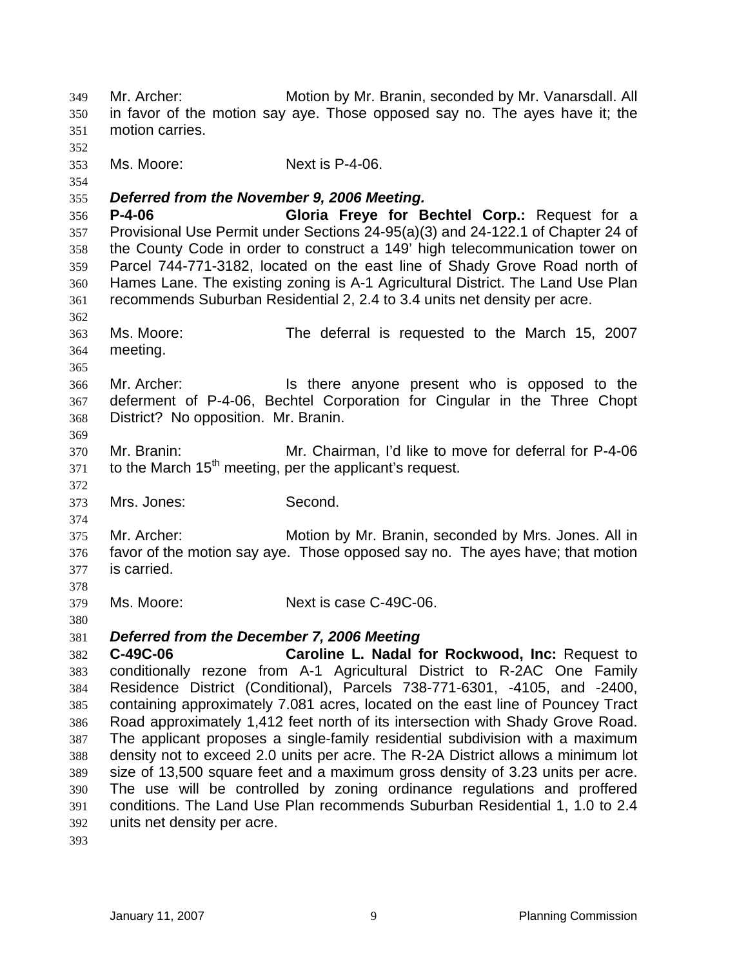Mr. Archer: Motion by Mr. Branin, seconded by Mr. Vanarsdall. All in favor of the motion say aye. Those opposed say no. The ayes have it; the motion carries. 349 350 351 352 353 354 355 356 357 358 359 360 361 362 363 364 365 366 367 368 369 370 371 372 373 374 375 376 377 378 379 380 381 382 383 384 385 386 387 388 389 390 391 392 393 Ms. Moore: Next is P-4-06. *Deferred from the November 9, 2006 Meeting.* **P-4-06 Gloria Freye for Bechtel Corp.:** Request for a Provisional Use Permit under Sections 24-95(a)(3) and 24-122.1 of Chapter 24 of the County Code in order to construct a 149' high telecommunication tower on Parcel 744-771-3182, located on the east line of Shady Grove Road north of Hames Lane. The existing zoning is A-1 Agricultural District. The Land Use Plan recommends Suburban Residential 2, 2.4 to 3.4 units net density per acre. Ms. Moore: The deferral is requested to the March 15, 2007 meeting. Mr. Archer: **In the anyone** present who is opposed to the deferment of P-4-06, Bechtel Corporation for Cingular in the Three Chopt District? No opposition. Mr. Branin. Mr. Branin: Mr. Chairman, I'd like to move for deferral for P-4-06 to the March  $15<sup>th</sup>$  meeting, per the applicant's request. Mrs. Jones: Second. Mr. Archer: Motion by Mr. Branin, seconded by Mrs. Jones. All in favor of the motion say aye. Those opposed say no. The ayes have; that motion is carried. Ms. Moore: Next is case C-49C-06. *Deferred from the December 7, 2006 Meeting*  **C-49C-06 Caroline L. Nadal for Rockwood, Inc:** Request to conditionally rezone from A-1 Agricultural District to R-2AC One Family Residence District (Conditional), Parcels 738-771-6301, -4105, and -2400, containing approximately 7.081 acres, located on the east line of Pouncey Tract Road approximately 1,412 feet north of its intersection with Shady Grove Road. The applicant proposes a single-family residential subdivision with a maximum density not to exceed 2.0 units per acre. The R-2A District allows a minimum lot size of 13,500 square feet and a maximum gross density of 3.23 units per acre. The use will be controlled by zoning ordinance regulations and proffered conditions. The Land Use Plan recommends Suburban Residential 1, 1.0 to 2.4 units net density per acre.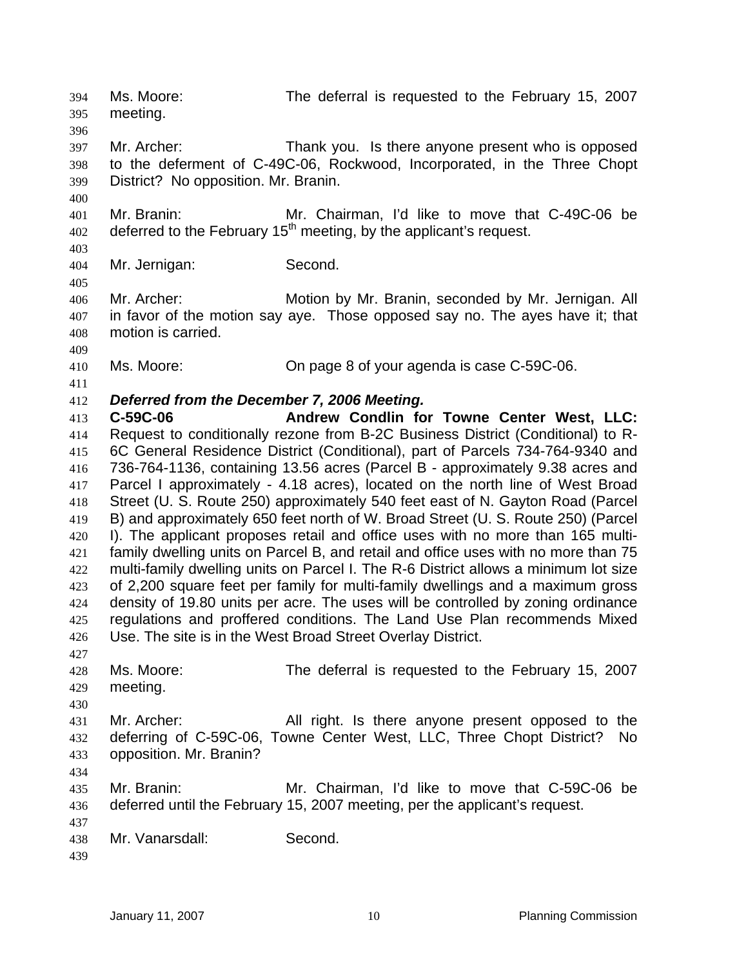Ms. Moore: The deferral is requested to the February 15, 2007 meeting. 394 395 396 397 398 399 400 401 402 403 404 405 406 407 408 409 410 411 412 413 414 415 416 417 418 419 420 421 422 423 424 425 426 427 428 429 430 431 432 433 434 435 436 437 438 439 Mr. Archer: Thank you. Is there anyone present who is opposed to the deferment of C-49C-06, Rockwood, Incorporated, in the Three Chopt District? No opposition. Mr. Branin. Mr. Branin: Mr. Chairman, I'd like to move that C-49C-06 be deferred to the February 15<sup>th</sup> meeting, by the applicant's request. Mr. Jernigan: Second. Mr. Archer: Motion by Mr. Branin, seconded by Mr. Jernigan. All in favor of the motion say aye. Those opposed say no. The ayes have it; that motion is carried. Ms. Moore: On page 8 of your agenda is case C-59C-06. *Deferred from the December 7, 2006 Meeting.* **C-59C-06 Andrew Condlin for Towne Center West, LLC:** Request to conditionally rezone from B-2C Business District (Conditional) to R-6C General Residence District (Conditional), part of Parcels 734-764-9340 and 736-764-1136, containing 13.56 acres (Parcel B - approximately 9.38 acres and Parcel I approximately - 4.18 acres), located on the north line of West Broad Street (U. S. Route 250) approximately 540 feet east of N. Gayton Road (Parcel B) and approximately 650 feet north of W. Broad Street (U. S. Route 250) (Parcel I). The applicant proposes retail and office uses with no more than 165 multifamily dwelling units on Parcel B, and retail and office uses with no more than 75 multi-family dwelling units on Parcel I. The R-6 District allows a minimum lot size of 2,200 square feet per family for multi-family dwellings and a maximum gross density of 19.80 units per acre. The uses will be controlled by zoning ordinance regulations and proffered conditions. The Land Use Plan recommends Mixed Use. The site is in the West Broad Street Overlay District. Ms. Moore: The deferral is requested to the February 15, 2007 meeting. Mr. Archer: All right. Is there anyone present opposed to the deferring of C-59C-06, Towne Center West, LLC, Three Chopt District? No opposition. Mr. Branin? Mr. Branin: Mr. Chairman, I'd like to move that C-59C-06 be deferred until the February 15, 2007 meeting, per the applicant's request. Mr. Vanarsdall: Second.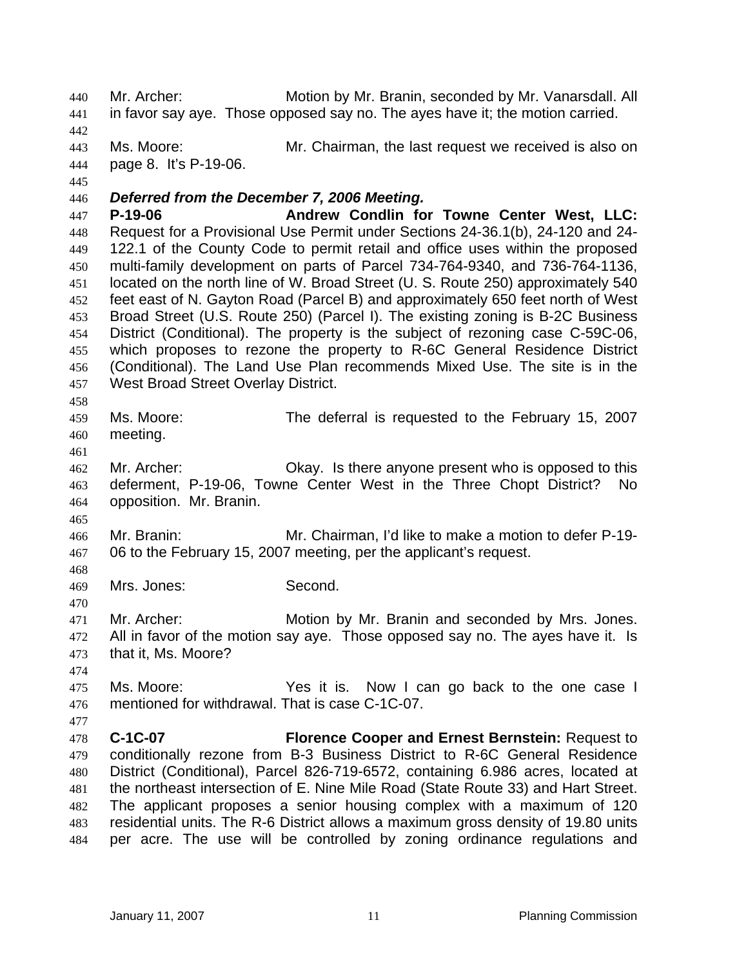Mr. Archer: Motion by Mr. Branin, seconded by Mr. Vanarsdall. All in favor say aye. Those opposed say no. The ayes have it; the motion carried. 440 441 442 443 444 445 446 447 448 449 450 451 452 453 454 455 456 457 458 459 460 461 462 463 464 465 466 467 468 469 470 471 472 473 474 475 476 477 478 479 480 481 482 483 484 Ms. Moore: Mr. Chairman, the last request we received is also on page 8. It's P-19-06. *Deferred from the December 7, 2006 Meeting.* P-19-06 **Andrew Condlin for Towne Center West, LLC:** Request for a Provisional Use Permit under Sections 24-36.1(b), 24-120 and 24- 122.1 of the County Code to permit retail and office uses within the proposed multi-family development on parts of Parcel 734-764-9340, and 736-764-1136, located on the north line of W. Broad Street (U. S. Route 250) approximately 540 feet east of N. Gayton Road (Parcel B) and approximately 650 feet north of West Broad Street (U.S. Route 250) (Parcel I). The existing zoning is B-2C Business District (Conditional). The property is the subject of rezoning case C-59C-06, which proposes to rezone the property to R-6C General Residence District (Conditional). The Land Use Plan recommends Mixed Use. The site is in the West Broad Street Overlay District. Ms. Moore: The deferral is requested to the February 15, 2007 meeting. Mr. Archer: Okay. Is there anyone present who is opposed to this deferment, P-19-06, Towne Center West in the Three Chopt District? No opposition. Mr. Branin. Mr. Branin: Mr. Chairman, I'd like to make a motion to defer P-19- 06 to the February 15, 2007 meeting, per the applicant's request. Mrs. Jones: Second. Mr. Archer: Motion by Mr. Branin and seconded by Mrs. Jones. All in favor of the motion say aye. Those opposed say no. The ayes have it. Is that it, Ms. Moore? Ms. Moore: The Yes it is. Now I can go back to the one case I mentioned for withdrawal. That is case C-1C-07. **C-1C-07 Florence Cooper and Ernest Bernstein:** Request to conditionally rezone from B-3 Business District to R-6C General Residence District (Conditional), Parcel 826-719-6572, containing 6.986 acres, located at the northeast intersection of E. Nine Mile Road (State Route 33) and Hart Street. The applicant proposes a senior housing complex with a maximum of 120 residential units. The R-6 District allows a maximum gross density of 19.80 units per acre. The use will be controlled by zoning ordinance regulations and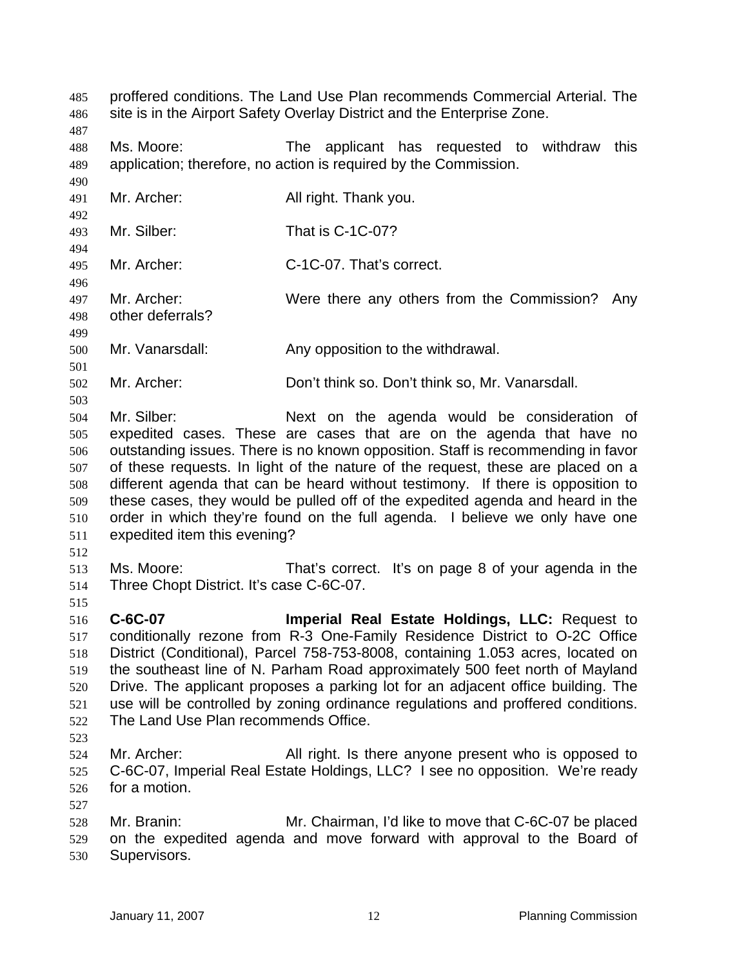proffered conditions. The Land Use Plan recommends Commercial Arterial. The site is in the Airport Safety Overlay District and the Enterprise Zone. 485 486

487

490

492

494

496

499

501

503

488 489 Ms. Moore: The applicant has requested to withdraw this application; therefore, no action is required by the Commission.

491 Mr. Archer: All right. Thank you.

493 Mr. Silber: That is C-1C-07?

495 Mr. Archer: C-1C-07. That's correct.

497 498 Mr. Archer: Were there any others from the Commission? Any other deferrals?

500 Mr. Vanarsdall: Any opposition to the withdrawal.

502 Mr. Archer: Don't think so. Don't think so, Mr. Vanarsdall.

504 505 506 507 508 509 510 511 Mr. Silber: Next on the agenda would be consideration of expedited cases. These are cases that are on the agenda that have no outstanding issues. There is no known opposition. Staff is recommending in favor of these requests. In light of the nature of the request, these are placed on a different agenda that can be heard without testimony. If there is opposition to these cases, they would be pulled off of the expedited agenda and heard in the order in which they're found on the full agenda. I believe we only have one expedited item this evening?

512

515

513 514 Ms. Moore: That's correct. It's on page 8 of your agenda in the Three Chopt District. It's case C-6C-07.

516 517 518 519 520 521 522 **C-6C-07 Imperial Real Estate Holdings, LLC:** Request to conditionally rezone from R-3 One-Family Residence District to O-2C Office District (Conditional), Parcel 758-753-8008, containing 1.053 acres, located on the southeast line of N. Parham Road approximately 500 feet north of Mayland Drive. The applicant proposes a parking lot for an adjacent office building. The use will be controlled by zoning ordinance regulations and proffered conditions. The Land Use Plan recommends Office.

523

527

524 525 526 Mr. Archer: All right. Is there anyone present who is opposed to C-6C-07, Imperial Real Estate Holdings, LLC? I see no opposition. We're ready for a motion.

528 529 530 Mr. Branin: Mr. Chairman, I'd like to move that C-6C-07 be placed on the expedited agenda and move forward with approval to the Board of Supervisors.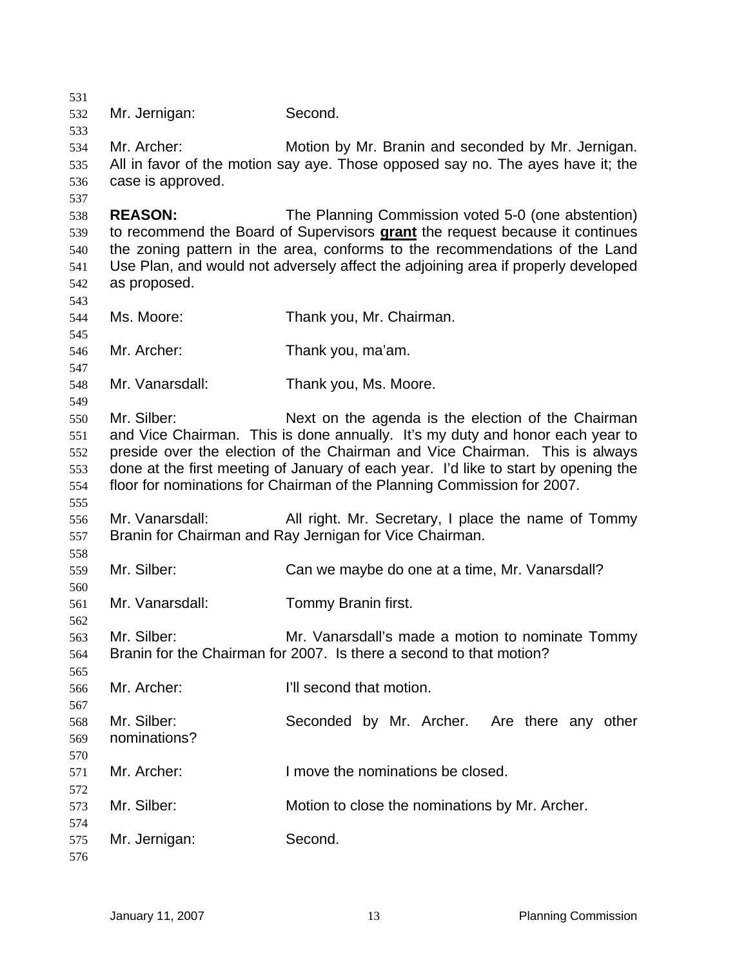Mr. Jernigan: Second. Mr. Archer: Motion by Mr. Branin and seconded by Mr. Jernigan. All in favor of the motion say aye. Those opposed say no. The ayes have it; the case is approved. **REASON:** The Planning Commission voted 5-0 (one abstention) to recommend the Board of Supervisors **grant** the request because it continues the zoning pattern in the area, conforms to the recommendations of the Land Use Plan, and would not adversely affect the adjoining area if properly developed as proposed. Ms. Moore: Thank you, Mr. Chairman. Mr. Archer: Thank you, ma'am. Mr. Vanarsdall: Thank you, Ms. Moore. Mr. Silber: Next on the agenda is the election of the Chairman and Vice Chairman. This is done annually. It's my duty and honor each year to preside over the election of the Chairman and Vice Chairman. This is always done at the first meeting of January of each year. I'd like to start by opening the floor for nominations for Chairman of the Planning Commission for 2007. Mr. Vanarsdall: All right. Mr. Secretary, I place the name of Tommy Branin for Chairman and Ray Jernigan for Vice Chairman. Mr. Silber: Can we maybe do one at a time, Mr. Vanarsdall? Mr. Vanarsdall: Tommy Branin first. Mr. Silber: Mr. Vanarsdall's made a motion to nominate Tommy Branin for the Chairman for 2007. Is there a second to that motion? Mr. Archer: **I'll second that motion.** Mr. Silber: Seconded by Mr. Archer. Are there any other nominations? Mr. Archer: I move the nominations be closed. Mr. Silber: Motion to close the nominations by Mr. Archer. Mr. Jernigan: Second.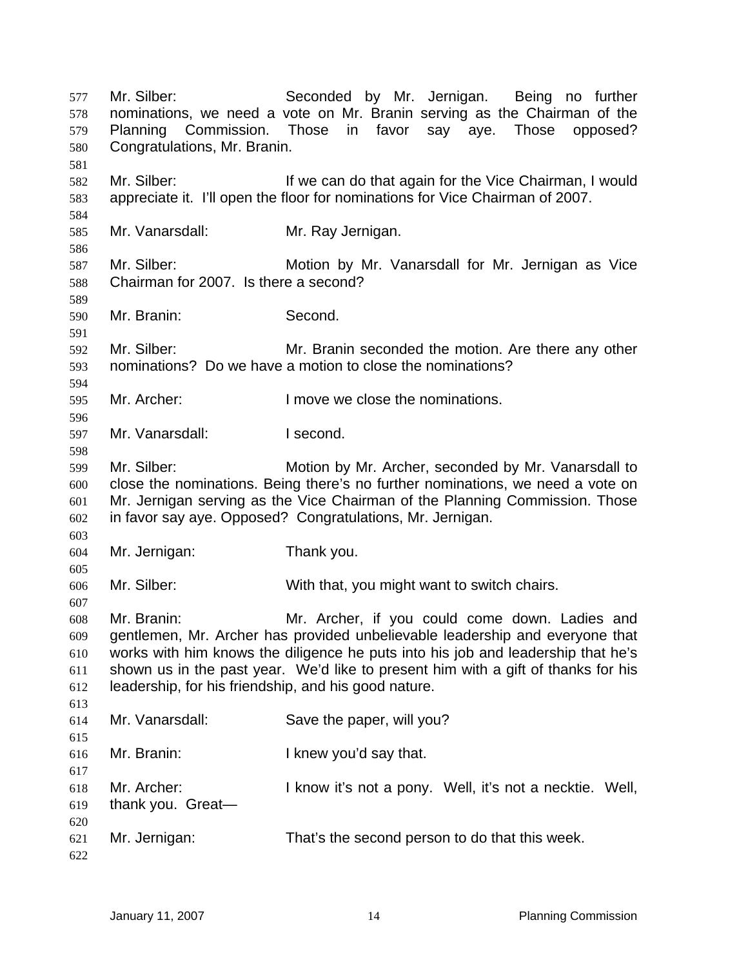Mr. Silber: Seconded by Mr. Jernigan. Being no further nominations, we need a vote on Mr. Branin serving as the Chairman of the Planning Commission. Those in favor say aye. Those opposed? Congratulations, Mr. Branin. 577 578 579 580 581 582 583 584 585 586 587 588 589 590 591 592 593 594 595 596 597 598 599 600 601 602 603 604 605 606 607 608 609 610 611 612 613 614 615 616 617 618 619 620 621 622 Mr. Silber: If we can do that again for the Vice Chairman, I would appreciate it. I'll open the floor for nominations for Vice Chairman of 2007. Mr. Vanarsdall: Mr. Ray Jernigan. Mr. Silber: Motion by Mr. Vanarsdall for Mr. Jernigan as Vice Chairman for 2007. Is there a second? Mr. Branin: Second. Mr. Silber: Mr. Branin seconded the motion. Are there any other nominations? Do we have a motion to close the nominations? Mr. Archer: I move we close the nominations. Mr. Vanarsdall: I second. Mr. Silber: Motion by Mr. Archer, seconded by Mr. Vanarsdall to close the nominations. Being there's no further nominations, we need a vote on Mr. Jernigan serving as the Vice Chairman of the Planning Commission. Those in favor say aye. Opposed? Congratulations, Mr. Jernigan. Mr. Jernigan: Thank you. Mr. Silber: With that, you might want to switch chairs. Mr. Branin: Mr. Archer, if you could come down. Ladies and gentlemen, Mr. Archer has provided unbelievable leadership and everyone that works with him knows the diligence he puts into his job and leadership that he's shown us in the past year. We'd like to present him with a gift of thanks for his leadership, for his friendship, and his good nature. Mr. Vanarsdall: Save the paper, will you? Mr. Branin: I knew you'd say that. Mr. Archer: I know it's not a pony. Well, it's not a necktie. Well, thank you. Great— Mr. Jernigan: That's the second person to do that this week.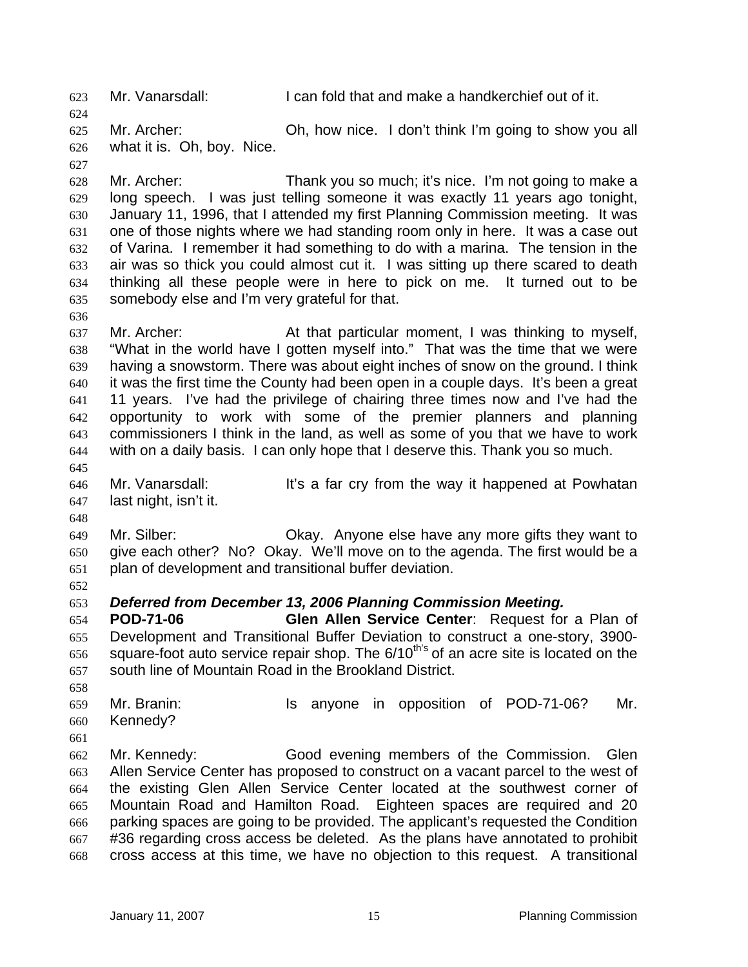623 Mr. Vanarsdall: I can fold that and make a handkerchief out of it.

625 626 Mr. Archer: Oh, how nice. I don't think I'm going to show you all what it is. Oh, boy. Nice.

627

636

624

628 629 630 631 632 633 634 635 Mr. Archer: Thank you so much; it's nice. I'm not going to make a long speech. I was just telling someone it was exactly 11 years ago tonight, January 11, 1996, that I attended my first Planning Commission meeting. It was one of those nights where we had standing room only in here. It was a case out of Varina. I remember it had something to do with a marina. The tension in the air was so thick you could almost cut it. I was sitting up there scared to death thinking all these people were in here to pick on me. It turned out to be somebody else and I'm very grateful for that.

637 638 639 640 641 642 643 644 Mr. Archer: At that particular moment, I was thinking to myself, "What in the world have I gotten myself into." That was the time that we were having a snowstorm. There was about eight inches of snow on the ground. I think it was the first time the County had been open in a couple days. It's been a great 11 years. I've had the privilege of chairing three times now and I've had the opportunity to work with some of the premier planners and planning commissioners I think in the land, as well as some of you that we have to work with on a daily basis. I can only hope that I deserve this. Thank you so much.

646 647 Mr. Vanarsdall: It's a far cry from the way it happened at Powhatan last night, isn't it.

649 650 651 Mr. Silber: Okay. Anyone else have any more gifts they want to give each other? No? Okay. We'll move on to the agenda. The first would be a plan of development and transitional buffer deviation.

652

645

648

## 653 *Deferred from December 13, 2006 Planning Commission Meeting.*

654 655 656 657 **POD-71-06 Glen Allen Service Center**: Request for a Plan of Development and Transitional Buffer Deviation to construct a one-story, 3900 square-foot auto service repair shop. The 6/10<sup>th's</sup> of an acre site is located on the south line of Mountain Road in the Brookland District.

658

659 660 Mr. Branin: Is anyone in opposition of POD-71-06? Mr. Kennedy?

661

662 663 664 665 666 667 668 Mr. Kennedy: Good evening members of the Commission. Glen Allen Service Center has proposed to construct on a vacant parcel to the west of the existing Glen Allen Service Center located at the southwest corner of Mountain Road and Hamilton Road. Eighteen spaces are required and 20 parking spaces are going to be provided. The applicant's requested the Condition #36 regarding cross access be deleted. As the plans have annotated to prohibit cross access at this time, we have no objection to this request. A transitional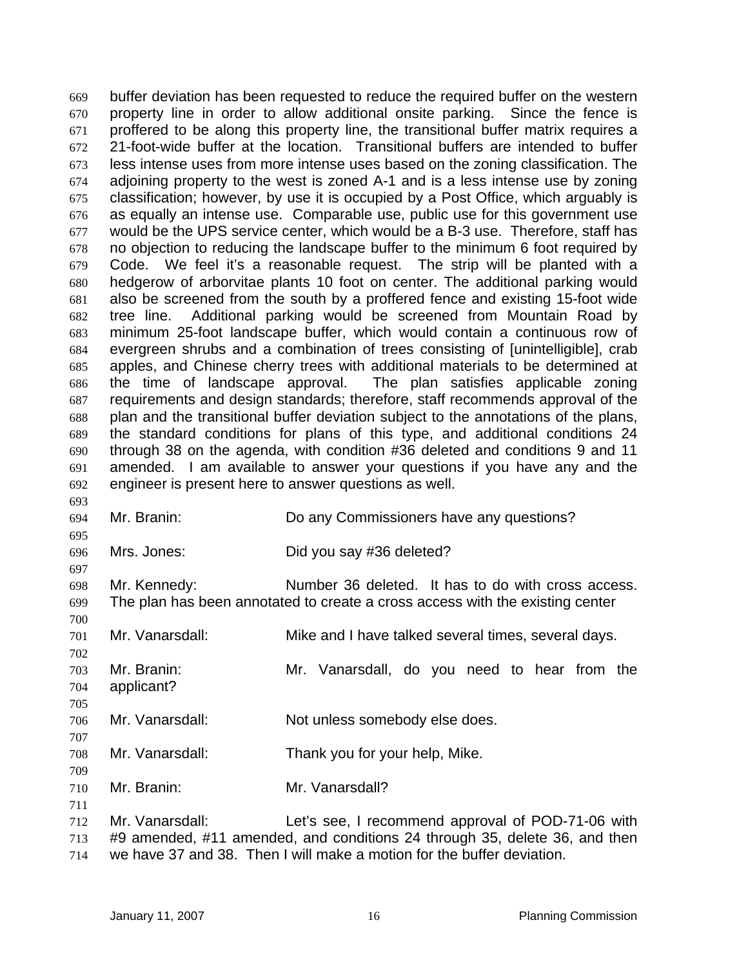buffer deviation has been requested to reduce the required buffer on the western property line in order to allow additional onsite parking. Since the fence is proffered to be along this property line, the transitional buffer matrix requires a 21-foot-wide buffer at the location. Transitional buffers are intended to buffer less intense uses from more intense uses based on the zoning classification. The adjoining property to the west is zoned A-1 and is a less intense use by zoning classification; however, by use it is occupied by a Post Office, which arguably is as equally an intense use. Comparable use, public use for this government use would be the UPS service center, which would be a B-3 use. Therefore, staff has no objection to reducing the landscape buffer to the minimum 6 foot required by Code. We feel it's a reasonable request. The strip will be planted with a hedgerow of arborvitae plants 10 foot on center. The additional parking would also be screened from the south by a proffered fence and existing 15-foot wide tree line. Additional parking would be screened from Mountain Road by minimum 25-foot landscape buffer, which would contain a continuous row of evergreen shrubs and a combination of trees consisting of [unintelligible], crab apples, and Chinese cherry trees with additional materials to be determined at the time of landscape approval. The plan satisfies applicable zoning requirements and design standards; therefore, staff recommends approval of the plan and the transitional buffer deviation subject to the annotations of the plans, the standard conditions for plans of this type, and additional conditions 24 through 38 on the agenda, with condition #36 deleted and conditions 9 and 11 amended. I am available to answer your questions if you have any and the engineer is present here to answer questions as well. 669 670 671 672 673 674 675 676 677 678 679 680 681 682 683 684 685 686 687 688 689 690 691 692 693

694 695 696 697 698 699 700 701 702 703 704 705 706 707 708 709 710 711 712 713 714 Mr. Branin: Do any Commissioners have any questions? Mrs. Jones: Did you say #36 deleted? Mr. Kennedy: Number 36 deleted. It has to do with cross access. The plan has been annotated to create a cross access with the existing center Mr. Vanarsdall: Mike and I have talked several times, several days. Mr. Branin: Mr. Vanarsdall, do you need to hear from the applicant? Mr. Vanarsdall: Not unless somebody else does. Mr. Vanarsdall: Thank you for your help, Mike. Mr. Branin: Mr. Vanarsdall? Mr. Vanarsdall: Let's see, I recommend approval of POD-71-06 with #9 amended, #11 amended, and conditions 24 through 35, delete 36, and then we have 37 and 38. Then I will make a motion for the buffer deviation.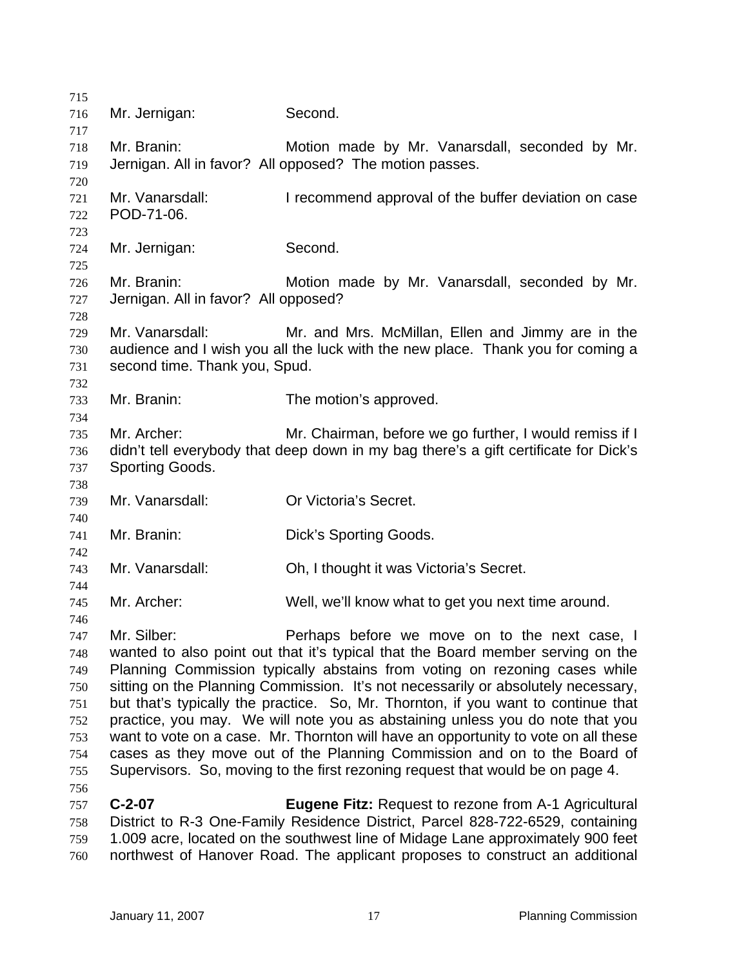| 715 |                                      |                                                                                      |
|-----|--------------------------------------|--------------------------------------------------------------------------------------|
| 716 | Mr. Jernigan:                        | Second.                                                                              |
| 717 |                                      |                                                                                      |
| 718 | Mr. Branin:                          | Motion made by Mr. Vanarsdall, seconded by Mr.                                       |
| 719 |                                      | Jernigan. All in favor? All opposed? The motion passes.                              |
| 720 |                                      |                                                                                      |
| 721 | Mr. Vanarsdall:                      | I recommend approval of the buffer deviation on case                                 |
| 722 | POD-71-06.                           |                                                                                      |
| 723 |                                      |                                                                                      |
| 724 | Mr. Jernigan:                        | Second.                                                                              |
| 725 |                                      |                                                                                      |
| 726 | Mr. Branin:                          | Motion made by Mr. Vanarsdall, seconded by Mr.                                       |
| 727 | Jernigan. All in favor? All opposed? |                                                                                      |
| 728 |                                      |                                                                                      |
| 729 | Mr. Vanarsdall:                      | Mr. and Mrs. McMillan, Ellen and Jimmy are in the                                    |
| 730 |                                      | audience and I wish you all the luck with the new place. Thank you for coming a      |
| 731 | second time. Thank you, Spud.        |                                                                                      |
| 732 |                                      |                                                                                      |
| 733 | Mr. Branin:                          | The motion's approved.                                                               |
| 734 |                                      |                                                                                      |
| 735 | Mr. Archer:                          | Mr. Chairman, before we go further, I would remiss if I                              |
| 736 |                                      | didn't tell everybody that deep down in my bag there's a gift certificate for Dick's |
| 737 | Sporting Goods.                      |                                                                                      |
| 738 |                                      |                                                                                      |
| 739 | Mr. Vanarsdall:                      | Or Victoria's Secret.                                                                |
| 740 |                                      |                                                                                      |
| 741 | Mr. Branin:                          | Dick's Sporting Goods.                                                               |
| 742 |                                      |                                                                                      |
| 743 | Mr. Vanarsdall:                      | Oh, I thought it was Victoria's Secret.                                              |
| 744 |                                      |                                                                                      |
| 745 | Mr. Archer:                          | Well, we'll know what to get you next time around.                                   |
| 746 |                                      |                                                                                      |
| 747 | Mr. Silber:                          | Perhaps before we move on to the next case, I                                        |
| 748 |                                      | wanted to also point out that it's typical that the Board member serving on the      |
| 749 |                                      | Planning Commission typically abstains from voting on rezoning cases while           |
| 750 |                                      | sitting on the Planning Commission. It's not necessarily or absolutely necessary,    |
| 751 |                                      | but that's typically the practice. So, Mr. Thornton, if you want to continue that    |
| 752 |                                      | practice, you may. We will note you as abstaining unless you do note that you        |
| 753 |                                      | want to vote on a case. Mr. Thornton will have an opportunity to vote on all these   |
| 754 |                                      | cases as they move out of the Planning Commission and on to the Board of             |
| 755 |                                      | Supervisors. So, moving to the first rezoning request that would be on page 4.       |
| 756 |                                      |                                                                                      |
| 757 | $C-2-07$                             | Eugene Fitz: Request to rezone from A-1 Agricultural                                 |
| 758 |                                      | District to R-3 One-Family Residence District, Parcel 828-722-6529, containing       |
| 759 |                                      | 1.009 acre, located on the southwest line of Midage Lane approximately 900 feet      |
| 760 |                                      | northwest of Hanover Road. The applicant proposes to construct an additional         |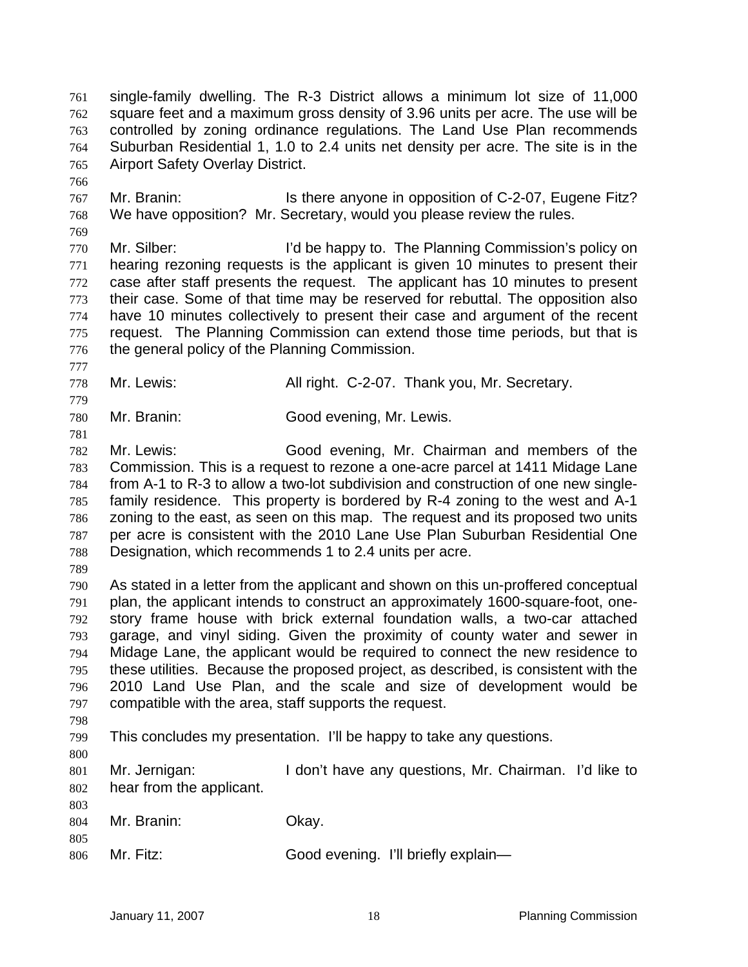single-family dwelling. The R-3 District allows a minimum lot size of 11,000 square feet and a maximum gross density of 3.96 units per acre. The use will be controlled by zoning ordinance regulations. The Land Use Plan recommends Suburban Residential 1, 1.0 to 2.4 units net density per acre. The site is in the Airport Safety Overlay District. 761 762 763 764 765

767 768 Mr. Branin: **It is there anyone in opposition of C-2-07, Eugene Fitz?** We have opposition? Mr. Secretary, would you please review the rules.

770 771 772 773 774 775 776 Mr. Silber: I'd be happy to. The Planning Commission's policy on hearing rezoning requests is the applicant is given 10 minutes to present their case after staff presents the request. The applicant has 10 minutes to present their case. Some of that time may be reserved for rebuttal. The opposition also have 10 minutes collectively to present their case and argument of the recent request. The Planning Commission can extend those time periods, but that is the general policy of the Planning Commission.

- 778 Mr. Lewis: All right. C-2-07. Thank you, Mr. Secretary.
- 780 Mr. Branin: Good evening, Mr. Lewis.

782 783 784 785 786 787 788 Mr. Lewis: Good evening, Mr. Chairman and members of the Commission. This is a request to rezone a one-acre parcel at 1411 Midage Lane from A-1 to R-3 to allow a two-lot subdivision and construction of one new singlefamily residence. This property is bordered by R-4 zoning to the west and A-1 zoning to the east, as seen on this map. The request and its proposed two units per acre is consistent with the 2010 Lane Use Plan Suburban Residential One Designation, which recommends 1 to 2.4 units per acre.

789

766

769

777

779

781

790 791 792 793 794 795 796 797 As stated in a letter from the applicant and shown on this un-proffered conceptual plan, the applicant intends to construct an approximately 1600-square-foot, onestory frame house with brick external foundation walls, a two-car attached garage, and vinyl siding. Given the proximity of county water and sewer in Midage Lane, the applicant would be required to connect the new residence to these utilities. Because the proposed project, as described, is consistent with the 2010 Land Use Plan, and the scale and size of development would be compatible with the area, staff supports the request.

798

799 This concludes my presentation. I'll be happy to take any questions.

800

803

805

801 802 Mr. Jernigan: I don't have any questions, Mr. Chairman. I'd like to hear from the applicant.

- 804 Mr. Branin: Okay.
- 806 Mr. Fitz: Good evening. I'll briefly explain—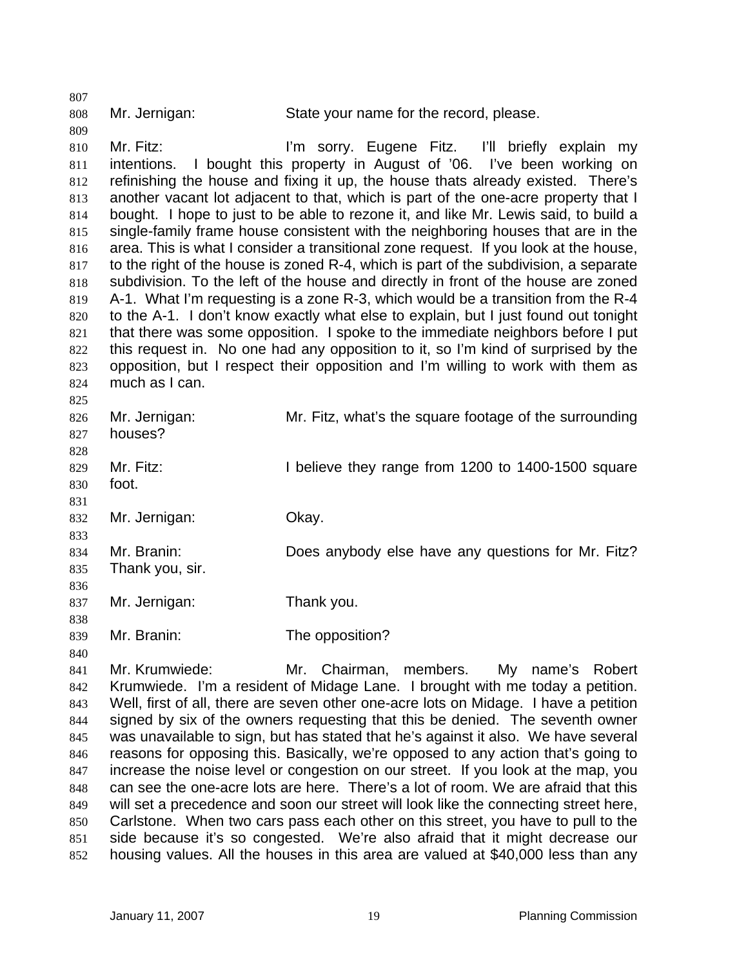808

807

809

840

Mr. Jernigan: State your name for the record, please.

810 811 812 813 814 815 816 817 818 819 820 821 822 823 824  $925$ Mr. Fitz: **Italy in Sorty.** Eugene Fitz. I'll briefly explain my intentions. I bought this property in August of '06. I've been working on refinishing the house and fixing it up, the house thats already existed. There's another vacant lot adjacent to that, which is part of the one-acre property that I bought. I hope to just to be able to rezone it, and like Mr. Lewis said, to build a single-family frame house consistent with the neighboring houses that are in the area. This is what I consider a transitional zone request. If you look at the house, to the right of the house is zoned R-4, which is part of the subdivision, a separate subdivision. To the left of the house and directly in front of the house are zoned A-1. What I'm requesting is a zone R-3, which would be a transition from the R-4 to the A-1. I don't know exactly what else to explain, but I just found out tonight that there was some opposition. I spoke to the immediate neighbors before I put this request in. No one had any opposition to it, so I'm kind of surprised by the opposition, but I respect their opposition and I'm willing to work with them as much as I can.

| ັບພ |                 |                                                        |
|-----|-----------------|--------------------------------------------------------|
| 826 | Mr. Jernigan:   | Mr. Fitz, what's the square footage of the surrounding |
| 827 | houses?         |                                                        |
| 828 |                 |                                                        |
| 829 | Mr. Fitz:       | I believe they range from 1200 to 1400-1500 square     |
| 830 | foot.           |                                                        |
| 831 |                 |                                                        |
| 832 | Mr. Jernigan:   | Okay.                                                  |
| 833 |                 |                                                        |
| 834 | Mr. Branin:     | Does anybody else have any questions for Mr. Fitz?     |
| 835 | Thank you, sir. |                                                        |
| 836 |                 |                                                        |
| 837 | Mr. Jernigan:   | Thank you.                                             |
| 838 |                 |                                                        |
| 839 | Mr. Branin:     | The opposition?                                        |

841 842 843 844 845 846 847 848 849 850 851 852 Mr. Krumwiede: Mr. Chairman, members. My name's Robert Krumwiede. I'm a resident of Midage Lane. I brought with me today a petition. Well, first of all, there are seven other one-acre lots on Midage. I have a petition signed by six of the owners requesting that this be denied. The seventh owner was unavailable to sign, but has stated that he's against it also. We have several reasons for opposing this. Basically, we're opposed to any action that's going to increase the noise level or congestion on our street. If you look at the map, you can see the one-acre lots are here. There's a lot of room. We are afraid that this will set a precedence and soon our street will look like the connecting street here, Carlstone. When two cars pass each other on this street, you have to pull to the side because it's so congested. We're also afraid that it might decrease our housing values. All the houses in this area are valued at \$40,000 less than any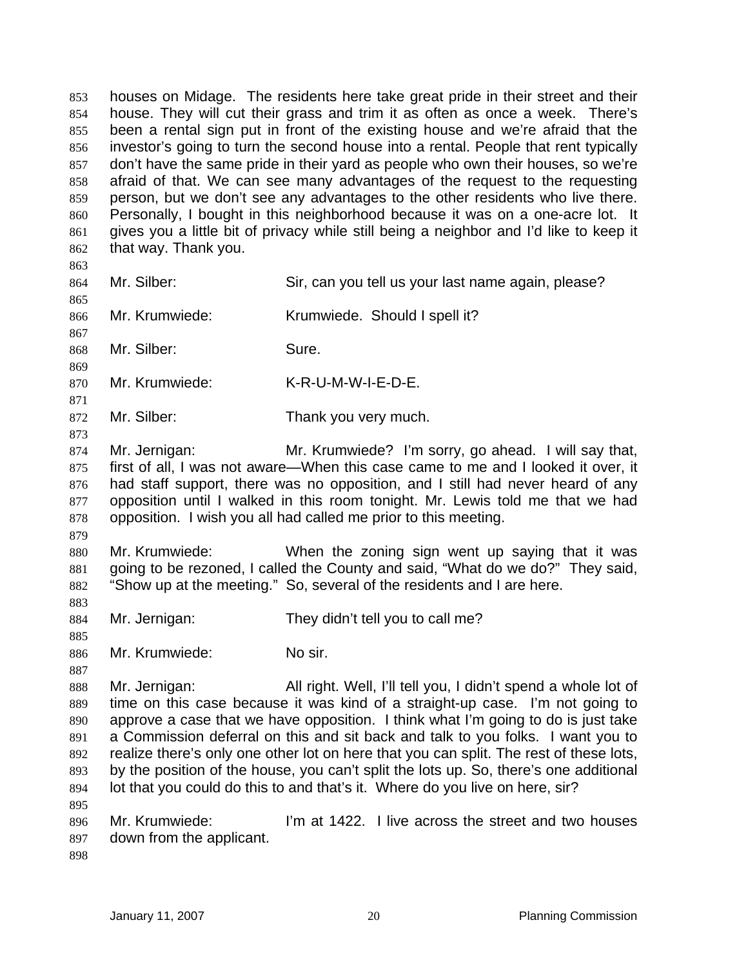houses on Midage. The residents here take great pride in their street and their house. They will cut their grass and trim it as often as once a week. There's been a rental sign put in front of the existing house and we're afraid that the investor's going to turn the second house into a rental. People that rent typically don't have the same pride in their yard as people who own their houses, so we're afraid of that. We can see many advantages of the request to the requesting person, but we don't see any advantages to the other residents who live there. Personally, I bought in this neighborhood because it was on a one-acre lot. It gives you a little bit of privacy while still being a neighbor and I'd like to keep it that way. Thank you. 853 854 855 856 857 858 859 860 861 862

863

865

867

869

871

873

- 864 Mr. Silber: Silber: Sir, can you tell us your last name again, please?
- 866 Mr. Krumwiede: Krumwiede. Should I spell it?

868 Mr. Silber: Sure.

870 Mr. Krumwiede: K-R-U-M-W-I-E-D-E.

- 872 Mr. Silber: Thank you very much.
- 874 875 876 877 878 Mr. Jernigan: Mr. Krumwiede? I'm sorry, go ahead. I will say that, first of all, I was not aware—When this case came to me and I looked it over, it had staff support, there was no opposition, and I still had never heard of any opposition until I walked in this room tonight. Mr. Lewis told me that we had opposition. I wish you all had called me prior to this meeting.
- 879

880 881 882 Mr. Krumwiede: When the zoning sign went up saying that it was going to be rezoned, I called the County and said, "What do we do?" They said, "Show up at the meeting." So, several of the residents and I are here.

- 884 Mr. Jernigan: They didn't tell you to call me?
- 885 886 Mr. Krumwiede: No sir.
- 887

883

888 889 890 891 892 893 894 895 Mr. Jernigan: All right. Well, I'll tell you, I didn't spend a whole lot of time on this case because it was kind of a straight-up case. I'm not going to approve a case that we have opposition. I think what I'm going to do is just take a Commission deferral on this and sit back and talk to you folks. I want you to realize there's only one other lot on here that you can split. The rest of these lots, by the position of the house, you can't split the lots up. So, there's one additional lot that you could do this to and that's it. Where do you live on here, sir?

- 896 897 Mr. Krumwiede: I'm at 1422. I live across the street and two houses down from the applicant.
- 898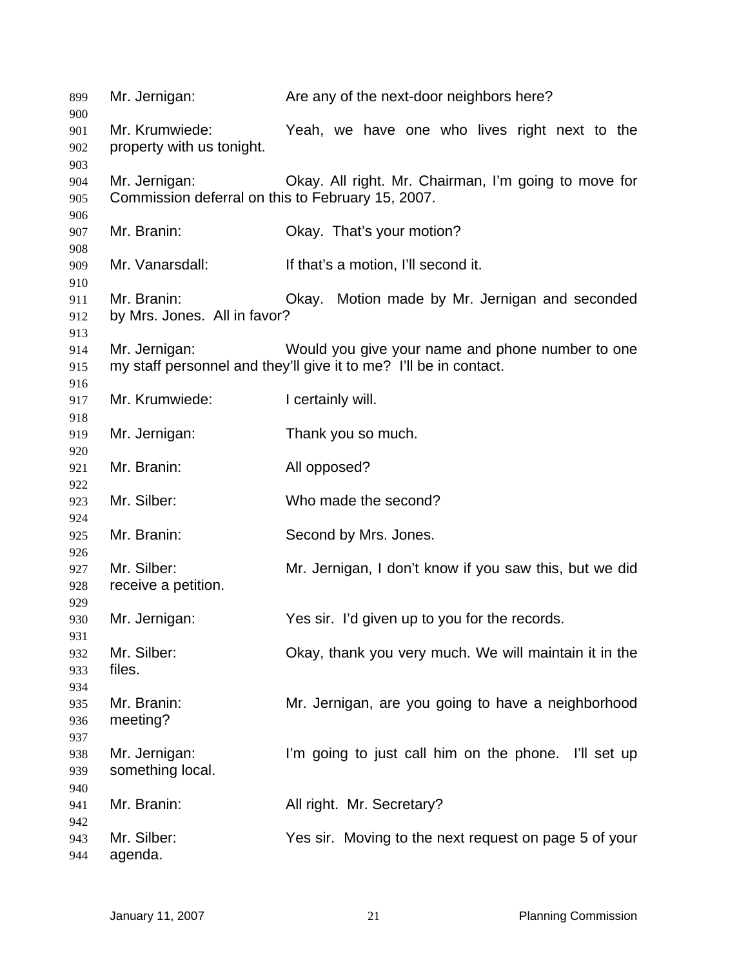| 899<br>900               | Mr. Jernigan:                                                      | Are any of the next-door neighbors here?                                                                              |
|--------------------------|--------------------------------------------------------------------|-----------------------------------------------------------------------------------------------------------------------|
| 901<br>902               | Mr. Krumwiede:<br>property with us tonight.                        | Yeah, we have one who lives right next to the                                                                         |
| 903<br>904<br>905<br>906 | Mr. Jernigan:<br>Commission deferral on this to February 15, 2007. | Okay. All right. Mr. Chairman, I'm going to move for                                                                  |
| 907<br>908               | Mr. Branin:                                                        | Okay. That's your motion?                                                                                             |
| 909<br>910               | Mr. Vanarsdall:                                                    | If that's a motion, I'll second it.                                                                                   |
| 911<br>912<br>913        | Mr. Branin:<br>by Mrs. Jones. All in favor?                        | Okay. Motion made by Mr. Jernigan and seconded                                                                        |
| 914<br>915<br>916        | Mr. Jernigan:                                                      | Would you give your name and phone number to one<br>my staff personnel and they'll give it to me? I'll be in contact. |
| 917<br>918               | Mr. Krumwiede:                                                     | I certainly will.                                                                                                     |
| 919<br>920               | Mr. Jernigan:                                                      | Thank you so much.                                                                                                    |
| 921<br>922               | Mr. Branin:                                                        | All opposed?                                                                                                          |
| 923<br>924               | Mr. Silber:                                                        | Who made the second?                                                                                                  |
| 925<br>926               | Mr. Branin:                                                        | Second by Mrs. Jones.                                                                                                 |
| 927<br>928<br>929        | Mr. Silber:<br>receive a petition.                                 | Mr. Jernigan, I don't know if you saw this, but we did                                                                |
| 930<br>931               | Mr. Jernigan:                                                      | Yes sir. I'd given up to you for the records.                                                                         |
| 932<br>933<br>934        | Mr. Silber:<br>files.                                              | Okay, thank you very much. We will maintain it in the                                                                 |
| 935<br>936<br>937        | Mr. Branin:<br>meeting?                                            | Mr. Jernigan, are you going to have a neighborhood                                                                    |
| 938<br>939<br>940        | Mr. Jernigan:<br>something local.                                  | I'm going to just call him on the phone. I'll set up                                                                  |
| 941<br>942               | Mr. Branin:                                                        | All right. Mr. Secretary?                                                                                             |
| 943<br>944               | Mr. Silber:<br>agenda.                                             | Yes sir. Moving to the next request on page 5 of your                                                                 |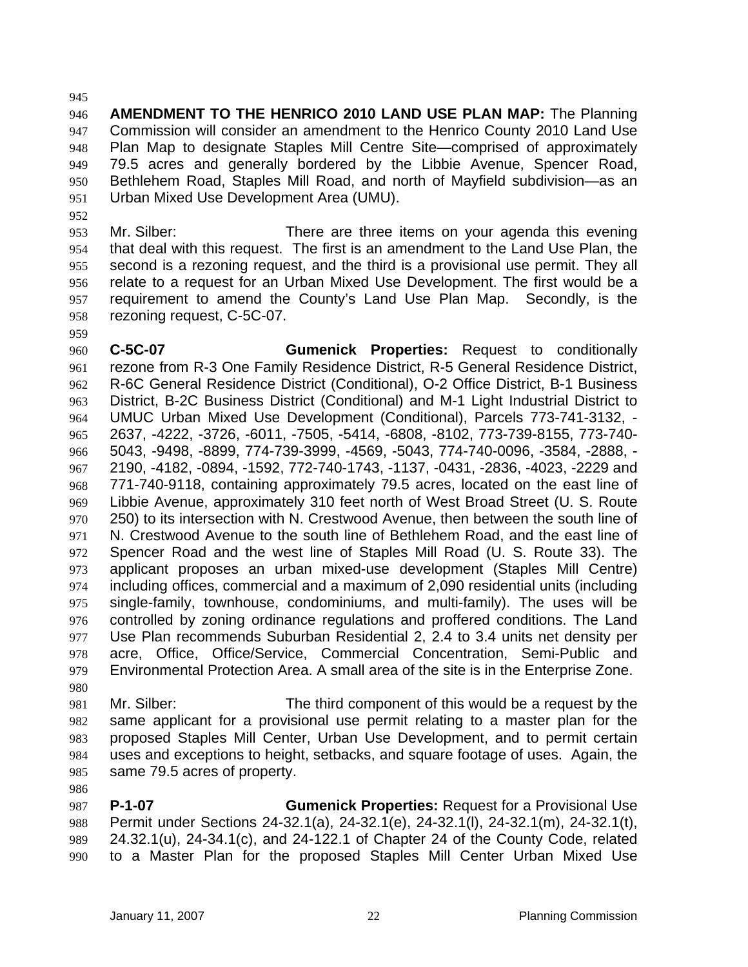945

959

986

946 947 948 949 950 951 **AMENDMENT TO THE HENRICO 2010 LAND USE PLAN MAP:** The Planning Commission will consider an amendment to the Henrico County 2010 Land Use Plan Map to designate Staples Mill Centre Site—comprised of approximately 79.5 acres and generally bordered by the Libbie Avenue, Spencer Road, Bethlehem Road, Staples Mill Road, and north of Mayfield subdivision—as an Urban Mixed Use Development Area (UMU).

952 953 954 955 956 957 958 Mr. Silber: There are three items on your agenda this evening that deal with this request. The first is an amendment to the Land Use Plan, the second is a rezoning request, and the third is a provisional use permit. They all relate to a request for an Urban Mixed Use Development. The first would be a requirement to amend the County's Land Use Plan Map. Secondly, is the rezoning request, C-5C-07.

960 961 962 963 964 965 966 967 968 969 970 971 972 973 974 975 976 977 978 979 **C-5C-07 Gumenick Properties:** Request to conditionally rezone from R-3 One Family Residence District, R-5 General Residence District, R-6C General Residence District (Conditional), O-2 Office District, B-1 Business District, B-2C Business District (Conditional) and M-1 Light Industrial District to UMUC Urban Mixed Use Development (Conditional), Parcels 773-741-3132, - 2637, -4222, -3726, -6011, -7505, -5414, -6808, -8102, 773-739-8155, 773-740- 5043, -9498, -8899, 774-739-3999, -4569, -5043, 774-740-0096, -3584, -2888, - 2190, -4182, -0894, -1592, 772-740-1743, -1137, -0431, -2836, -4023, -2229 and 771-740-9118, containing approximately 79.5 acres, located on the east line of Libbie Avenue, approximately 310 feet north of West Broad Street (U. S. Route 250) to its intersection with N. Crestwood Avenue, then between the south line of N. Crestwood Avenue to the south line of Bethlehem Road, and the east line of Spencer Road and the west line of Staples Mill Road (U. S. Route 33). The applicant proposes an urban mixed-use development (Staples Mill Centre) including offices, commercial and a maximum of 2,090 residential units (including single-family, townhouse, condominiums, and multi-family). The uses will be controlled by zoning ordinance regulations and proffered conditions. The Land Use Plan recommends Suburban Residential 2, 2.4 to 3.4 units net density per acre, Office, Office/Service, Commercial Concentration, Semi-Public and Environmental Protection Area. A small area of the site is in the Enterprise Zone.

980 981 982 983 984 985 Mr. Silber: The third component of this would be a request by the same applicant for a provisional use permit relating to a master plan for the proposed Staples Mill Center, Urban Use Development, and to permit certain uses and exceptions to height, setbacks, and square footage of uses. Again, the same 79.5 acres of property.

987 988 989 990 **P-1-07 Gumenick Properties:** Request for a Provisional Use Permit under Sections 24-32.1(a), 24-32.1(e), 24-32.1(l), 24-32.1(m), 24-32.1(t), 24.32.1(u), 24-34.1(c), and 24-122.1 of Chapter 24 of the County Code, related to a Master Plan for the proposed Staples Mill Center Urban Mixed Use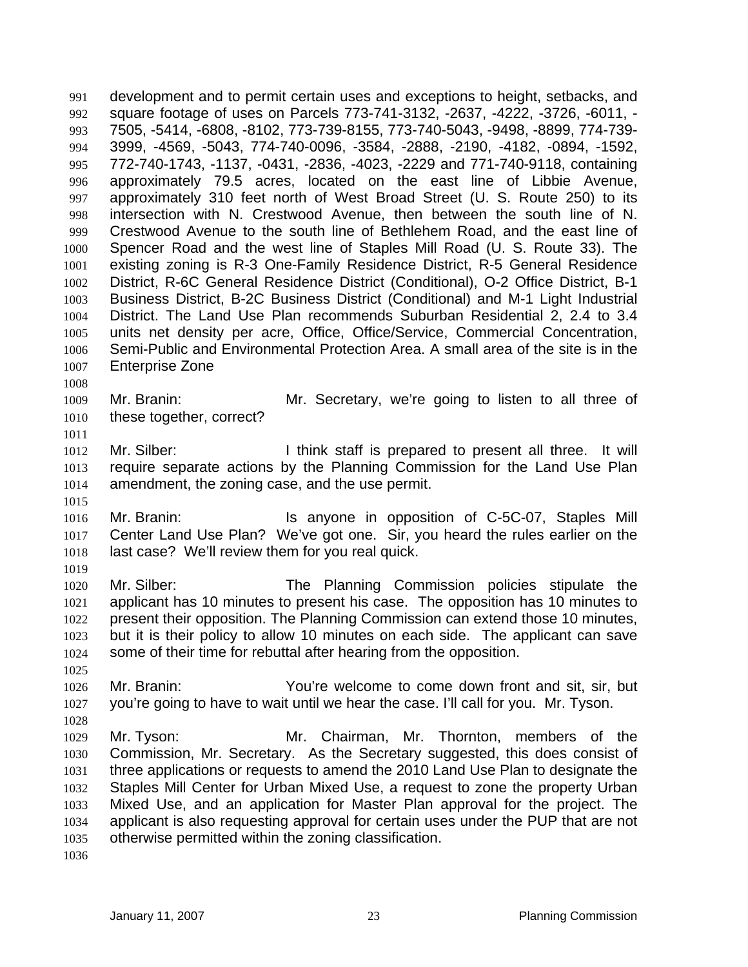development and to permit certain uses and exceptions to height, setbacks, and square footage of uses on Parcels 773-741-3132, -2637, -4222, -3726, -6011, - 7505, -5414, -6808, -8102, 773-739-8155, 773-740-5043, -9498, -8899, 774-739- 3999, -4569, -5043, 774-740-0096, -3584, -2888, -2190, -4182, -0894, -1592, 772-740-1743, -1137, -0431, -2836, -4023, -2229 and 771-740-9118, containing approximately 79.5 acres, located on the east line of Libbie Avenue, approximately 310 feet north of West Broad Street (U. S. Route 250) to its intersection with N. Crestwood Avenue, then between the south line of N. Crestwood Avenue to the south line of Bethlehem Road, and the east line of Spencer Road and the west line of Staples Mill Road (U. S. Route 33). The existing zoning is R-3 One-Family Residence District, R-5 General Residence District, R-6C General Residence District (Conditional), O-2 Office District, B-1 Business District, B-2C Business District (Conditional) and M-1 Light Industrial District. The Land Use Plan recommends Suburban Residential 2, 2.4 to 3.4 units net density per acre, Office, Office/Service, Commercial Concentration, Semi-Public and Environmental Protection Area. A small area of the site is in the Enterprise Zone 991 992 993 994 995 996 997 998 999 1000 1001 1002 1003 1004 1005 1006 1007

- 1009 1010 Mr. Branin: Mr. Secretary, we're going to listen to all three of these together, correct?
- 1011

1015

1008

- 1012 1013 1014 Mr. Silber: I think staff is prepared to present all three. It will require separate actions by the Planning Commission for the Land Use Plan amendment, the zoning case, and the use permit.
- 1016 1017 1018 Mr. Branin: Is anyone in opposition of C-5C-07, Staples Mill Center Land Use Plan? We've got one. Sir, you heard the rules earlier on the last case? We'll review them for you real quick.
- 1019

1025

1028

- 1020 1021 1022 1023 1024 Mr. Silber: The Planning Commission policies stipulate the applicant has 10 minutes to present his case. The opposition has 10 minutes to present their opposition. The Planning Commission can extend those 10 minutes, but it is their policy to allow 10 minutes on each side. The applicant can save some of their time for rebuttal after hearing from the opposition.
- 1026 1027 Mr. Branin: You're welcome to come down front and sit, sir, but you're going to have to wait until we hear the case. I'll call for you. Mr. Tyson.
- 1029 1030 1031 1032 1033 1034 1035 Mr. Tyson: Mr. Chairman, Mr. Thornton, members of the Commission, Mr. Secretary. As the Secretary suggested, this does consist of three applications or requests to amend the 2010 Land Use Plan to designate the Staples Mill Center for Urban Mixed Use, a request to zone the property Urban Mixed Use, and an application for Master Plan approval for the project. The applicant is also requesting approval for certain uses under the PUP that are not otherwise permitted within the zoning classification.
- 1036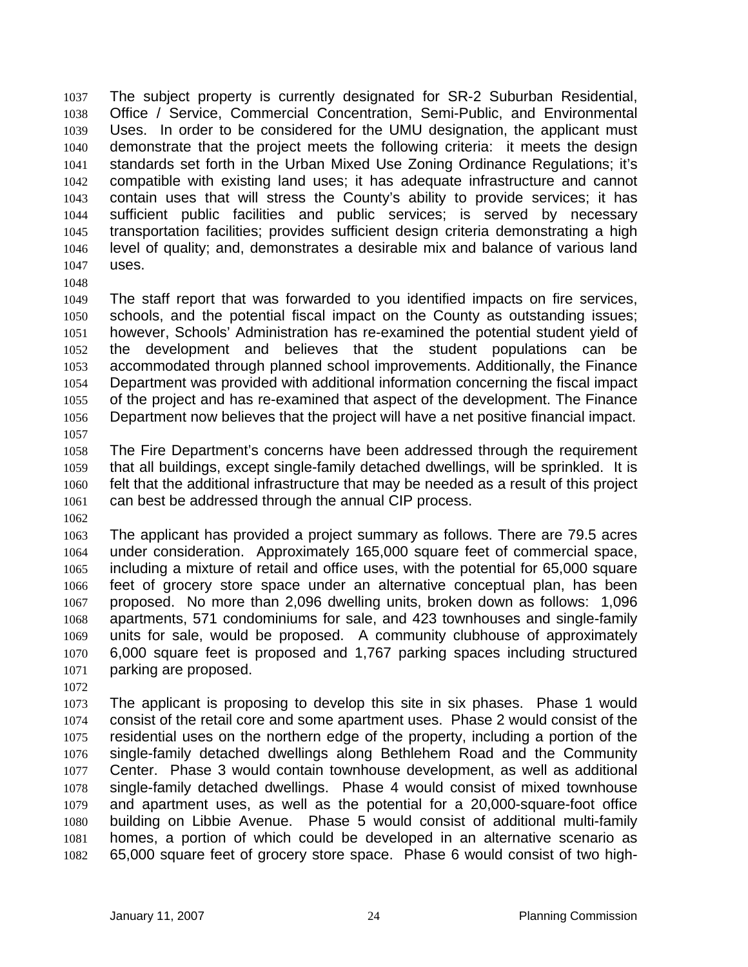The subject property is currently designated for SR-2 Suburban Residential, Office / Service, Commercial Concentration, Semi-Public, and Environmental Uses. In order to be considered for the UMU designation, the applicant must demonstrate that the project meets the following criteria: it meets the design standards set forth in the Urban Mixed Use Zoning Ordinance Regulations; it's compatible with existing land uses; it has adequate infrastructure and cannot contain uses that will stress the County's ability to provide services; it has sufficient public facilities and public services; is served by necessary transportation facilities; provides sufficient design criteria demonstrating a high level of quality; and, demonstrates a desirable mix and balance of various land uses. 1037 1038 1039 1040 1041 1042 1043 1044 1045 1046 1047

1048

1049 1050 1051 1052 1053 1054 1055 1056 1057 The staff report that was forwarded to you identified impacts on fire services, schools, and the potential fiscal impact on the County as outstanding issues; however, Schools' Administration has re-examined the potential student yield of the development and believes that the student populations can be accommodated through planned school improvements. Additionally, the Finance Department was provided with additional information concerning the fiscal impact of the project and has re-examined that aspect of the development. The Finance Department now believes that the project will have a net positive financial impact.

1058 1059 1060 1061 The Fire Department's concerns have been addressed through the requirement that all buildings, except single-family detached dwellings, will be sprinkled. It is felt that the additional infrastructure that may be needed as a result of this project can best be addressed through the annual CIP process.

1062

1063 1064 1065 1066 1067 1068 1069 1070 1071 The applicant has provided a project summary as follows. There are 79.5 acres under consideration. Approximately 165,000 square feet of commercial space, including a mixture of retail and office uses, with the potential for 65,000 square feet of grocery store space under an alternative conceptual plan, has been proposed. No more than 2,096 dwelling units, broken down as follows: 1,096 apartments, 571 condominiums for sale, and 423 townhouses and single-family units for sale, would be proposed. A community clubhouse of approximately 6,000 square feet is proposed and 1,767 parking spaces including structured parking are proposed.

1072

1073 1074 1075 1076 1077 1078 1079 1080 1081 1082 The applicant is proposing to develop this site in six phases. Phase 1 would consist of the retail core and some apartment uses. Phase 2 would consist of the residential uses on the northern edge of the property, including a portion of the single-family detached dwellings along Bethlehem Road and the Community Center. Phase 3 would contain townhouse development, as well as additional single-family detached dwellings. Phase 4 would consist of mixed townhouse and apartment uses, as well as the potential for a 20,000-square-foot office building on Libbie Avenue. Phase 5 would consist of additional multi-family homes, a portion of which could be developed in an alternative scenario as 65,000 square feet of grocery store space. Phase 6 would consist of two high-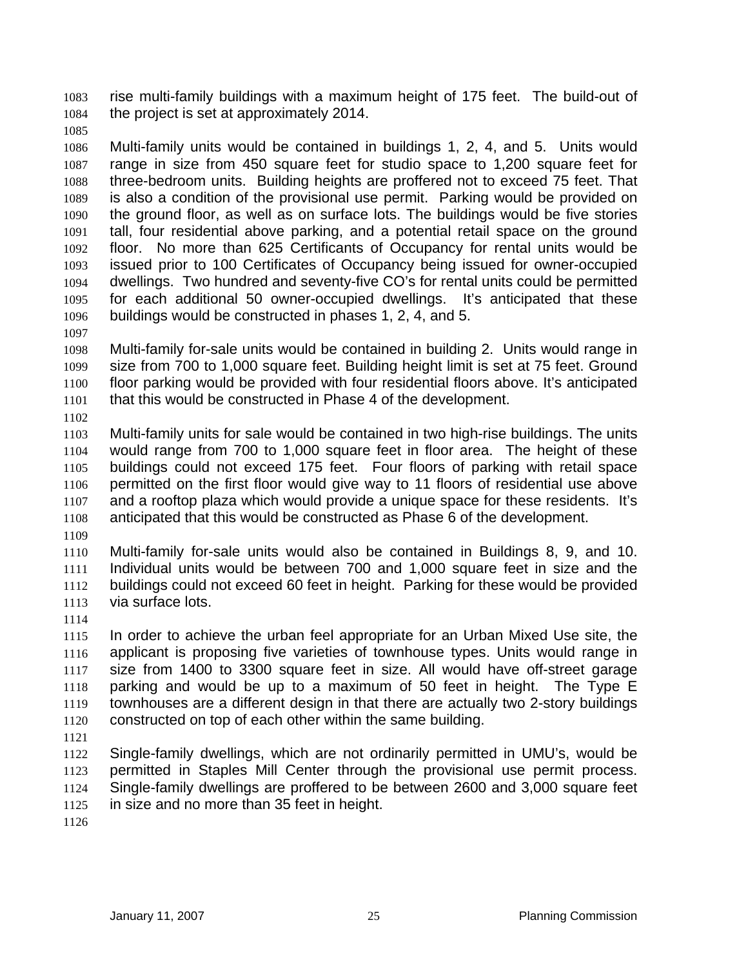rise multi-family buildings with a maximum height of 175 feet. The build-out of the project is set at approximately 2014. 1083 1084

1085

1086 1087 1088 1089 1090 1091 1092 1093 1094 1095 1096 Multi-family units would be contained in buildings 1, 2, 4, and 5. Units would range in size from 450 square feet for studio space to 1,200 square feet for three-bedroom units. Building heights are proffered not to exceed 75 feet. That is also a condition of the provisional use permit. Parking would be provided on the ground floor, as well as on surface lots. The buildings would be five stories tall, four residential above parking, and a potential retail space on the ground floor. No more than 625 Certificants of Occupancy for rental units would be issued prior to 100 Certificates of Occupancy being issued for owner-occupied dwellings. Two hundred and seventy-five CO's for rental units could be permitted for each additional 50 owner-occupied dwellings. It's anticipated that these buildings would be constructed in phases 1, 2, 4, and 5.

1097

1098 1099 1100 1101 Multi-family for-sale units would be contained in building 2. Units would range in size from 700 to 1,000 square feet. Building height limit is set at 75 feet. Ground floor parking would be provided with four residential floors above. It's anticipated that this would be constructed in Phase 4 of the development.

- 1102
- 1103 1104 1105 1106 1107 1108 Multi-family units for sale would be contained in two high-rise buildings. The units would range from 700 to 1,000 square feet in floor area. The height of these buildings could not exceed 175 feet. Four floors of parking with retail space permitted on the first floor would give way to 11 floors of residential use above and a rooftop plaza which would provide a unique space for these residents. It's anticipated that this would be constructed as Phase 6 of the development.
- 1109

1110 1111 1112 1113 Multi-family for-sale units would also be contained in Buildings 8, 9, and 10. Individual units would be between 700 and 1,000 square feet in size and the buildings could not exceed 60 feet in height. Parking for these would be provided via surface lots.

1114

1115 1116 1117 1118 1119 1120 In order to achieve the urban feel appropriate for an Urban Mixed Use site, the applicant is proposing five varieties of townhouse types. Units would range in size from 1400 to 3300 square feet in size. All would have off-street garage parking and would be up to a maximum of 50 feet in height. The Type E townhouses are a different design in that there are actually two 2-story buildings constructed on top of each other within the same building.

1121

1122 1123 1124 1125 Single-family dwellings, which are not ordinarily permitted in UMU's, would be permitted in Staples Mill Center through the provisional use permit process. Single-family dwellings are proffered to be between 2600 and 3,000 square feet in size and no more than 35 feet in height.

1126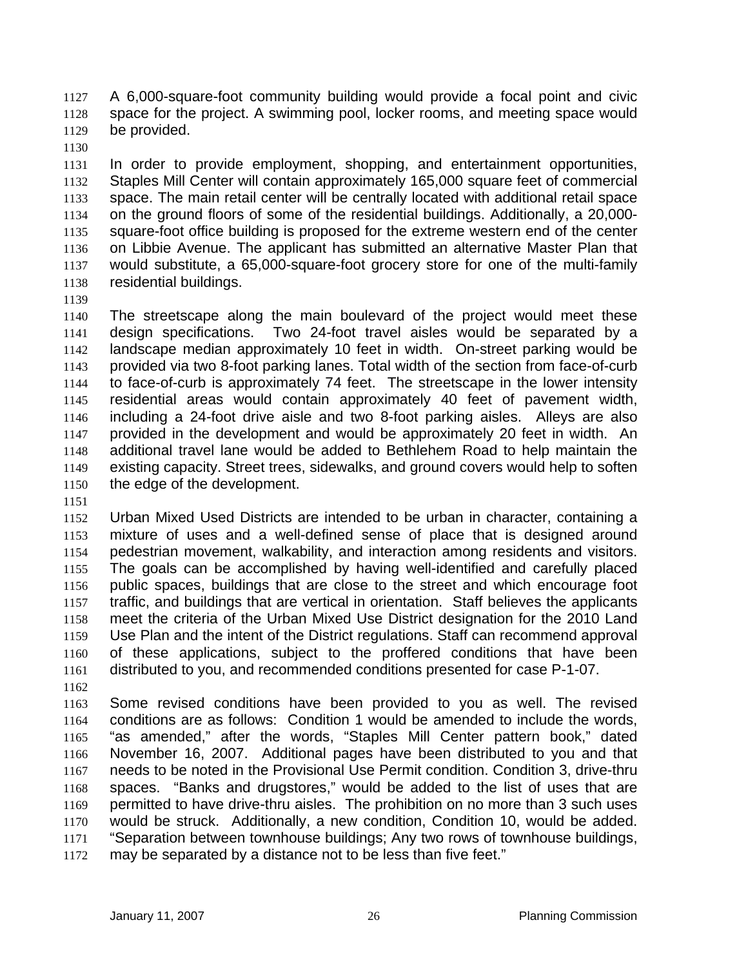A 6,000-square-foot community building would provide a focal point and civic space for the project. A swimming pool, locker rooms, and meeting space would be provided. 1127 1128 1129

1130

1131 1132 1133 1134 1135 1136 1137 1138 In order to provide employment, shopping, and entertainment opportunities, Staples Mill Center will contain approximately 165,000 square feet of commercial space. The main retail center will be centrally located with additional retail space on the ground floors of some of the residential buildings. Additionally, a 20,000 square-foot office building is proposed for the extreme western end of the center on Libbie Avenue. The applicant has submitted an alternative Master Plan that would substitute, a 65,000-square-foot grocery store for one of the multi-family residential buildings.

1139

1140 1141 1142 1143 1144 1145 1146 1147 1148 1149 1150 The streetscape along the main boulevard of the project would meet these design specifications. Two 24-foot travel aisles would be separated by a landscape median approximately 10 feet in width. On-street parking would be provided via two 8-foot parking lanes. Total width of the section from face-of-curb to face-of-curb is approximately 74 feet. The streetscape in the lower intensity residential areas would contain approximately 40 feet of pavement width, including a 24-foot drive aisle and two 8-foot parking aisles. Alleys are also provided in the development and would be approximately 20 feet in width. An additional travel lane would be added to Bethlehem Road to help maintain the existing capacity. Street trees, sidewalks, and ground covers would help to soften the edge of the development.

1151

1152 1153 1154 1155 1156 1157 1158 1159 1160 1161 Urban Mixed Used Districts are intended to be urban in character, containing a mixture of uses and a well-defined sense of place that is designed around pedestrian movement, walkability, and interaction among residents and visitors. The goals can be accomplished by having well-identified and carefully placed public spaces, buildings that are close to the street and which encourage foot traffic, and buildings that are vertical in orientation. Staff believes the applicants meet the criteria of the Urban Mixed Use District designation for the 2010 Land Use Plan and the intent of the District regulations. Staff can recommend approval of these applications, subject to the proffered conditions that have been distributed to you, and recommended conditions presented for case P-1-07.

1162

1163 1164 1165 1166 1167 1168 1169 1170 1171 1172 Some revised conditions have been provided to you as well. The revised conditions are as follows: Condition 1 would be amended to include the words, "as amended," after the words, "Staples Mill Center pattern book," dated November 16, 2007. Additional pages have been distributed to you and that needs to be noted in the Provisional Use Permit condition. Condition 3, drive-thru spaces. "Banks and drugstores," would be added to the list of uses that are permitted to have drive-thru aisles. The prohibition on no more than 3 such uses would be struck. Additionally, a new condition, Condition 10, would be added. "Separation between townhouse buildings; Any two rows of townhouse buildings, may be separated by a distance not to be less than five feet."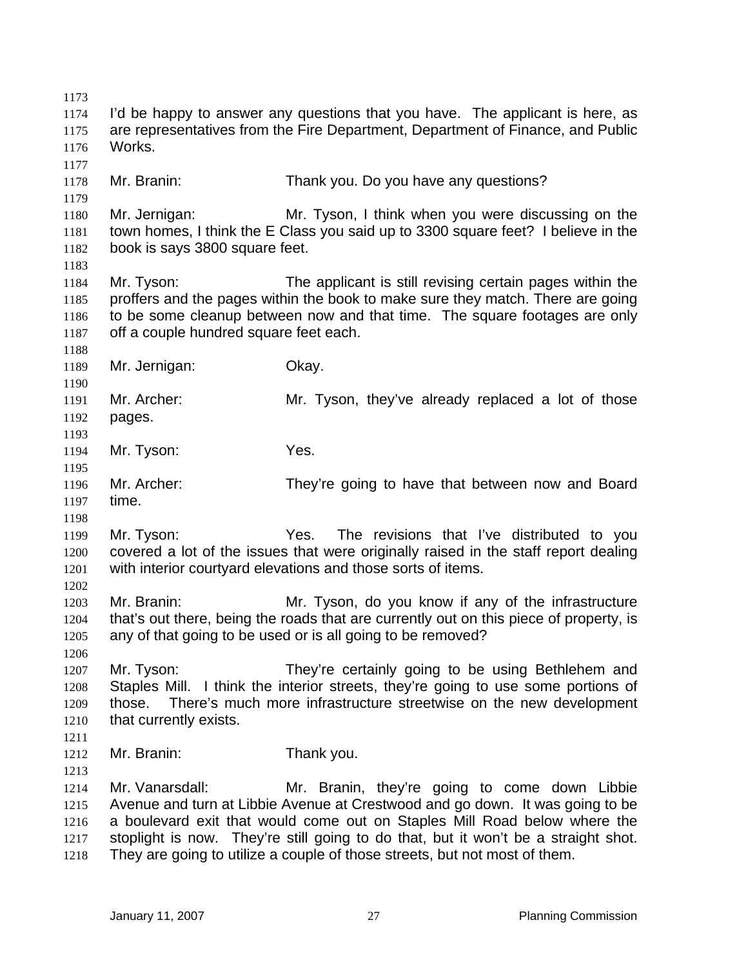1173 1174 1175 1176 1177 1178 1179 1180 1181 1182 1183 1184 1185 1186 1187 1188 1189 1190 1191 1192 1193 1194 1195 1196 1197 1198 1199 1200 1201 1202 1203 1204 1205 1206 1207 1208 1209 1210 1211 1212 1213 1214 1215 1216 1217 1218 I'd be happy to answer any questions that you have. The applicant is here, as are representatives from the Fire Department, Department of Finance, and Public Works. Mr. Branin: Thank you. Do you have any questions? Mr. Jernigan: Mr. Tyson, I think when you were discussing on the town homes, I think the E Class you said up to 3300 square feet? I believe in the book is says 3800 square feet. Mr. Tyson: The applicant is still revising certain pages within the proffers and the pages within the book to make sure they match. There are going to be some cleanup between now and that time. The square footages are only off a couple hundred square feet each. Mr. Jernigan: Okay. Mr. Archer: Mr. Tyson, they've already replaced a lot of those pages. Mr. Tyson: Yes. Mr. Archer: They're going to have that between now and Board time. Mr. Tyson: Yes. The revisions that I've distributed to you covered a lot of the issues that were originally raised in the staff report dealing with interior courtyard elevations and those sorts of items. Mr. Branin: Mr. Tyson, do you know if any of the infrastructure that's out there, being the roads that are currently out on this piece of property, is any of that going to be used or is all going to be removed? Mr. Tyson: They're certainly going to be using Bethlehem and Staples Mill. I think the interior streets, they're going to use some portions of those. There's much more infrastructure streetwise on the new development that currently exists. Mr. Branin: Thank you. Mr. Vanarsdall: Mr. Branin, they're going to come down Libbie Avenue and turn at Libbie Avenue at Crestwood and go down. It was going to be a boulevard exit that would come out on Staples Mill Road below where the stoplight is now. They're still going to do that, but it won't be a straight shot. They are going to utilize a couple of those streets, but not most of them.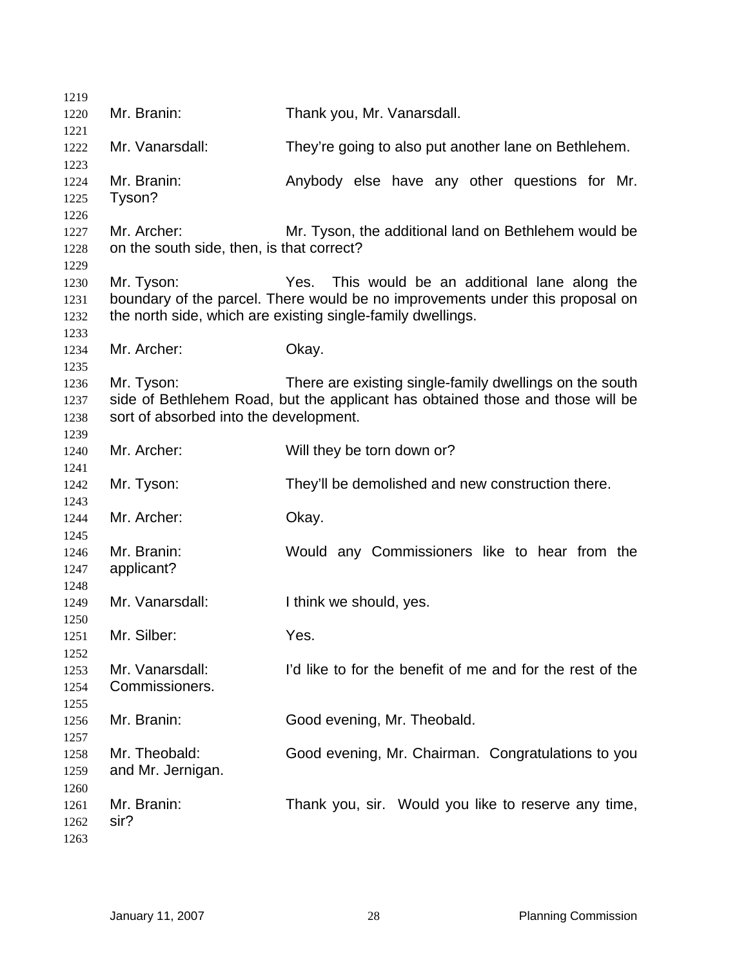| 1219         |                                           |                                                                                |
|--------------|-------------------------------------------|--------------------------------------------------------------------------------|
| 1220         | Mr. Branin:                               | Thank you, Mr. Vanarsdall.                                                     |
| 1221         |                                           |                                                                                |
| 1222         | Mr. Vanarsdall:                           | They're going to also put another lane on Bethlehem.                           |
| 1223         | Mr. Branin:                               | Anybody else have any other questions for Mr.                                  |
| 1224         |                                           |                                                                                |
| 1225<br>1226 | Tyson?                                    |                                                                                |
| 1227         | Mr. Archer:                               | Mr. Tyson, the additional land on Bethlehem would be                           |
| 1228         | on the south side, then, is that correct? |                                                                                |
| 1229         |                                           |                                                                                |
| 1230         | Mr. Tyson:                                | Yes. This would be an additional lane along the                                |
| 1231         |                                           | boundary of the parcel. There would be no improvements under this proposal on  |
| 1232         |                                           | the north side, which are existing single-family dwellings.                    |
| 1233         |                                           |                                                                                |
| 1234         | Mr. Archer:                               | Okay.                                                                          |
| 1235         |                                           |                                                                                |
| 1236         | Mr. Tyson:                                | There are existing single-family dwellings on the south                        |
| 1237         |                                           | side of Bethlehem Road, but the applicant has obtained those and those will be |
| 1238         | sort of absorbed into the development.    |                                                                                |
| 1239         |                                           |                                                                                |
| 1240         | Mr. Archer:                               | Will they be torn down or?                                                     |
| 1241         |                                           |                                                                                |
| 1242         | Mr. Tyson:                                | They'll be demolished and new construction there.                              |
| 1243         |                                           |                                                                                |
| 1244         | Mr. Archer:                               | Okay.                                                                          |
| 1245         |                                           |                                                                                |
| 1246         | Mr. Branin:                               | Would any Commissioners like to hear from the                                  |
| 1247         | applicant?                                |                                                                                |
| 1248         |                                           |                                                                                |
| 1249         | Mr. Vanarsdall:                           | I think we should, yes.                                                        |
| 1250         |                                           |                                                                                |
| 1251         | Mr. Silber:                               | Yes.                                                                           |
| 1252         |                                           | I'd like to for the benefit of me and for the rest of the                      |
| 1253         | Mr. Vanarsdall:<br>Commissioners.         |                                                                                |
| 1254         |                                           |                                                                                |
| 1255<br>1256 | Mr. Branin:                               | Good evening, Mr. Theobald.                                                    |
| 1257         |                                           |                                                                                |
| 1258         | Mr. Theobald:                             | Good evening, Mr. Chairman. Congratulations to you                             |
| 1259         | and Mr. Jernigan.                         |                                                                                |
| 1260         |                                           |                                                                                |
| 1261         | Mr. Branin:                               | Thank you, sir. Would you like to reserve any time,                            |
| 1262         | sir?                                      |                                                                                |
| 1263         |                                           |                                                                                |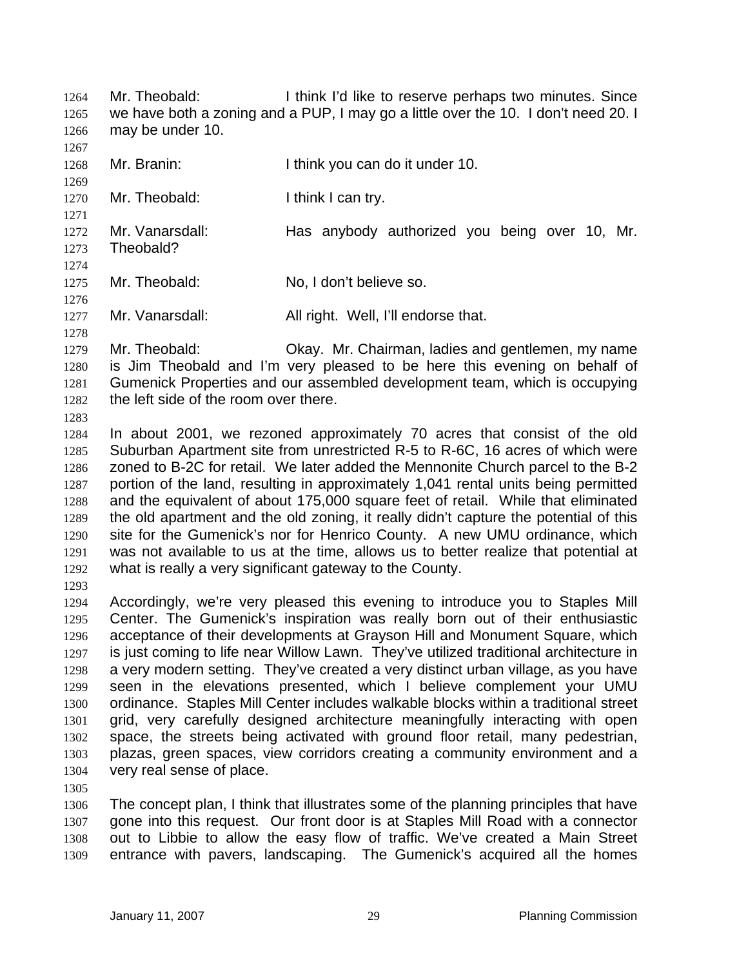Mr. Theobald: I think I'd like to reserve perhaps two minutes. Since we have both a zoning and a PUP, I may go a little over the 10. I don't need 20. I may be under 10. 1264 1265 1266

1268 Mr. Branin: I think you can do it under 10.

1270 Mr. Theobald: I think I can try.

1272 1273 Mr. Vanarsdall: Has anybody authorized you being over 10, Mr. Theobald?

1275 Mr. Theobald: No, I don't believe so.

1277 Mr. Vanarsdall: All right. Well, I'll endorse that.

1279 1280 1281 1282 Mr. Theobald: Okay. Mr. Chairman, ladies and gentlemen, my name is Jim Theobald and I'm very pleased to be here this evening on behalf of Gumenick Properties and our assembled development team, which is occupying the left side of the room over there.

1283

1267

1269

1271

1274

1276

1278

1284 1285 1286 1287 1288 1289 1290 1291 1292 In about 2001, we rezoned approximately 70 acres that consist of the old Suburban Apartment site from unrestricted R-5 to R-6C, 16 acres of which were zoned to B-2C for retail. We later added the Mennonite Church parcel to the B-2 portion of the land, resulting in approximately 1,041 rental units being permitted and the equivalent of about 175,000 square feet of retail. While that eliminated the old apartment and the old zoning, it really didn't capture the potential of this site for the Gumenick's nor for Henrico County. A new UMU ordinance, which was not available to us at the time, allows us to better realize that potential at what is really a very significant gateway to the County.

1293

1294 1295 1296 1297 1298 1299 1300 1301 1302 1303 1304 Accordingly, we're very pleased this evening to introduce you to Staples Mill Center. The Gumenick's inspiration was really born out of their enthusiastic acceptance of their developments at Grayson Hill and Monument Square, which is just coming to life near Willow Lawn. They've utilized traditional architecture in a very modern setting. They've created a very distinct urban village, as you have seen in the elevations presented, which I believe complement your UMU ordinance. Staples Mill Center includes walkable blocks within a traditional street grid, very carefully designed architecture meaningfully interacting with open space, the streets being activated with ground floor retail, many pedestrian, plazas, green spaces, view corridors creating a community environment and a very real sense of place.

1305

1306 1307 1308 1309 The concept plan, I think that illustrates some of the planning principles that have gone into this request. Our front door is at Staples Mill Road with a connector out to Libbie to allow the easy flow of traffic. We've created a Main Street entrance with pavers, landscaping. The Gumenick's acquired all the homes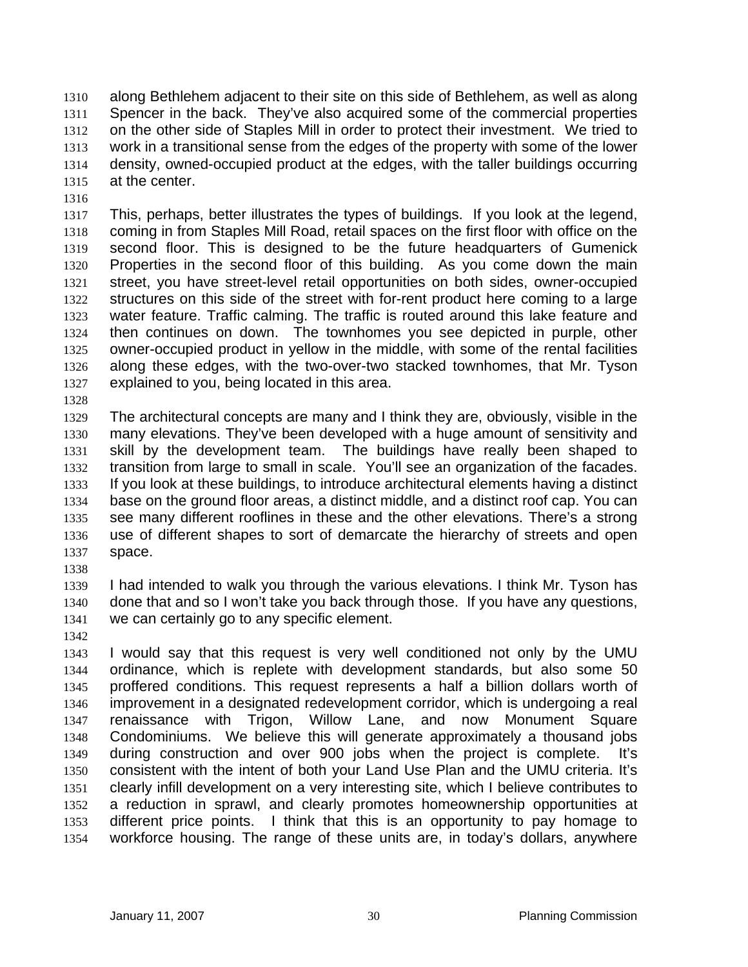along Bethlehem adjacent to their site on this side of Bethlehem, as well as along Spencer in the back. They've also acquired some of the commercial properties on the other side of Staples Mill in order to protect their investment. We tried to work in a transitional sense from the edges of the property with some of the lower density, owned-occupied product at the edges, with the taller buildings occurring at the center. 1310 1311 1312 1313 1314 1315

1316

1317 1318 1319 1320 1321 1322 1323 1324 1325 1326 1327 This, perhaps, better illustrates the types of buildings. If you look at the legend, coming in from Staples Mill Road, retail spaces on the first floor with office on the second floor. This is designed to be the future headquarters of Gumenick Properties in the second floor of this building. As you come down the main street, you have street-level retail opportunities on both sides, owner-occupied structures on this side of the street with for-rent product here coming to a large water feature. Traffic calming. The traffic is routed around this lake feature and then continues on down. The townhomes you see depicted in purple, other owner-occupied product in yellow in the middle, with some of the rental facilities along these edges, with the two-over-two stacked townhomes, that Mr. Tyson explained to you, being located in this area.

1328

1329 1330 1331 1332 1333 1334 1335 1336 1337 The architectural concepts are many and I think they are, obviously, visible in the many elevations. They've been developed with a huge amount of sensitivity and skill by the development team. The buildings have really been shaped to transition from large to small in scale. You'll see an organization of the facades. If you look at these buildings, to introduce architectural elements having a distinct base on the ground floor areas, a distinct middle, and a distinct roof cap. You can see many different rooflines in these and the other elevations. There's a strong use of different shapes to sort of demarcate the hierarchy of streets and open space.

1338

1339 1340 1341 I had intended to walk you through the various elevations. I think Mr. Tyson has done that and so I won't take you back through those. If you have any questions, we can certainly go to any specific element.

1342

1343 1344 1345 1346 1347 1348 1349 1350 1351 1352 1353 1354 I would say that this request is very well conditioned not only by the UMU ordinance, which is replete with development standards, but also some 50 proffered conditions. This request represents a half a billion dollars worth of improvement in a designated redevelopment corridor, which is undergoing a real renaissance with Trigon, Willow Lane, and now Monument Square Condominiums. We believe this will generate approximately a thousand jobs during construction and over 900 jobs when the project is complete. It's consistent with the intent of both your Land Use Plan and the UMU criteria. It's clearly infill development on a very interesting site, which I believe contributes to a reduction in sprawl, and clearly promotes homeownership opportunities at different price points. I think that this is an opportunity to pay homage to workforce housing. The range of these units are, in today's dollars, anywhere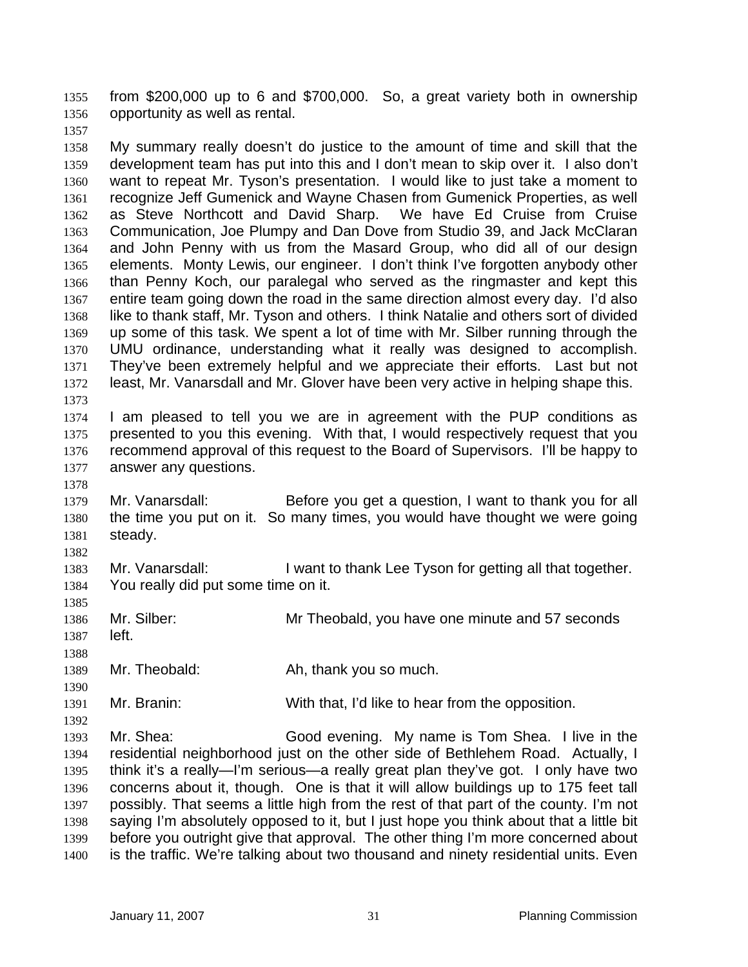from \$200,000 up to 6 and \$700,000. So, a great variety both in ownership opportunity as well as rental. 1355 1356

1357

1378

1385

1388

1390

1392

1358 1359 1360 1361 1362 1363 1364 1365 1366 1367 1368 1369 1370 1371 1372 1373 My summary really doesn't do justice to the amount of time and skill that the development team has put into this and I don't mean to skip over it. I also don't want to repeat Mr. Tyson's presentation. I would like to just take a moment to recognize Jeff Gumenick and Wayne Chasen from Gumenick Properties, as well as Steve Northcott and David Sharp. We have Ed Cruise from Cruise Communication, Joe Plumpy and Dan Dove from Studio 39, and Jack McClaran and John Penny with us from the Masard Group, who did all of our design elements. Monty Lewis, our engineer. I don't think I've forgotten anybody other than Penny Koch, our paralegal who served as the ringmaster and kept this entire team going down the road in the same direction almost every day. I'd also like to thank staff, Mr. Tyson and others. I think Natalie and others sort of divided up some of this task. We spent a lot of time with Mr. Silber running through the UMU ordinance, understanding what it really was designed to accomplish. They've been extremely helpful and we appreciate their efforts. Last but not least, Mr. Vanarsdall and Mr. Glover have been very active in helping shape this.

1374 1375 1376 1377 I am pleased to tell you we are in agreement with the PUP conditions as presented to you this evening. With that, I would respectively request that you recommend approval of this request to the Board of Supervisors. I'll be happy to answer any questions.

- 1379 1380 1381 1382 Mr. Vanarsdall: Before you get a question, I want to thank you for all the time you put on it. So many times, you would have thought we were going steady.
- 1383 1384 Mr. Vanarsdall: I want to thank Lee Tyson for getting all that together. You really did put some time on it.
- 1386 1387 Mr. Silber: Mr Theobald, you have one minute and 57 seconds left.
- 1389 Mr. Theobald: Ah, thank you so much.
- 1391 Mr. Branin: With that, I'd like to hear from the opposition.

1393 1394 1395 1396 1397 1398 1399 1400 Mr. Shea: Good evening. My name is Tom Shea. I live in the residential neighborhood just on the other side of Bethlehem Road. Actually, I think it's a really—I'm serious—a really great plan they've got. I only have two concerns about it, though. One is that it will allow buildings up to 175 feet tall possibly. That seems a little high from the rest of that part of the county. I'm not saying I'm absolutely opposed to it, but I just hope you think about that a little bit before you outright give that approval. The other thing I'm more concerned about is the traffic. We're talking about two thousand and ninety residential units. Even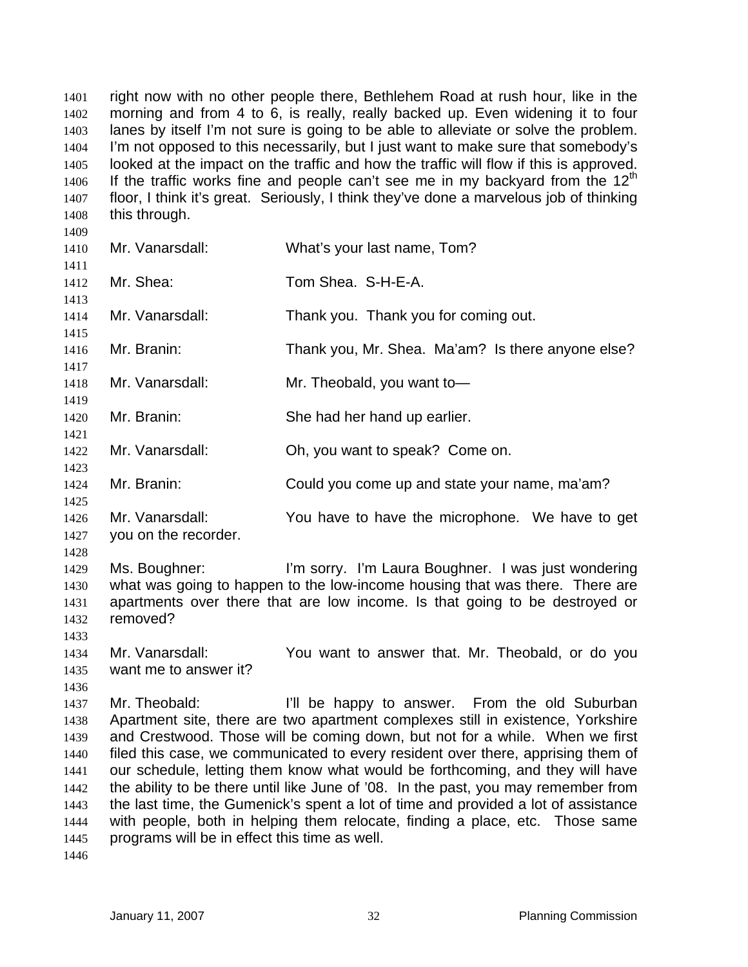right now with no other people there, Bethlehem Road at rush hour, like in the morning and from 4 to 6, is really, really backed up. Even widening it to four lanes by itself I'm not sure is going to be able to alleviate or solve the problem. I'm not opposed to this necessarily, but I just want to make sure that somebody's looked at the impact on the traffic and how the traffic will flow if this is approved. If the traffic works fine and people can't see me in my backyard from the  $12<sup>th</sup>$ 1401 1402 1403 1404 1405 1406 1407 1408 1409 floor, I think it's great. Seriously, I think they've done a marvelous job of thinking this through.

| Mr. Vanarsdall:                                                | What's your last name, Tom?                                                                                                                                                                                                                                                                                                                                                                                                                                                                                                                                                                                                                        |
|----------------------------------------------------------------|----------------------------------------------------------------------------------------------------------------------------------------------------------------------------------------------------------------------------------------------------------------------------------------------------------------------------------------------------------------------------------------------------------------------------------------------------------------------------------------------------------------------------------------------------------------------------------------------------------------------------------------------------|
| Mr. Shea:                                                      | Tom Shea. S-H-E-A.                                                                                                                                                                                                                                                                                                                                                                                                                                                                                                                                                                                                                                 |
| Mr. Vanarsdall:                                                | Thank you. Thank you for coming out.                                                                                                                                                                                                                                                                                                                                                                                                                                                                                                                                                                                                               |
| Mr. Branin:                                                    | Thank you, Mr. Shea. Ma'am? Is there anyone else?                                                                                                                                                                                                                                                                                                                                                                                                                                                                                                                                                                                                  |
| Mr. Vanarsdall:                                                | Mr. Theobald, you want to-                                                                                                                                                                                                                                                                                                                                                                                                                                                                                                                                                                                                                         |
| Mr. Branin:                                                    | She had her hand up earlier.                                                                                                                                                                                                                                                                                                                                                                                                                                                                                                                                                                                                                       |
| Mr. Vanarsdall:                                                | Oh, you want to speak? Come on.                                                                                                                                                                                                                                                                                                                                                                                                                                                                                                                                                                                                                    |
| Mr. Branin:                                                    | Could you come up and state your name, ma'am?                                                                                                                                                                                                                                                                                                                                                                                                                                                                                                                                                                                                      |
| Mr. Vanarsdall:<br>you on the recorder.                        | You have to have the microphone. We have to get                                                                                                                                                                                                                                                                                                                                                                                                                                                                                                                                                                                                    |
| Ms. Boughner:<br>removed?                                      | I'm sorry. I'm Laura Boughner. I was just wondering<br>what was going to happen to the low-income housing that was there. There are<br>apartments over there that are low income. Is that going to be destroyed or                                                                                                                                                                                                                                                                                                                                                                                                                                 |
| Mr. Vanarsdall:<br>want me to answer it?                       | You want to answer that. Mr. Theobald, or do you                                                                                                                                                                                                                                                                                                                                                                                                                                                                                                                                                                                                   |
| Mr. Theobald:<br>programs will be in effect this time as well. | I'll be happy to answer. From the old Suburban<br>Apartment site, there are two apartment complexes still in existence, Yorkshire<br>and Crestwood. Those will be coming down, but not for a while. When we first<br>filed this case, we communicated to every resident over there, apprising them of<br>our schedule, letting them know what would be forthcoming, and they will have<br>the ability to be there until like June of '08. In the past, you may remember from<br>the last time, the Gumenick's spent a lot of time and provided a lot of assistance<br>with people, both in helping them relocate, finding a place, etc. Those same |
|                                                                |                                                                                                                                                                                                                                                                                                                                                                                                                                                                                                                                                                                                                                                    |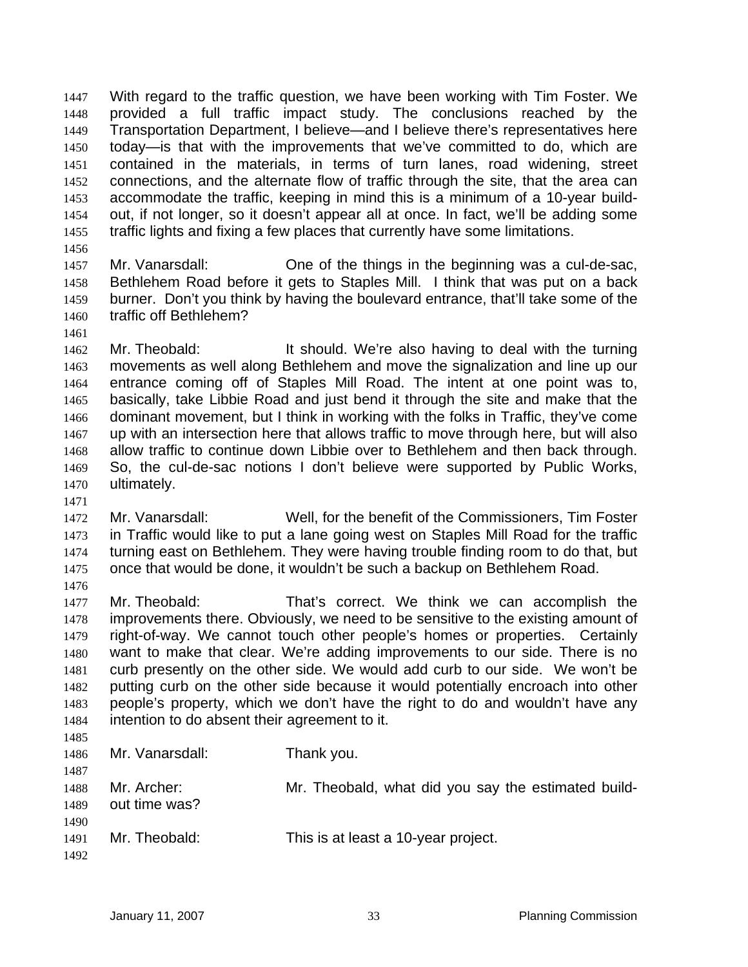With regard to the traffic question, we have been working with Tim Foster. We provided a full traffic impact study. The conclusions reached by the Transportation Department, I believe—and I believe there's representatives here today—is that with the improvements that we've committed to do, which are contained in the materials, in terms of turn lanes, road widening, street connections, and the alternate flow of traffic through the site, that the area can accommodate the traffic, keeping in mind this is a minimum of a 10-year buildout, if not longer, so it doesn't appear all at once. In fact, we'll be adding some traffic lights and fixing a few places that currently have some limitations. 1447 1448 1449 1450 1451 1452 1453 1454 1455

- 1456
- 1457 1458 1459 1460 Mr. Vanarsdall: One of the things in the beginning was a cul-de-sac, Bethlehem Road before it gets to Staples Mill. I think that was put on a back burner. Don't you think by having the boulevard entrance, that'll take some of the traffic off Bethlehem?
- 1461

1471

1462 1463 1464 1465 1466 1467 1468 1469 1470 Mr. Theobald: It should. We're also having to deal with the turning movements as well along Bethlehem and move the signalization and line up our entrance coming off of Staples Mill Road. The intent at one point was to, basically, take Libbie Road and just bend it through the site and make that the dominant movement, but I think in working with the folks in Traffic, they've come up with an intersection here that allows traffic to move through here, but will also allow traffic to continue down Libbie over to Bethlehem and then back through. So, the cul-de-sac notions I don't believe were supported by Public Works, ultimately.

- 1472 1473 1474 1475 1476 Mr. Vanarsdall: Well, for the benefit of the Commissioners, Tim Foster in Traffic would like to put a lane going west on Staples Mill Road for the traffic turning east on Bethlehem. They were having trouble finding room to do that, but once that would be done, it wouldn't be such a backup on Bethlehem Road.
- 1477 1478 1479 1480 1481 1482 1483 1484 Mr. Theobald: That's correct. We think we can accomplish the improvements there. Obviously, we need to be sensitive to the existing amount of right-of-way. We cannot touch other people's homes or properties. Certainly want to make that clear. We're adding improvements to our side. There is no curb presently on the other side. We would add curb to our side. We won't be putting curb on the other side because it would potentially encroach into other people's property, which we don't have the right to do and wouldn't have any intention to do absent their agreement to it.
- 1485 1486 1487 1488 1489 1490 1491 Mr. Vanarsdall: Thank you. Mr. Archer: Mr. Theobald, what did you say the estimated buildout time was? Mr. Theobald: This is at least a 10-year project.
- 1492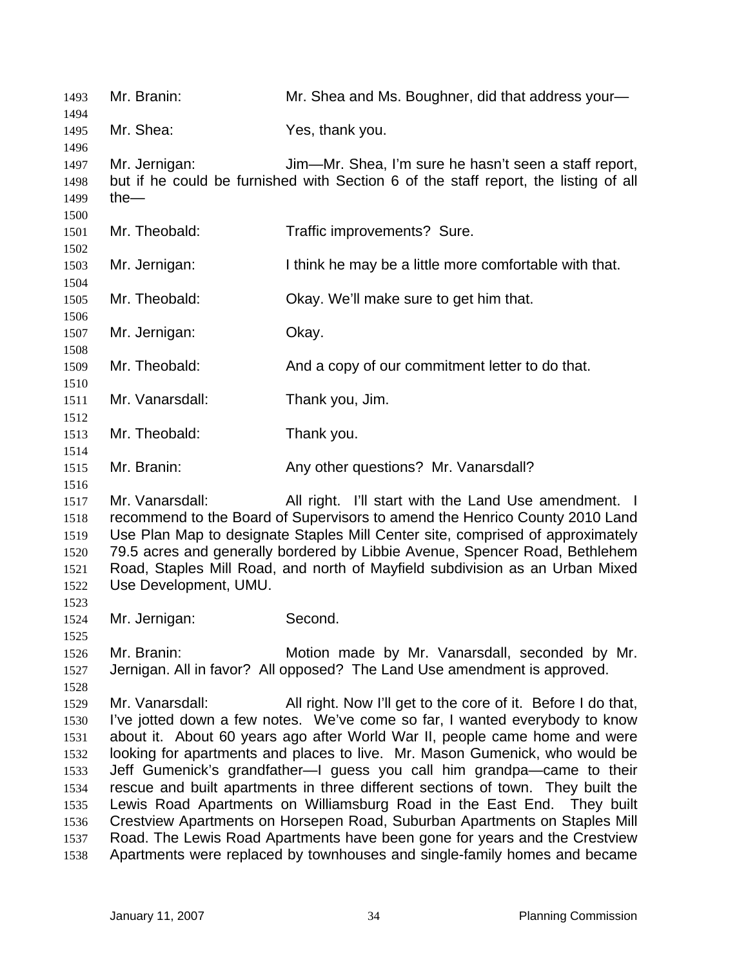| 1493                                                                         | Mr. Branin:                              | Mr. Shea and Ms. Boughner, did that address your-                                                                                                                                                                                                                                                                                                                                                                                                                                                                                                                                                                                                                                                                                                                                        |
|------------------------------------------------------------------------------|------------------------------------------|------------------------------------------------------------------------------------------------------------------------------------------------------------------------------------------------------------------------------------------------------------------------------------------------------------------------------------------------------------------------------------------------------------------------------------------------------------------------------------------------------------------------------------------------------------------------------------------------------------------------------------------------------------------------------------------------------------------------------------------------------------------------------------------|
| 1494<br>1495<br>1496                                                         | Mr. Shea:                                | Yes, thank you.                                                                                                                                                                                                                                                                                                                                                                                                                                                                                                                                                                                                                                                                                                                                                                          |
| 1497<br>1498<br>1499<br>1500                                                 | Mr. Jernigan:<br>the $-$                 | Jim—Mr. Shea, I'm sure he hasn't seen a staff report,<br>but if he could be furnished with Section 6 of the staff report, the listing of all                                                                                                                                                                                                                                                                                                                                                                                                                                                                                                                                                                                                                                             |
| 1501<br>1502                                                                 | Mr. Theobald:                            | Traffic improvements? Sure.                                                                                                                                                                                                                                                                                                                                                                                                                                                                                                                                                                                                                                                                                                                                                              |
| 1503<br>1504                                                                 | Mr. Jernigan:                            | I think he may be a little more comfortable with that.                                                                                                                                                                                                                                                                                                                                                                                                                                                                                                                                                                                                                                                                                                                                   |
| 1505<br>1506                                                                 | Mr. Theobald:                            | Okay. We'll make sure to get him that.                                                                                                                                                                                                                                                                                                                                                                                                                                                                                                                                                                                                                                                                                                                                                   |
| 1507<br>1508                                                                 | Mr. Jernigan:                            | Okay.                                                                                                                                                                                                                                                                                                                                                                                                                                                                                                                                                                                                                                                                                                                                                                                    |
| 1509<br>1510                                                                 | Mr. Theobald:                            | And a copy of our commitment letter to do that.                                                                                                                                                                                                                                                                                                                                                                                                                                                                                                                                                                                                                                                                                                                                          |
| 1511<br>1512                                                                 | Mr. Vanarsdall:                          | Thank you, Jim.                                                                                                                                                                                                                                                                                                                                                                                                                                                                                                                                                                                                                                                                                                                                                                          |
| 1513<br>1514                                                                 | Mr. Theobald:                            | Thank you.                                                                                                                                                                                                                                                                                                                                                                                                                                                                                                                                                                                                                                                                                                                                                                               |
| 1515<br>1516                                                                 | Mr. Branin:                              | Any other questions? Mr. Vanarsdall?                                                                                                                                                                                                                                                                                                                                                                                                                                                                                                                                                                                                                                                                                                                                                     |
| 1517<br>1518<br>1519<br>1520<br>1521<br>1522<br>1523                         | Mr. Vanarsdall:<br>Use Development, UMU. | All right. I'll start with the Land Use amendment. I<br>recommend to the Board of Supervisors to amend the Henrico County 2010 Land<br>Use Plan Map to designate Staples Mill Center site, comprised of approximately<br>79.5 acres and generally bordered by Libbie Avenue, Spencer Road, Bethlehem<br>Road, Staples Mill Road, and north of Mayfield subdivision as an Urban Mixed                                                                                                                                                                                                                                                                                                                                                                                                     |
| 1524<br>1525                                                                 | Mr. Jernigan:                            | Second.                                                                                                                                                                                                                                                                                                                                                                                                                                                                                                                                                                                                                                                                                                                                                                                  |
| 1526<br>1527<br>1528                                                         | Mr. Branin:                              | Motion made by Mr. Vanarsdall, seconded by Mr.<br>Jernigan. All in favor? All opposed? The Land Use amendment is approved.                                                                                                                                                                                                                                                                                                                                                                                                                                                                                                                                                                                                                                                               |
| 1529<br>1530<br>1531<br>1532<br>1533<br>1534<br>1535<br>1536<br>1537<br>1538 | Mr. Vanarsdall:                          | All right. Now I'll get to the core of it. Before I do that,<br>I've jotted down a few notes. We've come so far, I wanted everybody to know<br>about it. About 60 years ago after World War II, people came home and were<br>looking for apartments and places to live. Mr. Mason Gumenick, who would be<br>Jeff Gumenick's grandfather-I guess you call him grandpa-came to their<br>rescue and built apartments in three different sections of town. They built the<br>Lewis Road Apartments on Williamsburg Road in the East End. They built<br>Crestview Apartments on Horsepen Road, Suburban Apartments on Staples Mill<br>Road. The Lewis Road Apartments have been gone for years and the Crestview<br>Apartments were replaced by townhouses and single-family homes and became |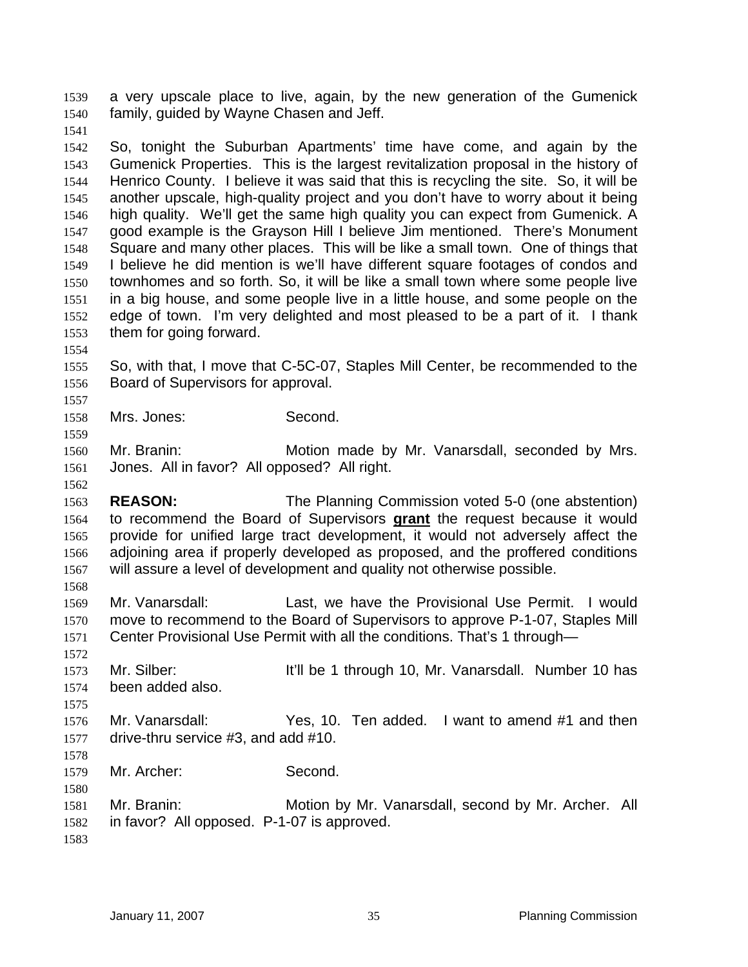a very upscale place to live, again, by the new generation of the Gumenick family, guided by Wayne Chasen and Jeff. 1539 1540

1541

1542 1543 1544 1545 1546 1547 1548 1549 1550 1551 1552 1553 So, tonight the Suburban Apartments' time have come, and again by the Gumenick Properties. This is the largest revitalization proposal in the history of Henrico County. I believe it was said that this is recycling the site. So, it will be another upscale, high-quality project and you don't have to worry about it being high quality. We'll get the same high quality you can expect from Gumenick. A good example is the Grayson Hill I believe Jim mentioned. There's Monument Square and many other places. This will be like a small town. One of things that I believe he did mention is we'll have different square footages of condos and townhomes and so forth. So, it will be like a small town where some people live in a big house, and some people live in a little house, and some people on the edge of town. I'm very delighted and most pleased to be a part of it. I thank them for going forward.

1554

1557

1559

1562

1568

1575

1578

1580

1555 1556 So, with that, I move that C-5C-07, Staples Mill Center, be recommended to the Board of Supervisors for approval.

1558 Mrs. Jones: Second.

1560 1561 Mr. Branin: Motion made by Mr. Vanarsdall, seconded by Mrs. Jones. All in favor? All opposed? All right.

1563 **REASON:** The Planning Commission voted 5-0 (one abstention) to recommend the Board of Supervisors **grant** the request because it would provide for unified large tract development, it would not adversely affect the adjoining area if properly developed as proposed, and the proffered conditions will assure a level of development and quality not otherwise possible. 1564 1565 1566 1567

1569 1570 1571 Mr. Vanarsdall: Last, we have the Provisional Use Permit. I would move to recommend to the Board of Supervisors to approve P-1-07, Staples Mill Center Provisional Use Permit with all the conditions. That's 1 through—

1572 1573 1574 Mr. Silber: It'll be 1 through 10, Mr. Vanarsdall. Number 10 has been added also.

1576 1577 Mr. Vanarsdall: Yes, 10. Ten added. I want to amend #1 and then drive-thru service #3, and add #10.

1579 Mr. Archer: Second.

1581 1582 Mr. Branin: Motion by Mr. Vanarsdall, second by Mr. Archer. All in favor? All opposed. P-1-07 is approved.

1583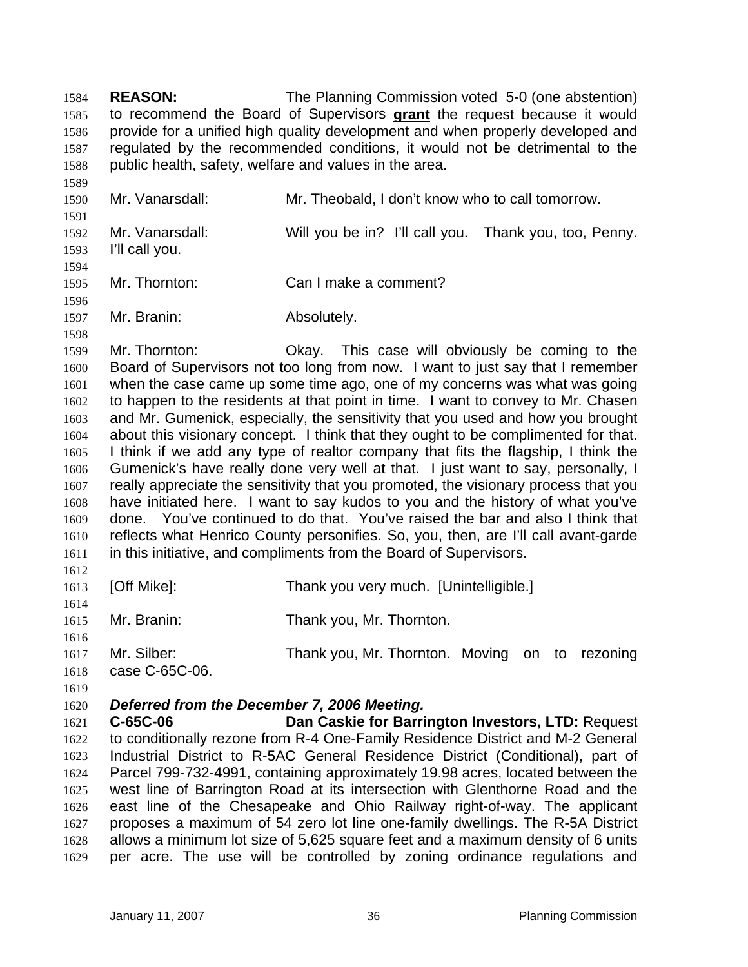**REASON:** The Planning Commission voted 5-0 (one abstention) to recommend the Board of Supervisors **grant** the request because it would 1584 provide for a unified high quality development and when properly developed and regulated by the recommended conditions, it would not be detrimental to the public health, safety, welfare and values in the area. 1585 1586 1587 1588

1589 1590 1591 1592 1593 1594 1595 Mr. Vanarsdall: Mr. Theobald, I don't know who to call tomorrow. Mr. Vanarsdall: Will you be in? I'll call you. Thank you, too, Penny. I'll call you. Mr. Thornton: Can I make a comment?

1596 Mr. Branin: Absolutely.

1597 1598

1599 1600 1601 1602 1603 1604 1605 1606 1607 1608 1609 1610 1611 Mr. Thornton: Okay. This case will obviously be coming to the Board of Supervisors not too long from now. I want to just say that I remember when the case came up some time ago, one of my concerns was what was going to happen to the residents at that point in time. I want to convey to Mr. Chasen and Mr. Gumenick, especially, the sensitivity that you used and how you brought about this visionary concept. I think that they ought to be complimented for that. I think if we add any type of realtor company that fits the flagship, I think the Gumenick's have really done very well at that. I just want to say, personally, I really appreciate the sensitivity that you promoted, the visionary process that you have initiated here. I want to say kudos to you and the history of what you've done. You've continued to do that. You've raised the bar and also I think that reflects what Henrico County personifies. So, you, then, are I'll call avant-garde in this initiative, and compliments from the Board of Supervisors.

1612

1613 1614 [Off Mike]: Thank you very much. [Unintelligible.]

1615 Mr. Branin: Thank you, Mr. Thornton.

1616 1617 1618 Mr. Silber: Thank you, Mr. Thornton. Moving on to rezoning case C-65C-06.

1619

## 1620 *Deferred from the December 7, 2006 Meeting.*

1621 1622 1623 1624 1625 1626 1627 1628 1629 **C-65C-06 Dan Caskie for Barrington Investors, LTD:** Request to conditionally rezone from R-4 One-Family Residence District and M-2 General Industrial District to R-5AC General Residence District (Conditional), part of Parcel 799-732-4991, containing approximately 19.98 acres, located between the west line of Barrington Road at its intersection with Glenthorne Road and the east line of the Chesapeake and Ohio Railway right-of-way. The applicant proposes a maximum of 54 zero lot line one-family dwellings. The R-5A District allows a minimum lot size of 5,625 square feet and a maximum density of 6 units per acre. The use will be controlled by zoning ordinance regulations and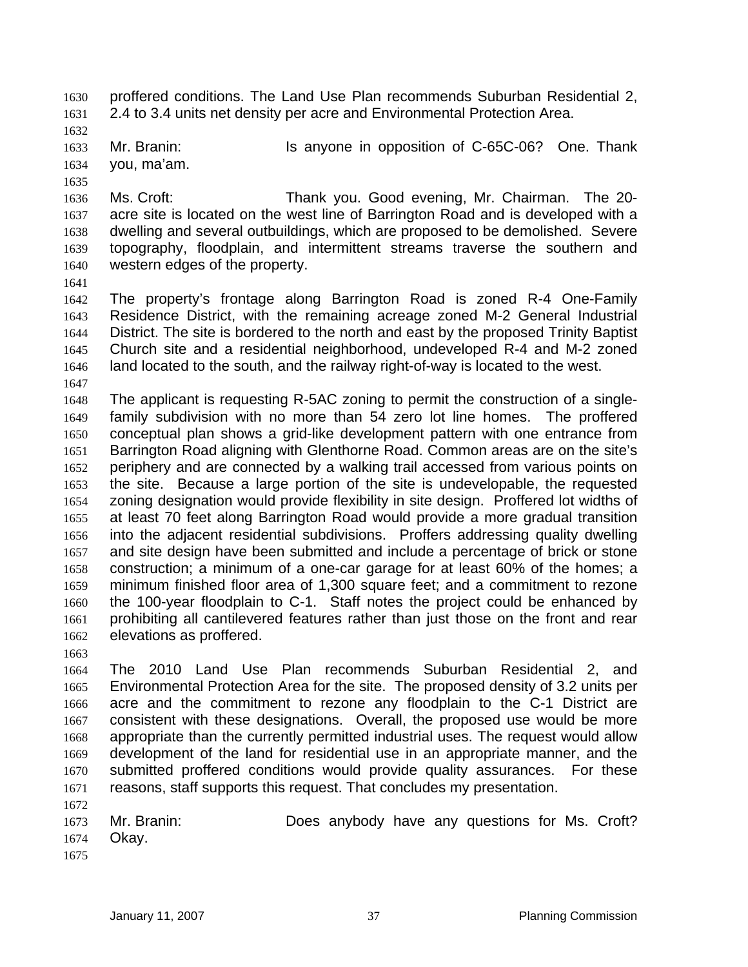proffered conditions. The Land Use Plan recommends Suburban Residential 2, 2.4 to 3.4 units net density per acre and Environmental Protection Area. 1630 1631

1632

1635

1633 1634 Mr. Branin: **Is anyone in opposition of C-65C-06?** One. Thank you, ma'am.

1636 1637 1638 1639 1640 Ms. Croft: Thank you. Good evening, Mr. Chairman. The 20 acre site is located on the west line of Barrington Road and is developed with a dwelling and several outbuildings, which are proposed to be demolished. Severe topography, floodplain, and intermittent streams traverse the southern and western edges of the property.

1641

1642 1643 1644 1645 1646 1647 The property's frontage along Barrington Road is zoned R-4 One-Family Residence District, with the remaining acreage zoned M-2 General Industrial District. The site is bordered to the north and east by the proposed Trinity Baptist Church site and a residential neighborhood, undeveloped R-4 and M-2 zoned land located to the south, and the railway right-of-way is located to the west.

1648 1649 1650 1651 1652 1653 1654 1655 1656 1657 1658 1659 1660 1661 1662 The applicant is requesting R-5AC zoning to permit the construction of a singlefamily subdivision with no more than 54 zero lot line homes. The proffered conceptual plan shows a grid-like development pattern with one entrance from Barrington Road aligning with Glenthorne Road. Common areas are on the site's periphery and are connected by a walking trail accessed from various points on the site. Because a large portion of the site is undevelopable, the requested zoning designation would provide flexibility in site design. Proffered lot widths of at least 70 feet along Barrington Road would provide a more gradual transition into the adjacent residential subdivisions. Proffers addressing quality dwelling and site design have been submitted and include a percentage of brick or stone construction; a minimum of a one-car garage for at least 60% of the homes; a minimum finished floor area of 1,300 square feet; and a commitment to rezone the 100-year floodplain to C-1. Staff notes the project could be enhanced by prohibiting all cantilevered features rather than just those on the front and rear elevations as proffered.

1663

1664 1665 1666 1667 1668 1669 1670 1671 The 2010 Land Use Plan recommends Suburban Residential 2, and Environmental Protection Area for the site. The proposed density of 3.2 units per acre and the commitment to rezone any floodplain to the C-1 District are consistent with these designations. Overall, the proposed use would be more appropriate than the currently permitted industrial uses. The request would allow development of the land for residential use in an appropriate manner, and the submitted proffered conditions would provide quality assurances. For these reasons, staff supports this request. That concludes my presentation.

1673 1674 Mr. Branin: Does anybody have any questions for Ms. Croft? Okay.

1675

1672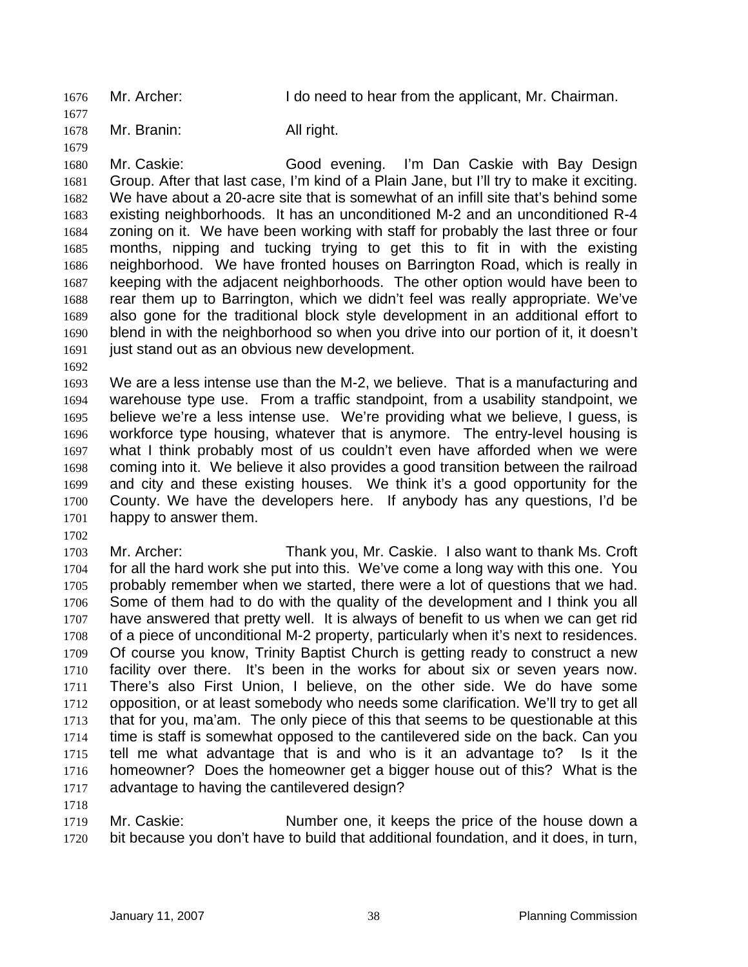1676 Mr. Archer: I do need to hear from the applicant, Mr. Chairman.

1678 Mr. Branin: All right.

1680 1681 1682 1683 1684 1685 1686 1687 1688 1689 1690 1691 Mr. Caskie: Good evening. I'm Dan Caskie with Bay Design Group. After that last case, I'm kind of a Plain Jane, but I'll try to make it exciting. We have about a 20-acre site that is somewhat of an infill site that's behind some existing neighborhoods. It has an unconditioned M-2 and an unconditioned R-4 zoning on it. We have been working with staff for probably the last three or four months, nipping and tucking trying to get this to fit in with the existing neighborhood. We have fronted houses on Barrington Road, which is really in keeping with the adjacent neighborhoods. The other option would have been to rear them up to Barrington, which we didn't feel was really appropriate. We've also gone for the traditional block style development in an additional effort to blend in with the neighborhood so when you drive into our portion of it, it doesn't just stand out as an obvious new development.

1692

1677

1679

1693 1694 1695 1696 1697 1698 1699 1700 1701 We are a less intense use than the M-2, we believe. That is a manufacturing and warehouse type use. From a traffic standpoint, from a usability standpoint, we believe we're a less intense use. We're providing what we believe, I guess, is workforce type housing, whatever that is anymore. The entry-level housing is what I think probably most of us couldn't even have afforded when we were coming into it. We believe it also provides a good transition between the railroad and city and these existing houses. We think it's a good opportunity for the County. We have the developers here. If anybody has any questions, I'd be happy to answer them.

1702

1718

1703 1704 1705 1706 1707 1708 1709 1710 1711 1712 1713 1714 1715 1716 1717 Mr. Archer: Thank you, Mr. Caskie. I also want to thank Ms. Croft for all the hard work she put into this. We've come a long way with this one. You probably remember when we started, there were a lot of questions that we had. Some of them had to do with the quality of the development and I think you all have answered that pretty well. It is always of benefit to us when we can get rid of a piece of unconditional M-2 property, particularly when it's next to residences. Of course you know, Trinity Baptist Church is getting ready to construct a new facility over there. It's been in the works for about six or seven years now. There's also First Union, I believe, on the other side. We do have some opposition, or at least somebody who needs some clarification. We'll try to get all that for you, ma'am. The only piece of this that seems to be questionable at this time is staff is somewhat opposed to the cantilevered side on the back. Can you tell me what advantage that is and who is it an advantage to? Is it the homeowner? Does the homeowner get a bigger house out of this? What is the advantage to having the cantilevered design?

1719 1720 Mr. Caskie: Number one, it keeps the price of the house down a bit because you don't have to build that additional foundation, and it does, in turn,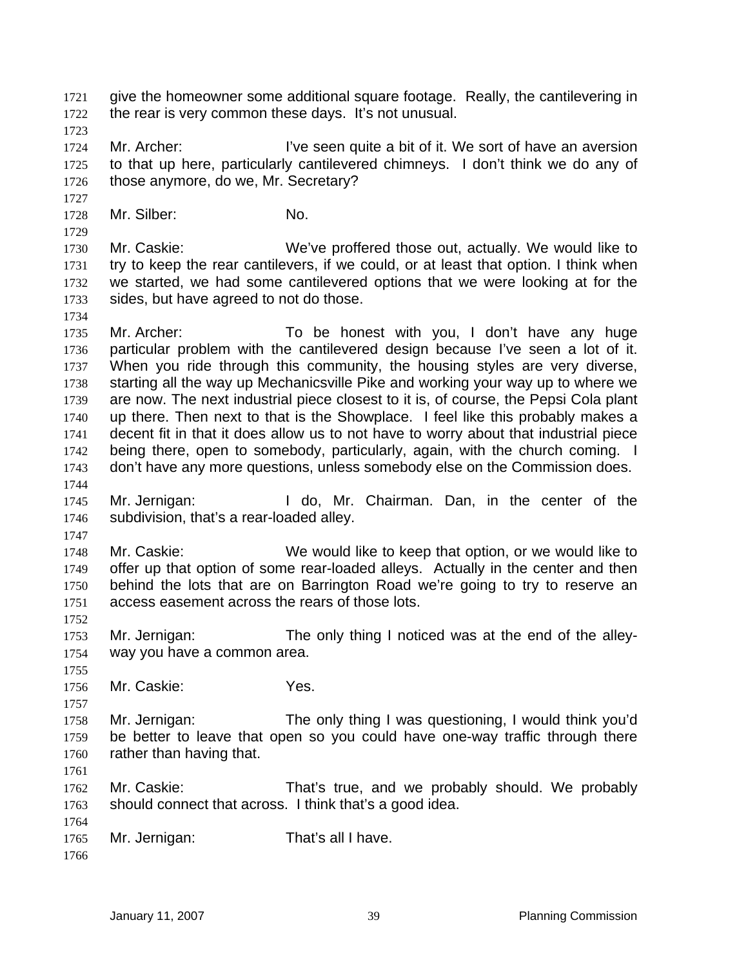give the homeowner some additional square footage. Really, the cantilevering in the rear is very common these days. It's not unusual. 1721 1722

1723

1727

1729

1734

1747

1752

1755

1757

1724 1725 1726 Mr. Archer: I've seen quite a bit of it. We sort of have an aversion to that up here, particularly cantilevered chimneys. I don't think we do any of those anymore, do we, Mr. Secretary?

1728 Mr. Silber: No.

1730 1731 1732 1733 Mr. Caskie: We've proffered those out, actually. We would like to try to keep the rear cantilevers, if we could, or at least that option. I think when we started, we had some cantilevered options that we were looking at for the sides, but have agreed to not do those.

1735 1736 1737 1738 1739 1740 1741 1742 1743 1744 Mr. Archer: To be honest with you, I don't have any huge particular problem with the cantilevered design because I've seen a lot of it. When you ride through this community, the housing styles are very diverse, starting all the way up Mechanicsville Pike and working your way up to where we are now. The next industrial piece closest to it is, of course, the Pepsi Cola plant up there. Then next to that is the Showplace. I feel like this probably makes a decent fit in that it does allow us to not have to worry about that industrial piece being there, open to somebody, particularly, again, with the church coming. I don't have any more questions, unless somebody else on the Commission does.

- 1745 1746 Mr. Jernigan: I do, Mr. Chairman. Dan, in the center of the subdivision, that's a rear-loaded alley.
- 1748 1749 1750 1751 Mr. Caskie: We would like to keep that option, or we would like to offer up that option of some rear-loaded alleys. Actually in the center and then behind the lots that are on Barrington Road we're going to try to reserve an access easement across the rears of those lots.

1753 1754 Mr. Jernigan: The only thing I noticed was at the end of the alleyway you have a common area.

1756 Mr. Caskie: Yes.

1758 1759 1760 Mr. Jernigan: The only thing I was questioning, I would think you'd be better to leave that open so you could have one-way traffic through there rather than having that.

1761

1762 1763 Mr. Caskie: That's true, and we probably should. We probably should connect that across. I think that's a good idea.

1765 Mr. Jernigan: That's all I have.

1766

1764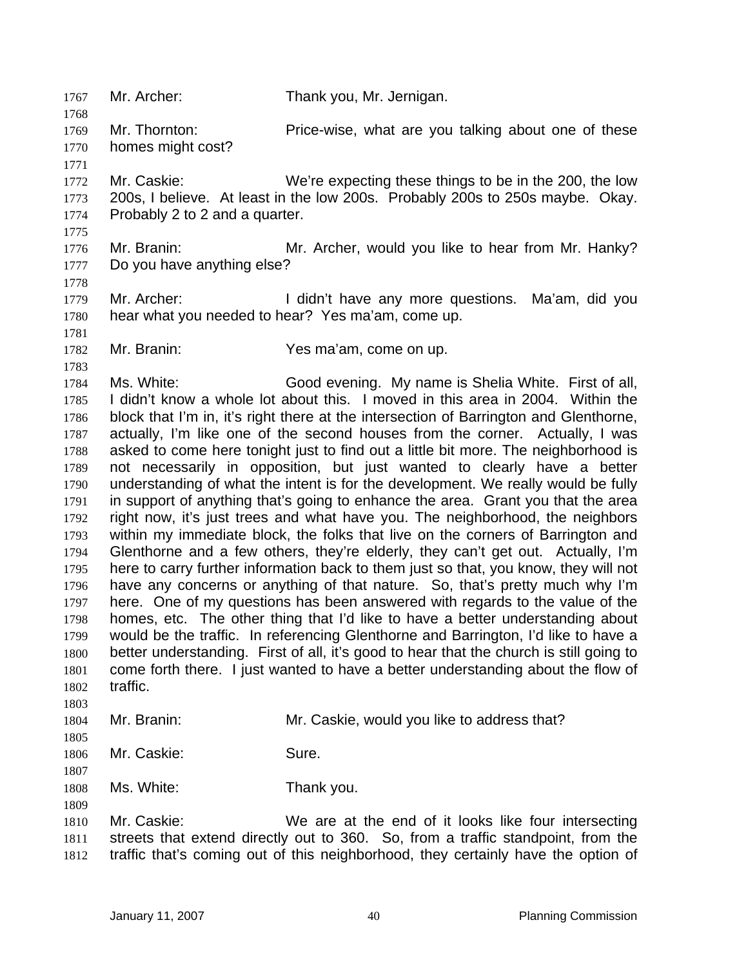1767 Mr. Archer: Thank you, Mr. Jernigan. 1768 1769 1770 1771 1772 1773 1774 1775 1776 1777 1778 1779 1780 1781 1782 1783 1784 1785 1786 1787 1788 1789 1790 1791 1792 1793 1794 1795 1796 1797 1798 1799 1800 1801 1802 1803 1804 1805 1806 1807 1808 1809 1810 1811 1812 Mr. Thornton: Price-wise, what are you talking about one of these homes might cost? Mr. Caskie: We're expecting these things to be in the 200, the low 200s, I believe. At least in the low 200s. Probably 200s to 250s maybe. Okay. Probably 2 to 2 and a quarter. Mr. Branin: Mr. Archer, would you like to hear from Mr. Hanky? Do you have anything else? Mr. Archer: I didn't have any more questions. Ma'am, did you hear what you needed to hear? Yes ma'am, come up. Mr. Branin: Yes ma'am, come on up. Ms. White: Good evening. My name is Shelia White. First of all, I didn't know a whole lot about this. I moved in this area in 2004. Within the block that I'm in, it's right there at the intersection of Barrington and Glenthorne, actually, I'm like one of the second houses from the corner. Actually, I was asked to come here tonight just to find out a little bit more. The neighborhood is not necessarily in opposition, but just wanted to clearly have a better understanding of what the intent is for the development. We really would be fully in support of anything that's going to enhance the area. Grant you that the area right now, it's just trees and what have you. The neighborhood, the neighbors within my immediate block, the folks that live on the corners of Barrington and Glenthorne and a few others, they're elderly, they can't get out. Actually, I'm here to carry further information back to them just so that, you know, they will not have any concerns or anything of that nature. So, that's pretty much why I'm here. One of my questions has been answered with regards to the value of the homes, etc. The other thing that I'd like to have a better understanding about would be the traffic. In referencing Glenthorne and Barrington, I'd like to have a better understanding. First of all, it's good to hear that the church is still going to come forth there. I just wanted to have a better understanding about the flow of traffic. Mr. Branin: Mr. Caskie, would you like to address that? Mr. Caskie: Sure. Ms. White: Thank you. Mr. Caskie: We are at the end of it looks like four intersecting streets that extend directly out to 360. So, from a traffic standpoint, from the traffic that's coming out of this neighborhood, they certainly have the option of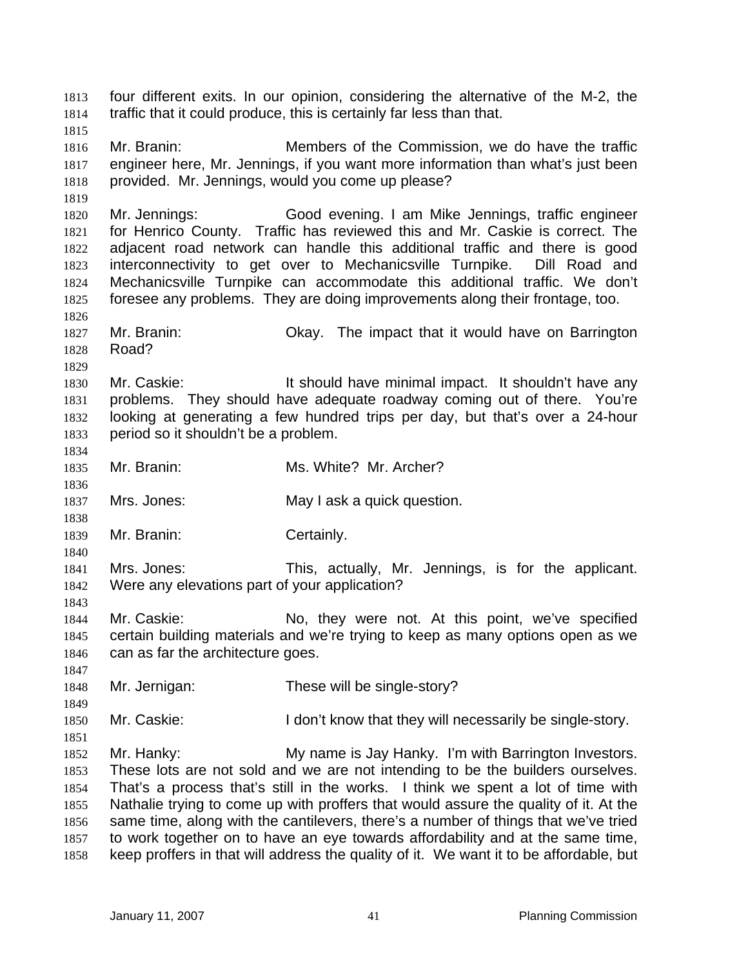four different exits. In our opinion, considering the alternative of the M-2, the traffic that it could produce, this is certainly far less than that. 1813 1814 1815 1816 1817 1818 1819 1820 1821 1822 1823 1824 1825 1826 1827 1828 1829 1830 1831 1832 1833 1834 1835 1836 1837 1838 1839 1840 1841 1842 1843 1844 1845 1846 1847 1848 1849 1850 1851 1852 1853 1854 1855 1856 1857 1858 Mr. Branin: Members of the Commission, we do have the traffic engineer here, Mr. Jennings, if you want more information than what's just been provided. Mr. Jennings, would you come up please? Mr. Jennings: Good evening. I am Mike Jennings, traffic engineer for Henrico County. Traffic has reviewed this and Mr. Caskie is correct. The adjacent road network can handle this additional traffic and there is good interconnectivity to get over to Mechanicsville Turnpike. Dill Road and Mechanicsville Turnpike can accommodate this additional traffic. We don't foresee any problems. They are doing improvements along their frontage, too. Mr. Branin: Okay. The impact that it would have on Barrington Road? Mr. Caskie: It should have minimal impact. It shouldn't have any problems. They should have adequate roadway coming out of there. You're looking at generating a few hundred trips per day, but that's over a 24-hour period so it shouldn't be a problem. Mr. Branin: Ms. White? Mr. Archer? Mrs. Jones: May I ask a quick question. Mr. Branin: Certainly. Mrs. Jones: This, actually, Mr. Jennings, is for the applicant. Were any elevations part of your application? Mr. Caskie: No, they were not. At this point, we've specified certain building materials and we're trying to keep as many options open as we can as far the architecture goes. Mr. Jernigan: These will be single-story? Mr. Caskie: I don't know that they will necessarily be single-story. Mr. Hanky: My name is Jay Hanky. I'm with Barrington Investors. These lots are not sold and we are not intending to be the builders ourselves. That's a process that's still in the works. I think we spent a lot of time with Nathalie trying to come up with proffers that would assure the quality of it. At the same time, along with the cantilevers, there's a number of things that we've tried to work together on to have an eye towards affordability and at the same time, keep proffers in that will address the quality of it. We want it to be affordable, but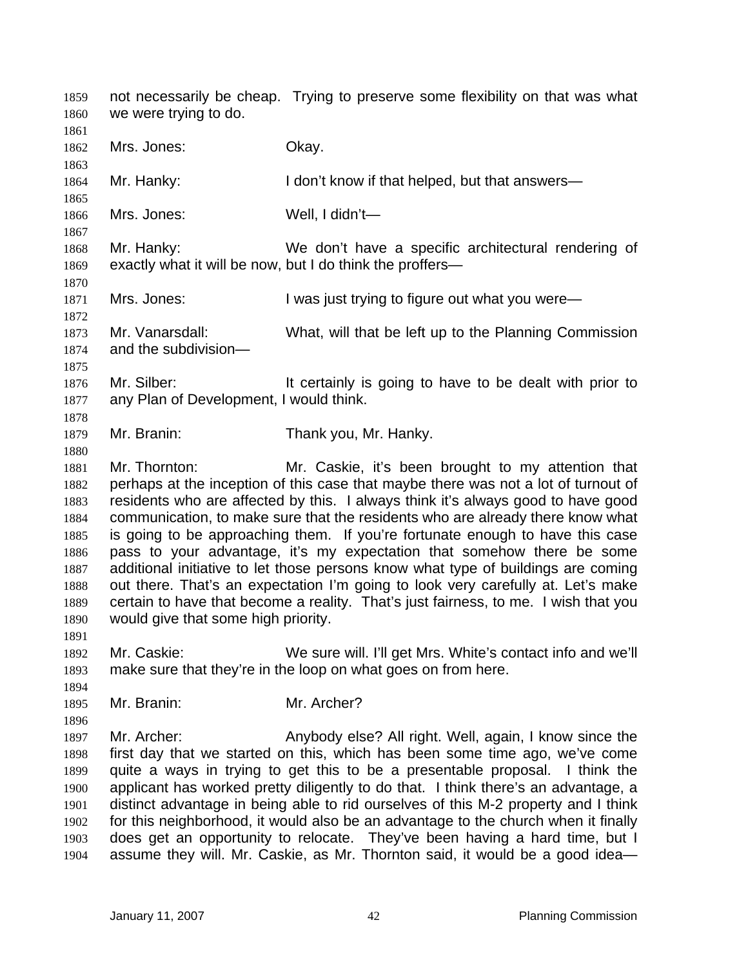not necessarily be cheap. Trying to preserve some flexibility on that was what we were trying to do. 1859 1860 1861 1862 1863 1864 1865 1866 1867 1868 1869 1870 1871 1872 1873 1874 1875 1876 1877 1878 1879 1880 1881 1882 1883 1884 1885 1886 1887 1888 1889 1890 1891 1892 1893 1894 1895 1896 1897 1898 1899 1900 1901 1902 1903 1904 Mrs. Jones: Okay. Mr. Hanky: I don't know if that helped, but that answers— Mrs. Jones: Well, I didn't— Mr. Hanky: We don't have a specific architectural rendering of exactly what it will be now, but I do think the proffers— Mrs. Jones: I was just trying to figure out what you were— Mr. Vanarsdall: What, will that be left up to the Planning Commission and the subdivision— Mr. Silber: It certainly is going to have to be dealt with prior to any Plan of Development, I would think. Mr. Branin: Thank you, Mr. Hanky. Mr. Thornton: Mr. Caskie, it's been brought to my attention that perhaps at the inception of this case that maybe there was not a lot of turnout of residents who are affected by this. I always think it's always good to have good communication, to make sure that the residents who are already there know what is going to be approaching them. If you're fortunate enough to have this case pass to your advantage, it's my expectation that somehow there be some additional initiative to let those persons know what type of buildings are coming out there. That's an expectation I'm going to look very carefully at. Let's make certain to have that become a reality. That's just fairness, to me. I wish that you would give that some high priority. Mr. Caskie: We sure will. I'll get Mrs. White's contact info and we'll make sure that they're in the loop on what goes on from here. Mr. Branin: Mr. Archer? Mr. Archer: Anybody else? All right. Well, again, I know since the first day that we started on this, which has been some time ago, we've come quite a ways in trying to get this to be a presentable proposal. I think the applicant has worked pretty diligently to do that. I think there's an advantage, a distinct advantage in being able to rid ourselves of this M-2 property and I think for this neighborhood, it would also be an advantage to the church when it finally does get an opportunity to relocate. They've been having a hard time, but I assume they will. Mr. Caskie, as Mr. Thornton said, it would be a good idea—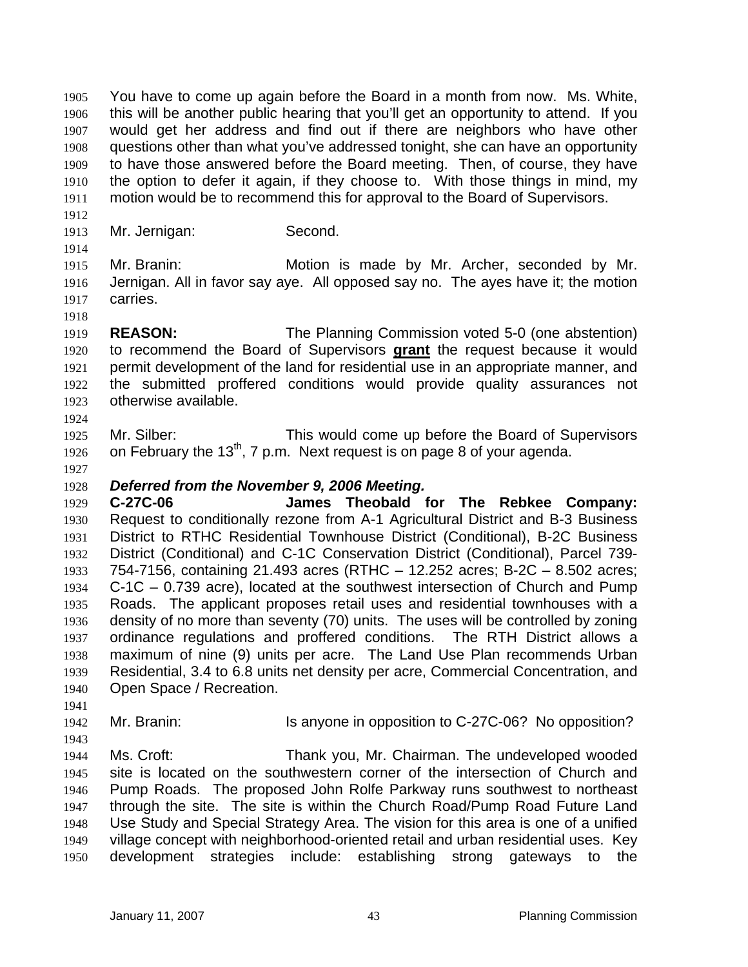You have to come up again before the Board in a month from now. Ms. White, this will be another public hearing that you'll get an opportunity to attend. If you would get her address and find out if there are neighbors who have other questions other than what you've addressed tonight, she can have an opportunity to have those answered before the Board meeting. Then, of course, they have the option to defer it again, if they choose to. With those things in mind, my motion would be to recommend this for approval to the Board of Supervisors. 1905 1906 1907 1908 1909 1910 1911

- 1913 Mr. Jernigan: Second.
- 1914

1918

1912

1915 1916 1917 Mr. Branin: Motion is made by Mr. Archer, seconded by Mr. Jernigan. All in favor say aye. All opposed say no. The ayes have it; the motion carries.

- 1919 **REASON:** The Planning Commission voted 5-0 (one abstention) to recommend the Board of Supervisors **grant** the request because it would permit development of the land for residential use in an appropriate manner, and the submitted proffered conditions would provide quality assurances not otherwise available. 1920 1921 1922 1923
- 1925 1926 Mr. Silber: This would come up before the Board of Supervisors on February the 13<sup>th</sup>, 7 p.m. Next request is on page 8 of your agenda.
- 1927

1924

## 1928 *Deferred from the November 9, 2006 Meeting.*

1929 1930 1931 1932 1933 1934 1935 1936 1937 1938 1939 1940 **C-27C-06 James Theobald for The Rebkee Company:** Request to conditionally rezone from A-1 Agricultural District and B-3 Business District to RTHC Residential Townhouse District (Conditional), B-2C Business District (Conditional) and C-1C Conservation District (Conditional), Parcel 739- 754-7156, containing 21.493 acres (RTHC – 12.252 acres; B-2C – 8.502 acres; C-1C – 0.739 acre), located at the southwest intersection of Church and Pump Roads. The applicant proposes retail uses and residential townhouses with a density of no more than seventy (70) units. The uses will be controlled by zoning ordinance regulations and proffered conditions. The RTH District allows a maximum of nine (9) units per acre. The Land Use Plan recommends Urban Residential, 3.4 to 6.8 units net density per acre, Commercial Concentration, and Open Space / Recreation.

- 1942 Mr. Branin: Is anyone in opposition to C-27C-06? No opposition?
- 1943

1941

1944 1945 1946 1947 1948 1949 1950 Ms. Croft: Thank you, Mr. Chairman. The undeveloped wooded site is located on the southwestern corner of the intersection of Church and Pump Roads. The proposed John Rolfe Parkway runs southwest to northeast through the site. The site is within the Church Road/Pump Road Future Land Use Study and Special Strategy Area. The vision for this area is one of a unified village concept with neighborhood-oriented retail and urban residential uses. Key development strategies include: establishing strong gateways to the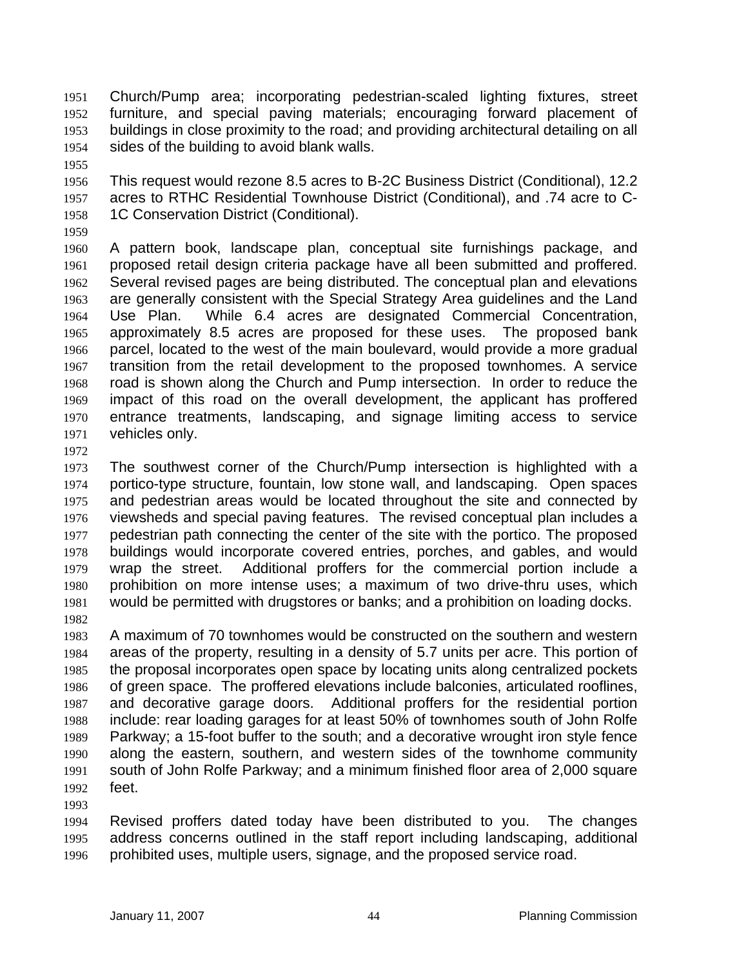Church/Pump area; incorporating pedestrian-scaled lighting fixtures, street furniture, and special paving materials; encouraging forward placement of buildings in close proximity to the road; and providing architectural detailing on all sides of the building to avoid blank walls. 1951 1952 1953 1954

1955

1956 1957 1958 This request would rezone 8.5 acres to B-2C Business District (Conditional), 12.2 acres to RTHC Residential Townhouse District (Conditional), and .74 acre to C-1C Conservation District (Conditional).

1959

1960 1961 1962 1963 1964 1965 1966 1967 1968 1969 1970 1971 A pattern book, landscape plan, conceptual site furnishings package, and proposed retail design criteria package have all been submitted and proffered. Several revised pages are being distributed. The conceptual plan and elevations are generally consistent with the Special Strategy Area guidelines and the Land Use Plan. While 6.4 acres are designated Commercial Concentration, approximately 8.5 acres are proposed for these uses. The proposed bank parcel, located to the west of the main boulevard, would provide a more gradual transition from the retail development to the proposed townhomes. A service road is shown along the Church and Pump intersection. In order to reduce the impact of this road on the overall development, the applicant has proffered entrance treatments, landscaping, and signage limiting access to service vehicles only.

1972

1973 1974 1975 1976 1977 1978 1979 1980 1981 1982 The southwest corner of the Church/Pump intersection is highlighted with a portico-type structure, fountain, low stone wall, and landscaping. Open spaces and pedestrian areas would be located throughout the site and connected by viewsheds and special paving features. The revised conceptual plan includes a pedestrian path connecting the center of the site with the portico. The proposed buildings would incorporate covered entries, porches, and gables, and would wrap the street. Additional proffers for the commercial portion include a prohibition on more intense uses; a maximum of two drive-thru uses, which would be permitted with drugstores or banks; and a prohibition on loading docks.

1983 1984 1985 1986 1987 1988 1989 1990 1991 1992 A maximum of 70 townhomes would be constructed on the southern and western areas of the property, resulting in a density of 5.7 units per acre. This portion of the proposal incorporates open space by locating units along centralized pockets of green space. The proffered elevations include balconies, articulated rooflines, and decorative garage doors. Additional proffers for the residential portion include: rear loading garages for at least 50% of townhomes south of John Rolfe Parkway; a 15-foot buffer to the south; and a decorative wrought iron style fence along the eastern, southern, and western sides of the townhome community south of John Rolfe Parkway; and a minimum finished floor area of 2,000 square feet.

1993

1994 1995 1996 Revised proffers dated today have been distributed to you. The changes address concerns outlined in the staff report including landscaping, additional prohibited uses, multiple users, signage, and the proposed service road.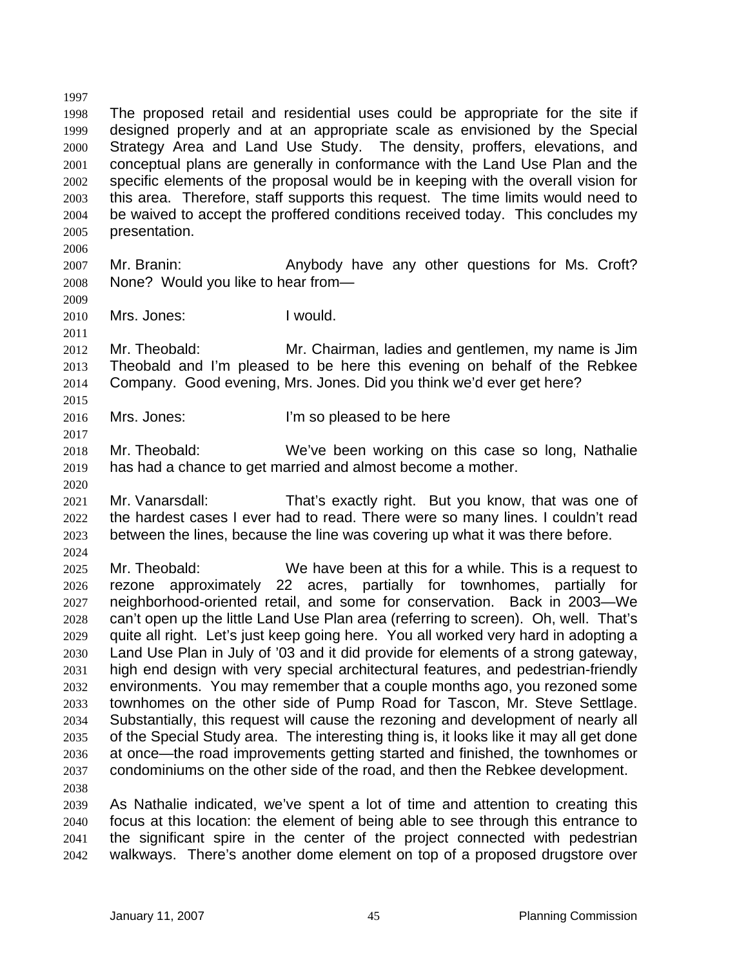1998 1999 2000 2001 2002 2003 2004 2005 The proposed retail and residential uses could be appropriate for the site if designed properly and at an appropriate scale as envisioned by the Special Strategy Area and Land Use Study. The density, proffers, elevations, and conceptual plans are generally in conformance with the Land Use Plan and the specific elements of the proposal would be in keeping with the overall vision for this area. Therefore, staff supports this request. The time limits would need to be waived to accept the proffered conditions received today. This concludes my presentation.

2006

1997

- 2007 2008 Mr. Branin: **Anybody have any other questions for Ms. Croft?** None? Would you like to hear from—
- 2009 2010

2011

2015

2017

2020

2012 2013 2014 Mr. Theobald: Mr. Chairman, ladies and gentlemen, my name is Jim Theobald and I'm pleased to be here this evening on behalf of the Rebkee Company. Good evening, Mrs. Jones. Did you think we'd ever get here?

2016 Mrs. Jones: I'm so pleased to be here

- 2018 2019 Mr. Theobald: We've been working on this case so long, Nathalie has had a chance to get married and almost become a mother.
- 2021 2022 2023 Mr. Vanarsdall: That's exactly right. But you know, that was one of the hardest cases I ever had to read. There were so many lines. I couldn't read between the lines, because the line was covering up what it was there before.

2024

2025 2026 2027 2028 2029 2030 2031 2032 2033 2034 2035 2036 2037 2038 Mr. Theobald: We have been at this for a while. This is a request to rezone approximately 22 acres, partially for townhomes, partially for neighborhood-oriented retail, and some for conservation. Back in 2003—We can't open up the little Land Use Plan area (referring to screen). Oh, well. That's quite all right. Let's just keep going here. You all worked very hard in adopting a Land Use Plan in July of '03 and it did provide for elements of a strong gateway, high end design with very special architectural features, and pedestrian-friendly environments. You may remember that a couple months ago, you rezoned some townhomes on the other side of Pump Road for Tascon, Mr. Steve Settlage. Substantially, this request will cause the rezoning and development of nearly all of the Special Study area. The interesting thing is, it looks like it may all get done at once—the road improvements getting started and finished, the townhomes or condominiums on the other side of the road, and then the Rebkee development.

2039 2040 2041 2042 As Nathalie indicated, we've spent a lot of time and attention to creating this focus at this location: the element of being able to see through this entrance to the significant spire in the center of the project connected with pedestrian walkways. There's another dome element on top of a proposed drugstore over

Mrs. Jones: I would.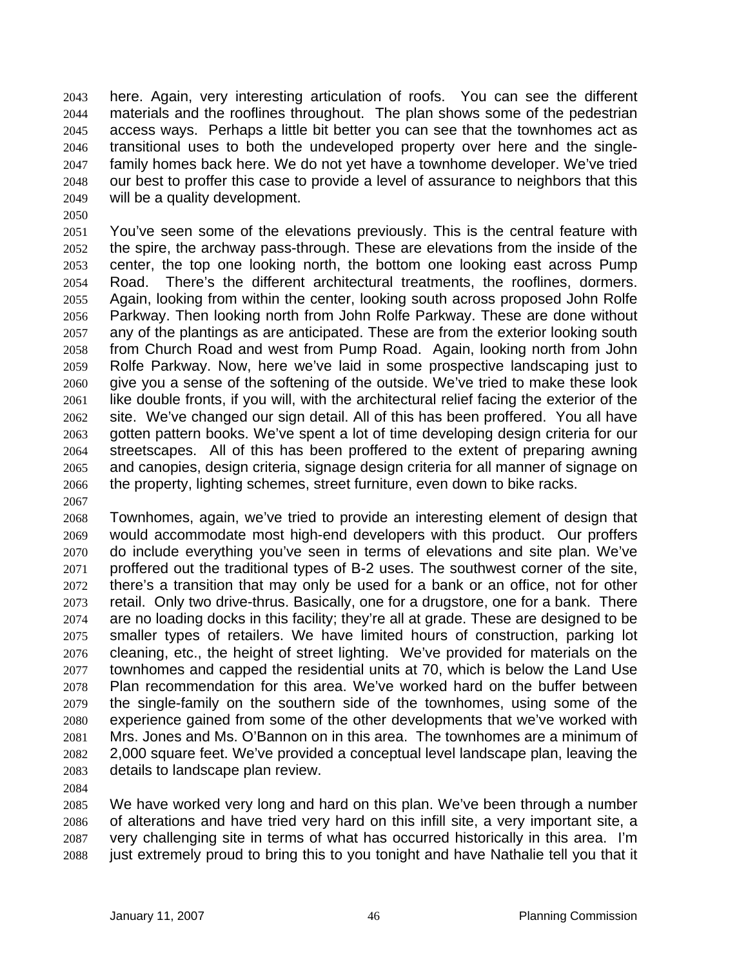here. Again, very interesting articulation of roofs. You can see the different materials and the rooflines throughout. The plan shows some of the pedestrian access ways. Perhaps a little bit better you can see that the townhomes act as transitional uses to both the undeveloped property over here and the singlefamily homes back here. We do not yet have a townhome developer. We've tried our best to proffer this case to provide a level of assurance to neighbors that this will be a quality development. 2043 2044 2045 2046 2047 2048 2049

2050

2051 2052 2053 2054 2055 2056 2057 2058 2059 2060 2061 2062 2063 2064 2065 2066 You've seen some of the elevations previously. This is the central feature with the spire, the archway pass-through. These are elevations from the inside of the center, the top one looking north, the bottom one looking east across Pump Road. There's the different architectural treatments, the rooflines, dormers. Again, looking from within the center, looking south across proposed John Rolfe Parkway. Then looking north from John Rolfe Parkway. These are done without any of the plantings as are anticipated. These are from the exterior looking south from Church Road and west from Pump Road. Again, looking north from John Rolfe Parkway. Now, here we've laid in some prospective landscaping just to give you a sense of the softening of the outside. We've tried to make these look like double fronts, if you will, with the architectural relief facing the exterior of the site. We've changed our sign detail. All of this has been proffered. You all have gotten pattern books. We've spent a lot of time developing design criteria for our streetscapes. All of this has been proffered to the extent of preparing awning and canopies, design criteria, signage design criteria for all manner of signage on the property, lighting schemes, street furniture, even down to bike racks.

2067

2068 2069 2070 2071 2072 2073 2074 2075 2076 2077 2078 2079 2080 2081 2082 2083 Townhomes, again, we've tried to provide an interesting element of design that would accommodate most high-end developers with this product. Our proffers do include everything you've seen in terms of elevations and site plan. We've proffered out the traditional types of B-2 uses. The southwest corner of the site, there's a transition that may only be used for a bank or an office, not for other retail. Only two drive-thrus. Basically, one for a drugstore, one for a bank. There are no loading docks in this facility; they're all at grade. These are designed to be smaller types of retailers. We have limited hours of construction, parking lot cleaning, etc., the height of street lighting. We've provided for materials on the townhomes and capped the residential units at 70, which is below the Land Use Plan recommendation for this area. We've worked hard on the buffer between the single-family on the southern side of the townhomes, using some of the experience gained from some of the other developments that we've worked with Mrs. Jones and Ms. O'Bannon on in this area. The townhomes are a minimum of 2,000 square feet. We've provided a conceptual level landscape plan, leaving the details to landscape plan review.

2084

2085 2086 2087 2088 We have worked very long and hard on this plan. We've been through a number of alterations and have tried very hard on this infill site, a very important site, a very challenging site in terms of what has occurred historically in this area. I'm just extremely proud to bring this to you tonight and have Nathalie tell you that it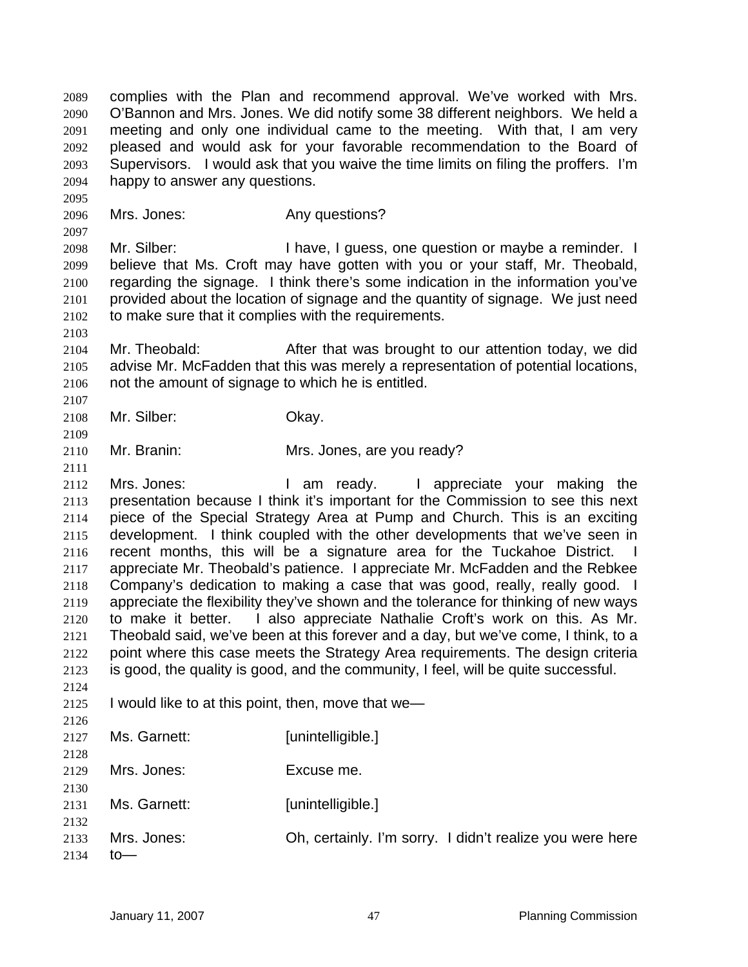complies with the Plan and recommend approval. We've worked with Mrs. O'Bannon and Mrs. Jones. We did notify some 38 different neighbors. We held a meeting and only one individual came to the meeting. With that, I am very pleased and would ask for your favorable recommendation to the Board of Supervisors. I would ask that you waive the time limits on filing the proffers. I'm happy to answer any questions. 2089 2090 2091 2092 2093 2094

2096 Mrs. Jones: Any questions?

2095

2097

2103

2107

2109

2111

2098 2099 2100 2101 2102 Mr. Silber: I have, I guess, one question or maybe a reminder. I believe that Ms. Croft may have gotten with you or your staff, Mr. Theobald, regarding the signage. I think there's some indication in the information you've provided about the location of signage and the quantity of signage. We just need to make sure that it complies with the requirements.

2104 2105 2106 Mr. Theobald: After that was brought to our attention today, we did advise Mr. McFadden that this was merely a representation of potential locations, not the amount of signage to which he is entitled.

- 2108 Mr. Silber: Okay.
- 2110 Mr. Branin: Mrs. Jones, are you ready?

2112 2113 2114 2115 2116 2117 2118 2119 2120 2121 2122 2123 2124 Mrs. Jones: I am ready. I appreciate your making the presentation because I think it's important for the Commission to see this next piece of the Special Strategy Area at Pump and Church. This is an exciting development. I think coupled with the other developments that we've seen in recent months, this will be a signature area for the Tuckahoe District. appreciate Mr. Theobald's patience. I appreciate Mr. McFadden and the Rebkee Company's dedication to making a case that was good, really, really good. I appreciate the flexibility they've shown and the tolerance for thinking of new ways to make it better. I also appreciate Nathalie Croft's work on this. As Mr. Theobald said, we've been at this forever and a day, but we've come, I think, to a point where this case meets the Strategy Area requirements. The design criteria is good, the quality is good, and the community, I feel, will be quite successful.

2125 I would like to at this point, then, move that we—

| 2126 |              |                                                          |
|------|--------------|----------------------------------------------------------|
| 2127 | Ms. Garnett: | [unintelligible.]                                        |
| 2128 |              |                                                          |
| 2129 | Mrs. Jones:  | Excuse me.                                               |
| 2130 |              |                                                          |
| 2131 | Ms. Garnett: | [unintelligible.]                                        |
| 2132 |              |                                                          |
| 2133 | Mrs. Jones:  | Oh, certainly. I'm sorry. I didn't realize you were here |
| 2134 | to           |                                                          |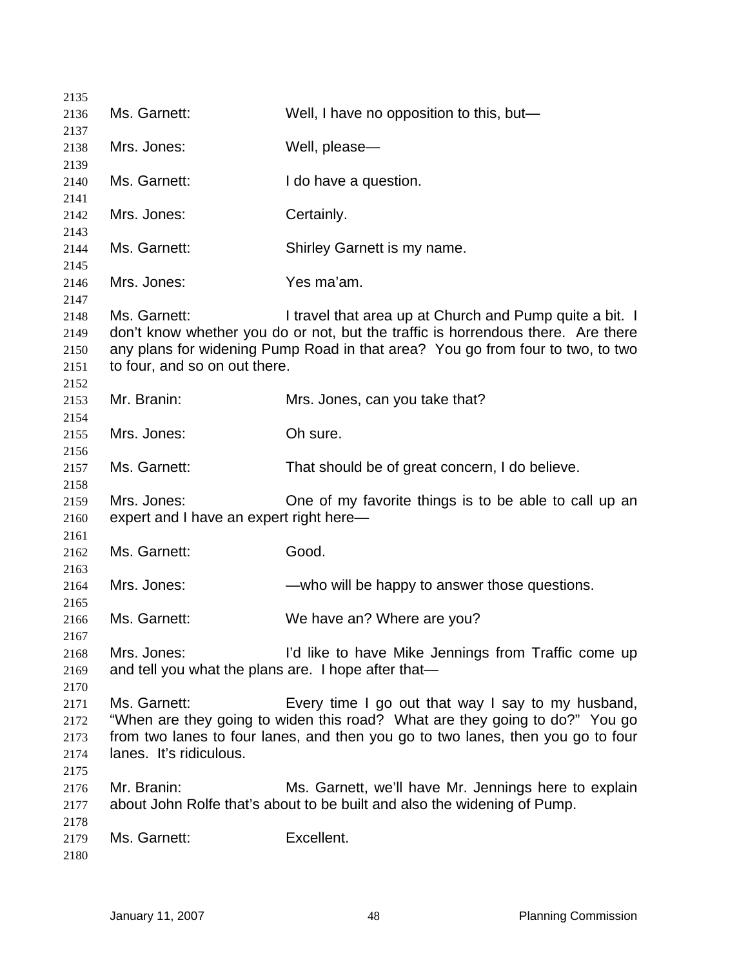| 2135         |                                                     |                                                                                                                                  |
|--------------|-----------------------------------------------------|----------------------------------------------------------------------------------------------------------------------------------|
| 2136         | Ms. Garnett:                                        | Well, I have no opposition to this, but-                                                                                         |
| 2137         |                                                     |                                                                                                                                  |
| 2138         | Mrs. Jones:                                         | Well, please-                                                                                                                    |
| 2139         |                                                     |                                                                                                                                  |
| 2140         | Ms. Garnett:                                        | I do have a question.                                                                                                            |
| 2141         |                                                     |                                                                                                                                  |
| 2142         | Mrs. Jones:                                         | Certainly.                                                                                                                       |
| 2143         |                                                     |                                                                                                                                  |
| 2144         | Ms. Garnett:                                        | Shirley Garnett is my name.                                                                                                      |
| 2145         |                                                     |                                                                                                                                  |
| 2146         | Mrs. Jones:                                         | Yes ma'am.                                                                                                                       |
| 2147         |                                                     |                                                                                                                                  |
| 2148         | Ms. Garnett:                                        | I travel that area up at Church and Pump quite a bit. I                                                                          |
| 2149         |                                                     | don't know whether you do or not, but the traffic is horrendous there. Are there                                                 |
| 2150         |                                                     | any plans for widening Pump Road in that area? You go from four to two, to two                                                   |
| 2151         | to four, and so on out there.                       |                                                                                                                                  |
| 2152         |                                                     |                                                                                                                                  |
| 2153         | Mr. Branin:                                         | Mrs. Jones, can you take that?                                                                                                   |
| 2154         |                                                     |                                                                                                                                  |
| 2155         | Mrs. Jones:                                         | Oh sure.                                                                                                                         |
| 2156         |                                                     |                                                                                                                                  |
| 2157         | Ms. Garnett:                                        | That should be of great concern, I do believe.                                                                                   |
| 2158         |                                                     |                                                                                                                                  |
| 2159         | Mrs. Jones:                                         | One of my favorite things is to be able to call up an                                                                            |
| 2160         | expert and I have an expert right here-             |                                                                                                                                  |
| 2161         |                                                     |                                                                                                                                  |
| 2162         | Ms. Garnett:                                        | Good.                                                                                                                            |
| 2163         |                                                     |                                                                                                                                  |
| 2164         | Mrs. Jones:                                         | —who will be happy to answer those questions.                                                                                    |
| 2165         | Ms. Garnett:                                        |                                                                                                                                  |
| 2166         |                                                     | We have an? Where are you?                                                                                                       |
| 2167         | Mrs. Jones:                                         | I'd like to have Mike Jennings from Traffic come up                                                                              |
| 2168<br>2169 | and tell you what the plans are. I hope after that- |                                                                                                                                  |
|              |                                                     |                                                                                                                                  |
| 2170         | Ms. Garnett:                                        |                                                                                                                                  |
| 2171         |                                                     | Every time I go out that way I say to my husband,<br>"When are they going to widen this road? What are they going to do?" You go |
| 2172         |                                                     | from two lanes to four lanes, and then you go to two lanes, then you go to four                                                  |
| 2173         |                                                     |                                                                                                                                  |
| 2174         | lanes. It's ridiculous.                             |                                                                                                                                  |
| 2175         |                                                     |                                                                                                                                  |
| 2176         | Mr. Branin:                                         | Ms. Garnett, we'll have Mr. Jennings here to explain                                                                             |
| 2177         |                                                     | about John Rolfe that's about to be built and also the widening of Pump.                                                         |
| 2178         |                                                     |                                                                                                                                  |
| 2179         | Ms. Garnett:                                        | Excellent.                                                                                                                       |
| 2180         |                                                     |                                                                                                                                  |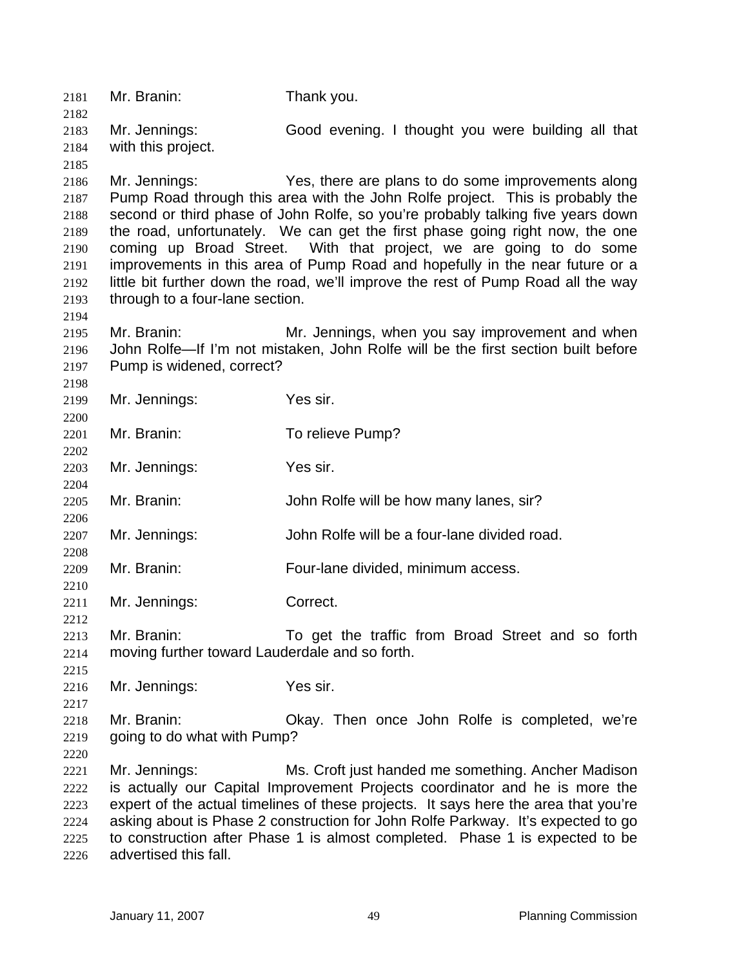2181 Mr. Branin: Thank you. 2182 2183 2184 2185 2186 2187 2188 2189 2190 2191 2192 2193 2194 2195 2196 2197 2198 2199 2200 2201 2202 2203 2204 2205 2206 2207 2208 2209 2210 2211 2212 2213 2214 2215 2216 2217 2218 2219 2220 2221 2222 2223 2224 2225 2226 Mr. Jennings: Good evening. I thought you were building all that with this project. Mr. Jennings: Yes, there are plans to do some improvements along Pump Road through this area with the John Rolfe project. This is probably the second or third phase of John Rolfe, so you're probably talking five years down the road, unfortunately. We can get the first phase going right now, the one coming up Broad Street. With that project, we are going to do some improvements in this area of Pump Road and hopefully in the near future or a little bit further down the road, we'll improve the rest of Pump Road all the way through to a four-lane section. Mr. Branin: Mr. Jennings, when you say improvement and when John Rolfe—If I'm not mistaken, John Rolfe will be the first section built before Pump is widened, correct? Mr. Jennings: Yes sir. Mr. Branin: To relieve Pump? Mr. Jennings: Yes sir. Mr. Branin: John Rolfe will be how many lanes, sir? Mr. Jennings: John Rolfe will be a four-lane divided road. Mr. Branin: Four-lane divided, minimum access. Mr. Jennings: Correct. Mr. Branin: To get the traffic from Broad Street and so forth moving further toward Lauderdale and so forth. Mr. Jennings: Yes sir. Mr. Branin: Okay. Then once John Rolfe is completed, we're going to do what with Pump? Mr. Jennings: Ms. Croft just handed me something. Ancher Madison is actually our Capital Improvement Projects coordinator and he is more the expert of the actual timelines of these projects. It says here the area that you're asking about is Phase 2 construction for John Rolfe Parkway. It's expected to go to construction after Phase 1 is almost completed. Phase 1 is expected to be advertised this fall.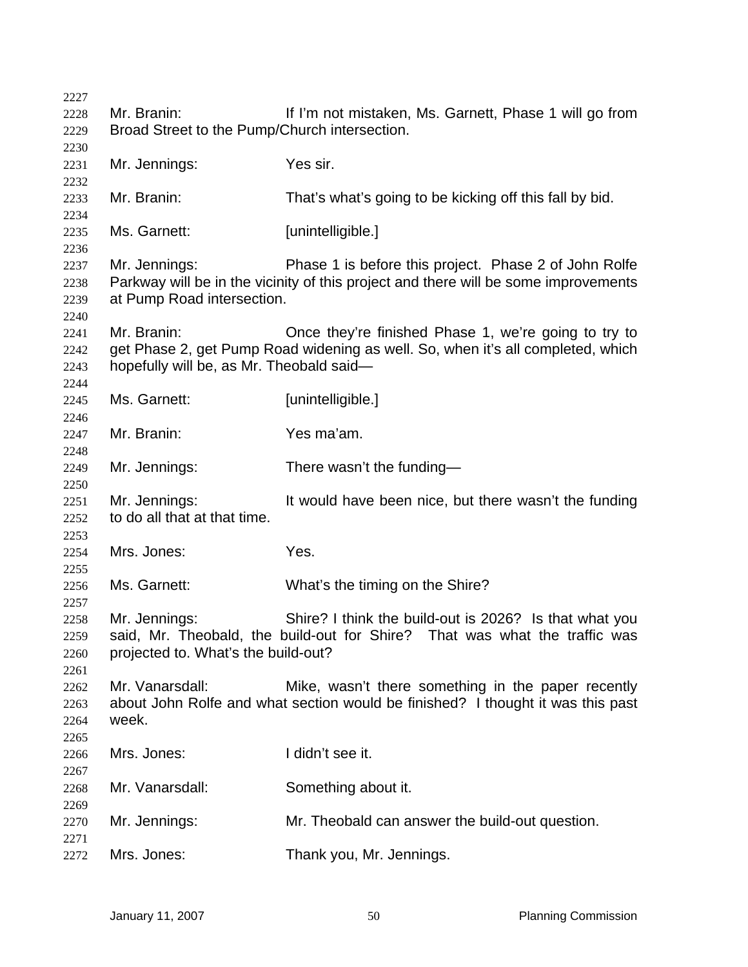| 2227         |                                               |                                                                                     |
|--------------|-----------------------------------------------|-------------------------------------------------------------------------------------|
| 2228         | Mr. Branin:                                   | If I'm not mistaken, Ms. Garnett, Phase 1 will go from                              |
| 2229         | Broad Street to the Pump/Church intersection. |                                                                                     |
| 2230<br>2231 | Mr. Jennings:                                 | Yes sir.                                                                            |
| 2232         |                                               |                                                                                     |
| 2233         | Mr. Branin:                                   | That's what's going to be kicking off this fall by bid.                             |
| 2234         |                                               |                                                                                     |
| 2235         | Ms. Garnett:                                  | [unintelligible.]                                                                   |
| 2236<br>2237 | Mr. Jennings:                                 | Phase 1 is before this project. Phase 2 of John Rolfe                               |
| 2238         |                                               | Parkway will be in the vicinity of this project and there will be some improvements |
| 2239         | at Pump Road intersection.                    |                                                                                     |
| 2240         |                                               |                                                                                     |
| 2241         | Mr. Branin:                                   | Once they're finished Phase 1, we're going to try to                                |
| 2242         |                                               | get Phase 2, get Pump Road widening as well. So, when it's all completed, which     |
| 2243         | hopefully will be, as Mr. Theobald said-      |                                                                                     |
| 2244         |                                               |                                                                                     |
| 2245         | Ms. Garnett:                                  | [unintelligible.]                                                                   |
| 2246         |                                               |                                                                                     |
| 2247         | Mr. Branin:                                   | Yes ma'am.                                                                          |
| 2248<br>2249 | Mr. Jennings:                                 | There wasn't the funding-                                                           |
| 2250         |                                               |                                                                                     |
| 2251         | Mr. Jennings:                                 | It would have been nice, but there wasn't the funding                               |
| 2252         | to do all that at that time.                  |                                                                                     |
| 2253         |                                               |                                                                                     |
| 2254         | Mrs. Jones:                                   | Yes.                                                                                |
| 2255         |                                               |                                                                                     |
| 2256         | Ms. Garnett:                                  | What's the timing on the Shire?                                                     |
| 2257         |                                               |                                                                                     |
| 2258         | Mr. Jennings:                                 | Shire? I think the build-out is 2026? Is that what you                              |
| 2259         |                                               | said, Mr. Theobald, the build-out for Shire? That was what the traffic was          |
| 2260         | projected to. What's the build-out?           |                                                                                     |
| 2261         |                                               |                                                                                     |
| 2262         | Mr. Vanarsdall:                               | Mike, wasn't there something in the paper recently                                  |
| 2263         |                                               | about John Rolfe and what section would be finished? I thought it was this past     |
| 2264         | week.                                         |                                                                                     |
| 2265<br>2266 | Mrs. Jones:                                   | I didn't see it.                                                                    |
| 2267         |                                               |                                                                                     |
| 2268         | Mr. Vanarsdall:                               | Something about it.                                                                 |
| 2269         |                                               |                                                                                     |
| 2270         | Mr. Jennings:                                 | Mr. Theobald can answer the build-out question.                                     |
| 2271         |                                               |                                                                                     |
| 2272         | Mrs. Jones:                                   | Thank you, Mr. Jennings.                                                            |
|              |                                               |                                                                                     |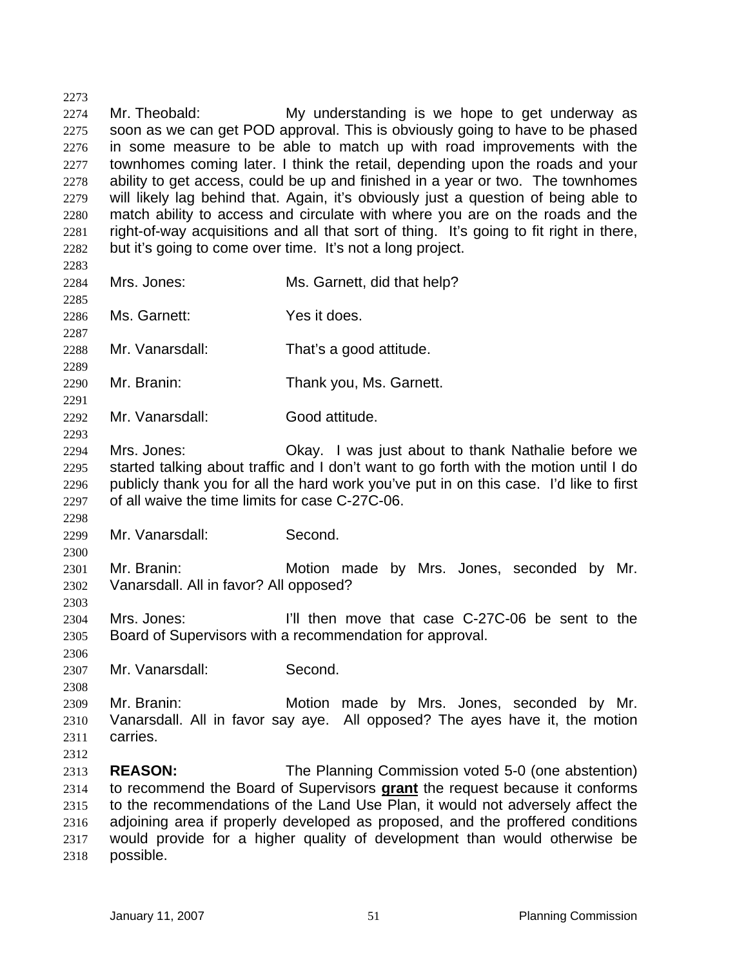2273 2274 2275 2276 2277 2278 2279 2280 2281 2282 2283 2284 2285 2286 2287 2288 2289 2290 2291 2292 2293 2294 2295 2296 2297 2298 2299 2300 2301 2302 Mr. Theobald: My understanding is we hope to get underway as soon as we can get POD approval. This is obviously going to have to be phased in some measure to be able to match up with road improvements with the townhomes coming later. I think the retail, depending upon the roads and your ability to get access, could be up and finished in a year or two. The townhomes will likely lag behind that. Again, it's obviously just a question of being able to match ability to access and circulate with where you are on the roads and the right-of-way acquisitions and all that sort of thing. It's going to fit right in there, but it's going to come over time. It's not a long project. Mrs. Jones: Mrs. Garnett, did that help? Ms. Garnett: Yes it does. Mr. Vanarsdall: That's a good attitude. Mr. Branin: Thank you, Ms. Garnett. Mr. Vanarsdall: Good attitude. Mrs. Jones: Okay. I was just about to thank Nathalie before we started talking about traffic and I don't want to go forth with the motion until I do publicly thank you for all the hard work you've put in on this case. I'd like to first of all waive the time limits for case C-27C-06. Mr. Vanarsdall: Second. Mr. Branin: Motion made by Mrs. Jones, seconded by Mr. Vanarsdall. All in favor? All opposed?

2304 2305 Mrs. Jones: I'll then move that case C-27C-06 be sent to the Board of Supervisors with a recommendation for approval.

2307 Mr. Vanarsdall: Second.

2303

2306

2308

2309 2310 2311 2312 Mr. Branin: Motion made by Mrs. Jones, seconded by Mr. Vanarsdall. All in favor say aye. All opposed? The ayes have it, the motion carries.

2313 **REASON:** The Planning Commission voted 5-0 (one abstention) to recommend the Board of Supervisors **grant** the request because it conforms to the recommendations of the Land Use Plan, it would not adversely affect the adjoining area if properly developed as proposed, and the proffered conditions would provide for a higher quality of development than would otherwise be possible. 2314 2315 2316 2317 2318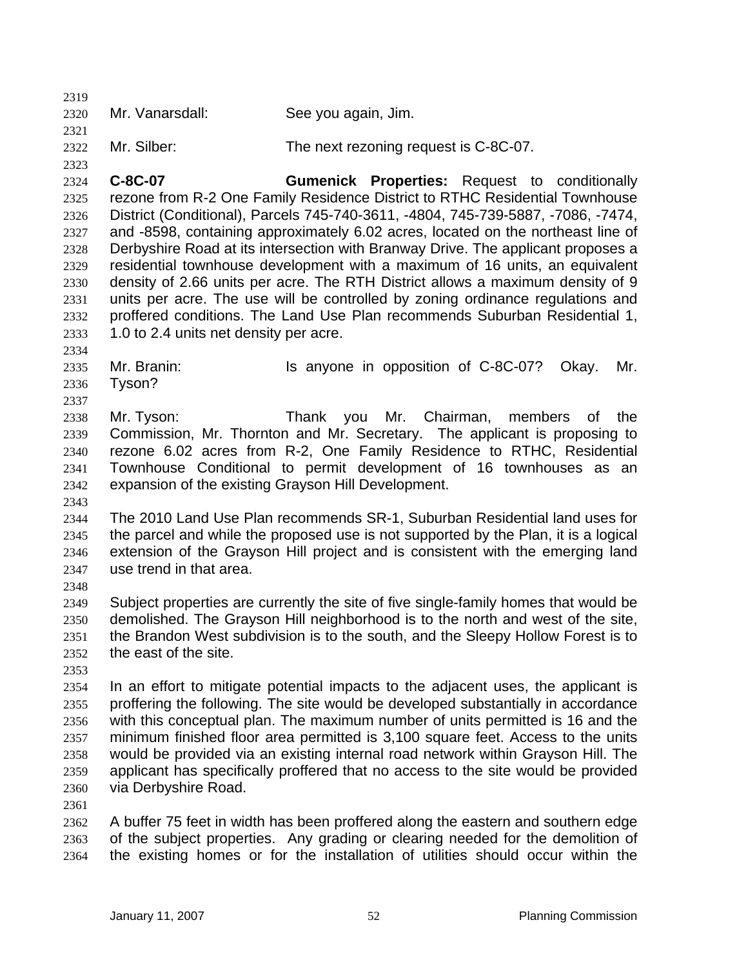2320 Mr. Vanarsdall: See you again, Jim.

2322 Mr. Silber: The next rezoning request is C-8C-07.

2324 2325 2326 2327 2328 2329 2330 2331 2332 2333 **C-8C-07 Gumenick Properties:** Request to conditionally rezone from R-2 One Family Residence District to RTHC Residential Townhouse District (Conditional), Parcels 745-740-3611, -4804, 745-739-5887, -7086, -7474, and -8598, containing approximately 6.02 acres, located on the northeast line of Derbyshire Road at its intersection with Branway Drive. The applicant proposes a residential townhouse development with a maximum of 16 units, an equivalent density of 2.66 units per acre. The RTH District allows a maximum density of 9 units per acre. The use will be controlled by zoning ordinance regulations and proffered conditions. The Land Use Plan recommends Suburban Residential 1, 1.0 to 2.4 units net density per acre.

2335 2336 Mr. Branin: Is anyone in opposition of C-8C-07? Okay. Mr. Tyson?

2338 2339 2340 2341 2342 Mr. Tyson: Thank you Mr. Chairman, members of the Commission, Mr. Thornton and Mr. Secretary. The applicant is proposing to rezone 6.02 acres from R-2, One Family Residence to RTHC, Residential Townhouse Conditional to permit development of 16 townhouses as an expansion of the existing Grayson Hill Development.

2343

2334

2337

2319

2321

2323

2344 2345 2346 2347 The 2010 Land Use Plan recommends SR-1, Suburban Residential land uses for the parcel and while the proposed use is not supported by the Plan, it is a logical extension of the Grayson Hill project and is consistent with the emerging land use trend in that area.

2348

2349 2350 2351 2352 Subject properties are currently the site of five single-family homes that would be demolished. The Grayson Hill neighborhood is to the north and west of the site, the Brandon West subdivision is to the south, and the Sleepy Hollow Forest is to the east of the site.

2353

2354 2355 2356 2357 2358 2359 2360 In an effort to mitigate potential impacts to the adjacent uses, the applicant is proffering the following. The site would be developed substantially in accordance with this conceptual plan. The maximum number of units permitted is 16 and the minimum finished floor area permitted is 3,100 square feet. Access to the units would be provided via an existing internal road network within Grayson Hill. The applicant has specifically proffered that no access to the site would be provided via Derbyshire Road.

2361

2362 2363 2364 A buffer 75 feet in width has been proffered along the eastern and southern edge of the subject properties. Any grading or clearing needed for the demolition of the existing homes or for the installation of utilities should occur within the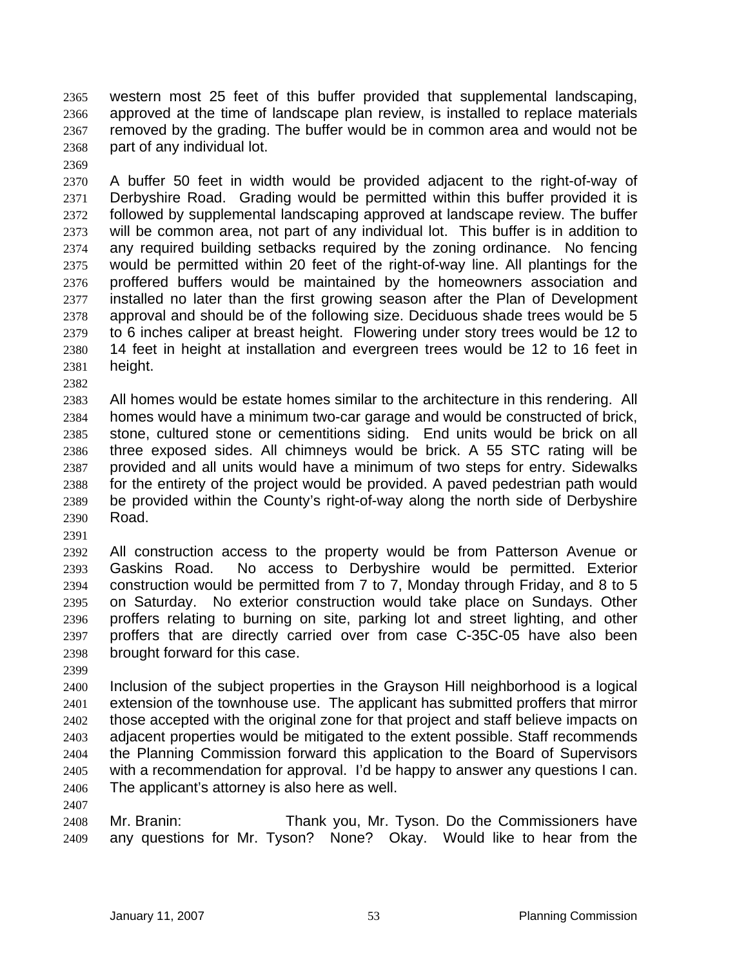western most 25 feet of this buffer provided that supplemental landscaping, approved at the time of landscape plan review, is installed to replace materials removed by the grading. The buffer would be in common area and would not be part of any individual lot. 2365 2366 2367 2368

2369

2370 2371 2372 2373 2374 2375 2376 2377 2378 2379 2380 2381 A buffer 50 feet in width would be provided adjacent to the right-of-way of Derbyshire Road. Grading would be permitted within this buffer provided it is followed by supplemental landscaping approved at landscape review. The buffer will be common area, not part of any individual lot. This buffer is in addition to any required building setbacks required by the zoning ordinance. No fencing would be permitted within 20 feet of the right-of-way line. All plantings for the proffered buffers would be maintained by the homeowners association and installed no later than the first growing season after the Plan of Development approval and should be of the following size. Deciduous shade trees would be 5 to 6 inches caliper at breast height. Flowering under story trees would be 12 to 14 feet in height at installation and evergreen trees would be 12 to 16 feet in height.

2382

2383 2384 2385 2386 2387 2388 2389 2390 All homes would be estate homes similar to the architecture in this rendering. All homes would have a minimum two-car garage and would be constructed of brick, stone, cultured stone or cementitions siding. End units would be brick on all three exposed sides. All chimneys would be brick. A 55 STC rating will be provided and all units would have a minimum of two steps for entry. Sidewalks for the entirety of the project would be provided. A paved pedestrian path would be provided within the County's right-of-way along the north side of Derbyshire Road.

2391

2392 2393 2394 2395 2396 2397 2398 All construction access to the property would be from Patterson Avenue or Gaskins Road. No access to Derbyshire would be permitted. Exterior construction would be permitted from 7 to 7, Monday through Friday, and 8 to 5 on Saturday. No exterior construction would take place on Sundays. Other proffers relating to burning on site, parking lot and street lighting, and other proffers that are directly carried over from case C-35C-05 have also been brought forward for this case.

2399

2400 2401 2402 2403 2404 2405 2406 Inclusion of the subject properties in the Grayson Hill neighborhood is a logical extension of the townhouse use. The applicant has submitted proffers that mirror those accepted with the original zone for that project and staff believe impacts on adjacent properties would be mitigated to the extent possible. Staff recommends the Planning Commission forward this application to the Board of Supervisors with a recommendation for approval. I'd be happy to answer any questions I can. The applicant's attorney is also here as well.

2407

2408 2409 Mr. Branin: Thank you, Mr. Tyson. Do the Commissioners have any questions for Mr. Tyson? None? Okay. Would like to hear from the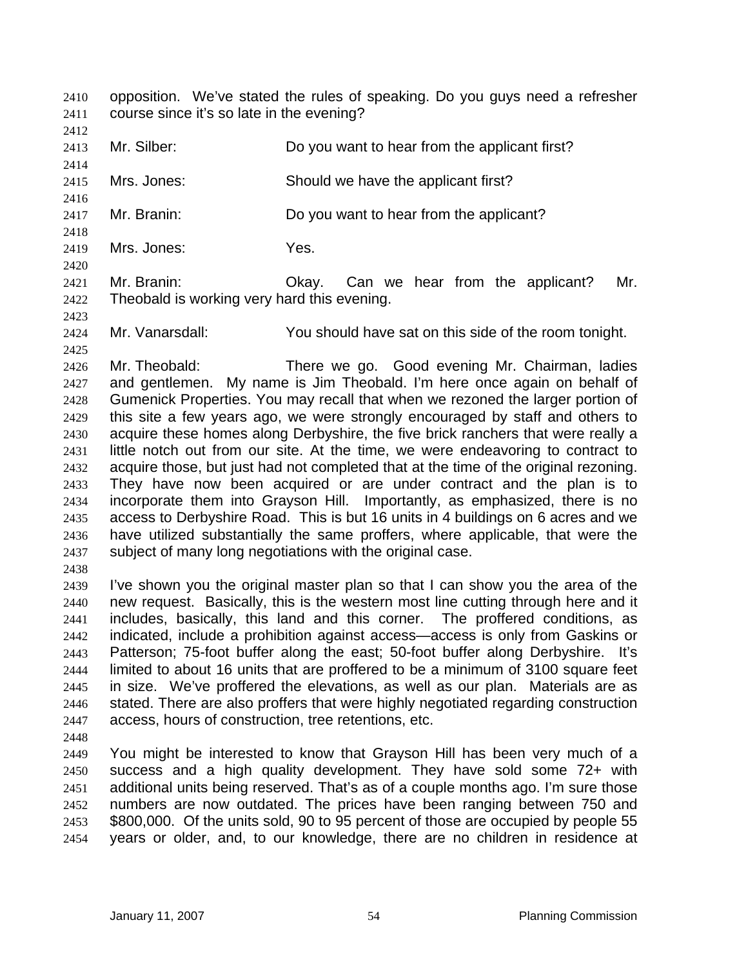opposition. We've stated the rules of speaking. Do you guys need a refresher course since it's so late in the evening? 2410 2411

2412

2416

2418

2420

2413 2414 Mr. Silber: Do you want to hear from the applicant first?

2415 Mrs. Jones: Should we have the applicant first?

2417 Mr. Branin: Do you want to hear from the applicant?

2419 Mrs. Jones: Yes.

2421 2422 Mr. Branin: Okay. Can we hear from the applicant? Mr. Theobald is working very hard this evening.

2423 2424 2425

Mr. Vanarsdall: You should have sat on this side of the room tonight.

2426 2427 2428 2429 2430 2431 2432 2433 2434 2435 2436 2437 Mr. Theobald: There we go. Good evening Mr. Chairman, ladies and gentlemen. My name is Jim Theobald. I'm here once again on behalf of Gumenick Properties. You may recall that when we rezoned the larger portion of this site a few years ago, we were strongly encouraged by staff and others to acquire these homes along Derbyshire, the five brick ranchers that were really a little notch out from our site. At the time, we were endeavoring to contract to acquire those, but just had not completed that at the time of the original rezoning. They have now been acquired or are under contract and the plan is to incorporate them into Grayson Hill. Importantly, as emphasized, there is no access to Derbyshire Road. This is but 16 units in 4 buildings on 6 acres and we have utilized substantially the same proffers, where applicable, that were the subject of many long negotiations with the original case.

2438

2439 2440 2441 2442 2443 2444 2445 2446 2447 I've shown you the original master plan so that I can show you the area of the new request. Basically, this is the western most line cutting through here and it includes, basically, this land and this corner. The proffered conditions, as indicated, include a prohibition against access—access is only from Gaskins or Patterson; 75-foot buffer along the east; 50-foot buffer along Derbyshire. It's limited to about 16 units that are proffered to be a minimum of 3100 square feet in size. We've proffered the elevations, as well as our plan. Materials are as stated. There are also proffers that were highly negotiated regarding construction access, hours of construction, tree retentions, etc.

2448

2449 2450 2451 2452 2453 2454 You might be interested to know that Grayson Hill has been very much of a success and a high quality development. They have sold some 72+ with additional units being reserved. That's as of a couple months ago. I'm sure those numbers are now outdated. The prices have been ranging between 750 and \$800,000. Of the units sold, 90 to 95 percent of those are occupied by people 55 years or older, and, to our knowledge, there are no children in residence at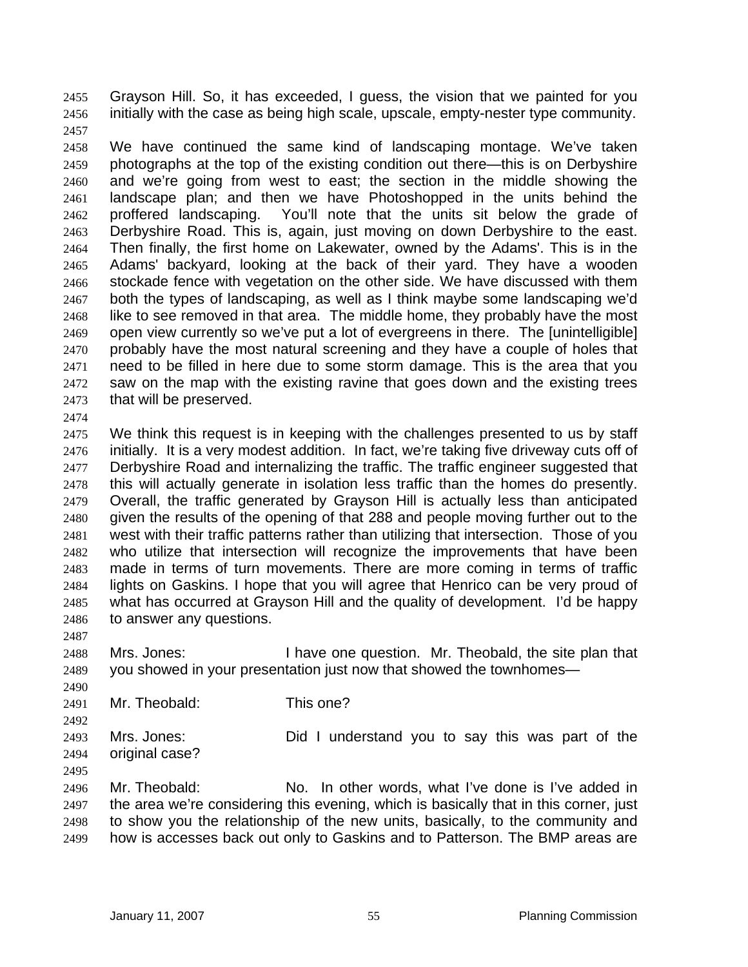Grayson Hill. So, it has exceeded, I guess, the vision that we painted for you initially with the case as being high scale, upscale, empty-nester type community. 2455 2456 2457

- 2458 2459 2460 2461 2462 2463 2464 2465 2466 2467 2468 2469 2470 2471 2472 2473 We have continued the same kind of landscaping montage. We've taken photographs at the top of the existing condition out there—this is on Derbyshire and we're going from west to east; the section in the middle showing the landscape plan; and then we have Photoshopped in the units behind the proffered landscaping. You'll note that the units sit below the grade of Derbyshire Road. This is, again, just moving on down Derbyshire to the east. Then finally, the first home on Lakewater, owned by the Adams'. This is in the Adams' backyard, looking at the back of their yard. They have a wooden stockade fence with vegetation on the other side. We have discussed with them both the types of landscaping, as well as I think maybe some landscaping we'd like to see removed in that area. The middle home, they probably have the most open view currently so we've put a lot of evergreens in there. The [unintelligible] probably have the most natural screening and they have a couple of holes that need to be filled in here due to some storm damage. This is the area that you saw on the map with the existing ravine that goes down and the existing trees that will be preserved.
- 2474
- 2475 2476 2477 2478 2479 2480 2481 2482 2483 2484 2485 2486 We think this request is in keeping with the challenges presented to us by staff initially. It is a very modest addition. In fact, we're taking five driveway cuts off of Derbyshire Road and internalizing the traffic. The traffic engineer suggested that this will actually generate in isolation less traffic than the homes do presently. Overall, the traffic generated by Grayson Hill is actually less than anticipated given the results of the opening of that 288 and people moving further out to the west with their traffic patterns rather than utilizing that intersection. Those of you who utilize that intersection will recognize the improvements that have been made in terms of turn movements. There are more coming in terms of traffic lights on Gaskins. I hope that you will agree that Henrico can be very proud of what has occurred at Grayson Hill and the quality of development. I'd be happy to answer any questions.
- 2487

2490

2488 2489 Mrs. Jones: I have one question. Mr. Theobald, the site plan that you showed in your presentation just now that showed the townhomes—

2491 Mr. Theobald: This one?

2492 2493 2494 Mrs. Jones: Did I understand you to say this was part of the original case?

2495

2496 2497 2498 2499 Mr. Theobald: No. In other words, what I've done is I've added in the area we're considering this evening, which is basically that in this corner, just to show you the relationship of the new units, basically, to the community and how is accesses back out only to Gaskins and to Patterson. The BMP areas are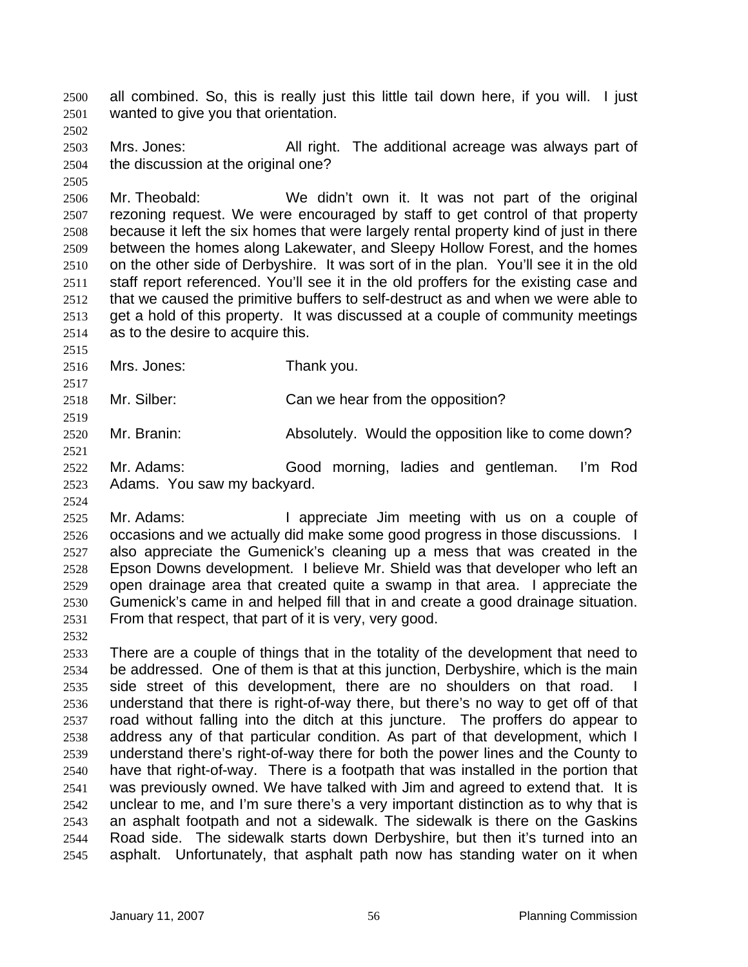all combined. So, this is really just this little tail down here, if you will. I just wanted to give you that orientation. 2500 2501

2502

2505

2515

2519

2521

2524

2503 2504 Mrs. Jones: All right. The additional acreage was always part of the discussion at the original one?

2506 2507 2508 2509 2510 2511 2512 2513 2514 Mr. Theobald: We didn't own it. It was not part of the original rezoning request. We were encouraged by staff to get control of that property because it left the six homes that were largely rental property kind of just in there between the homes along Lakewater, and Sleepy Hollow Forest, and the homes on the other side of Derbyshire. It was sort of in the plan. You'll see it in the old staff report referenced. You'll see it in the old proffers for the existing case and that we caused the primitive buffers to self-destruct as and when we were able to get a hold of this property. It was discussed at a couple of community meetings as to the desire to acquire this.

- 2516 Mrs. Jones: Thank you.
- 2517 2518 Mr. Silber: Can we hear from the opposition?
- 2520 Mr. Branin: Absolutely. Would the opposition like to come down?
- 2522 2523 Mr. Adams: Good morning, ladies and gentleman. I'm Rod Adams. You saw my backyard.
- 2525 2526 2527 2528 2529 2530 2531 Mr. Adams: The appreciate Jim meeting with us on a couple of occasions and we actually did make some good progress in those discussions. I also appreciate the Gumenick's cleaning up a mess that was created in the Epson Downs development. I believe Mr. Shield was that developer who left an open drainage area that created quite a swamp in that area. I appreciate the Gumenick's came in and helped fill that in and create a good drainage situation. From that respect, that part of it is very, very good.
- 2532

2533 2534 2535 2536 2537 2538 2539 2540 2541 2542 2543 2544 2545 There are a couple of things that in the totality of the development that need to be addressed. One of them is that at this junction, Derbyshire, which is the main side street of this development, there are no shoulders on that road. understand that there is right-of-way there, but there's no way to get off of that road without falling into the ditch at this juncture. The proffers do appear to address any of that particular condition. As part of that development, which I understand there's right-of-way there for both the power lines and the County to have that right-of-way. There is a footpath that was installed in the portion that was previously owned. We have talked with Jim and agreed to extend that. It is unclear to me, and I'm sure there's a very important distinction as to why that is an asphalt footpath and not a sidewalk. The sidewalk is there on the Gaskins Road side. The sidewalk starts down Derbyshire, but then it's turned into an asphalt. Unfortunately, that asphalt path now has standing water on it when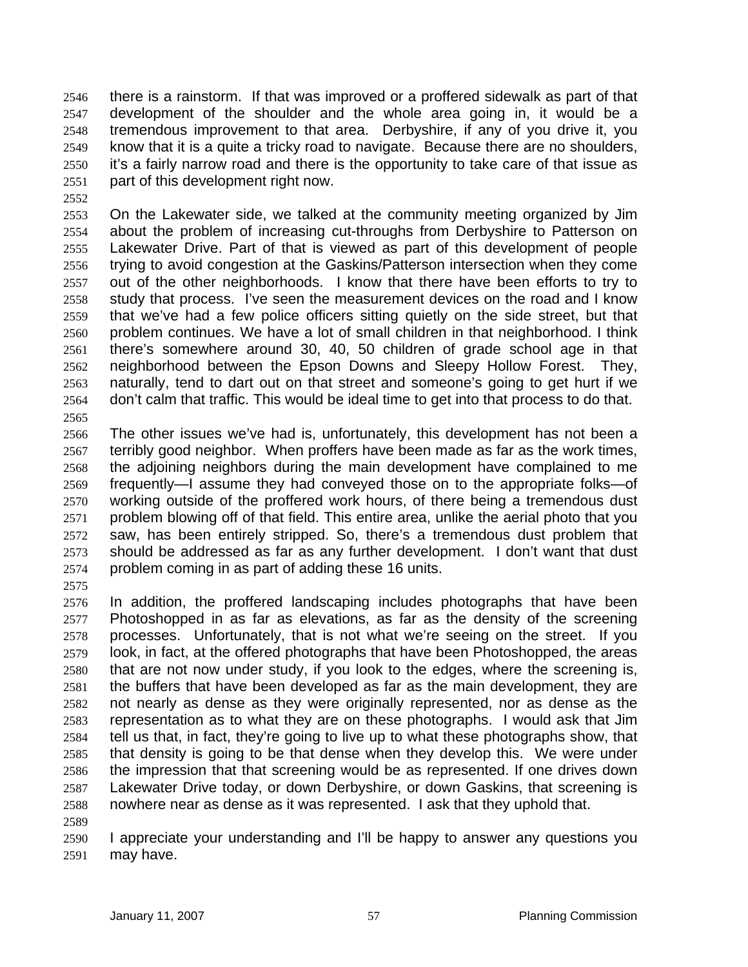there is a rainstorm. If that was improved or a proffered sidewalk as part of that development of the shoulder and the whole area going in, it would be a tremendous improvement to that area. Derbyshire, if any of you drive it, you know that it is a quite a tricky road to navigate. Because there are no shoulders, it's a fairly narrow road and there is the opportunity to take care of that issue as part of this development right now. 2546 2547 2548 2549 2550 2551

2552

2553 2554 2555 2556 2557 2558 2559 2560 2561 2562 2563 2564 2565 On the Lakewater side, we talked at the community meeting organized by Jim about the problem of increasing cut-throughs from Derbyshire to Patterson on Lakewater Drive. Part of that is viewed as part of this development of people trying to avoid congestion at the Gaskins/Patterson intersection when they come out of the other neighborhoods. I know that there have been efforts to try to study that process. I've seen the measurement devices on the road and I know that we've had a few police officers sitting quietly on the side street, but that problem continues. We have a lot of small children in that neighborhood. I think there's somewhere around 30, 40, 50 children of grade school age in that neighborhood between the Epson Downs and Sleepy Hollow Forest. They, naturally, tend to dart out on that street and someone's going to get hurt if we don't calm that traffic. This would be ideal time to get into that process to do that.

- 2566 2567 2568 2569 2570 2571 2572 2573 2574 The other issues we've had is, unfortunately, this development has not been a terribly good neighbor. When proffers have been made as far as the work times, the adjoining neighbors during the main development have complained to me frequently—I assume they had conveyed those on to the appropriate folks—of working outside of the proffered work hours, of there being a tremendous dust problem blowing off of that field. This entire area, unlike the aerial photo that you saw, has been entirely stripped. So, there's a tremendous dust problem that should be addressed as far as any further development. I don't want that dust problem coming in as part of adding these 16 units.
- 2575

2589

- 2576 2577 2578 2579 2580 2581 2582 2583 2584 2585 2586 2587 2588 In addition, the proffered landscaping includes photographs that have been Photoshopped in as far as elevations, as far as the density of the screening processes. Unfortunately, that is not what we're seeing on the street. If you look, in fact, at the offered photographs that have been Photoshopped, the areas that are not now under study, if you look to the edges, where the screening is, the buffers that have been developed as far as the main development, they are not nearly as dense as they were originally represented, nor as dense as the representation as to what they are on these photographs. I would ask that Jim tell us that, in fact, they're going to live up to what these photographs show, that that density is going to be that dense when they develop this. We were under the impression that that screening would be as represented. If one drives down Lakewater Drive today, or down Derbyshire, or down Gaskins, that screening is nowhere near as dense as it was represented. I ask that they uphold that.
- 2590 2591 I appreciate your understanding and I'll be happy to answer any questions you may have.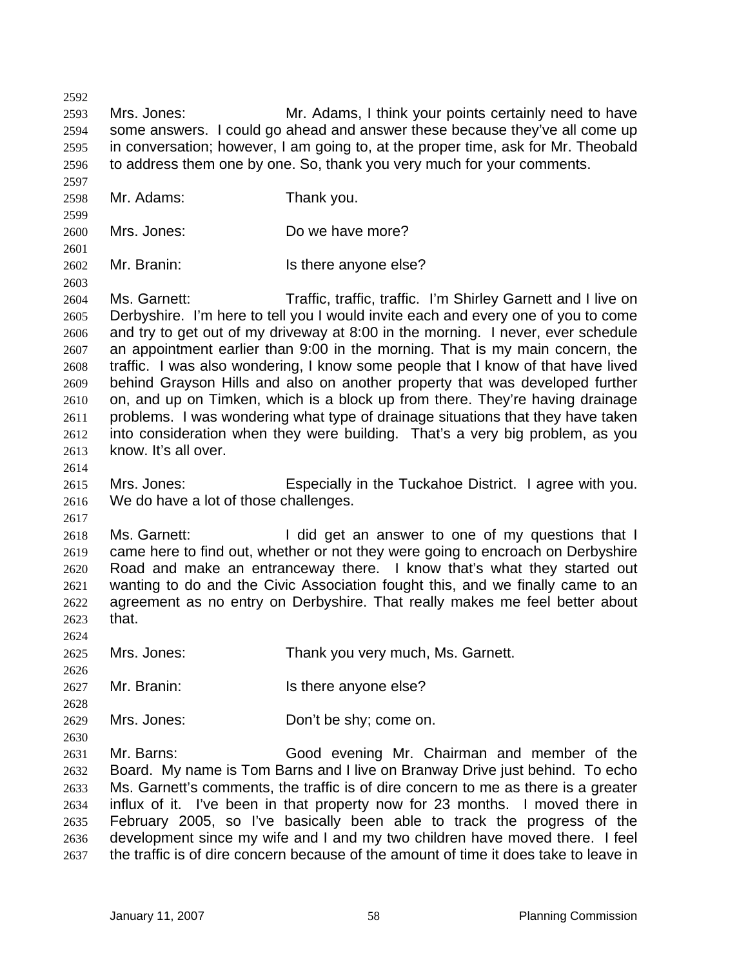2592 2593 2594 2595 2596 2597 2598 2599 2600 2601 2602 2603 2604 2605 2606 2607 2608 2609 2610 2611 2612 2613 2614 2615 2616 2617 2618 2619 2620 2621 2622 2623 2624 2625 2626 2627 2628 2629 2630 2631 2632 2633 2634 2635 2636 2637 Mrs. Jones: Mr. Adams, I think your points certainly need to have some answers. I could go ahead and answer these because they've all come up in conversation; however, I am going to, at the proper time, ask for Mr. Theobald to address them one by one. So, thank you very much for your comments. Mr. Adams: Thank you. Mrs. Jones: Do we have more? Mr. Branin: Is there anyone else? Ms. Garnett: Traffic, traffic, traffic. I'm Shirley Garnett and I live on Derbyshire. I'm here to tell you I would invite each and every one of you to come and try to get out of my driveway at 8:00 in the morning. I never, ever schedule an appointment earlier than 9:00 in the morning. That is my main concern, the traffic. I was also wondering, I know some people that I know of that have lived behind Grayson Hills and also on another property that was developed further on, and up on Timken, which is a block up from there. They're having drainage problems. I was wondering what type of drainage situations that they have taken into consideration when they were building. That's a very big problem, as you know. It's all over. Mrs. Jones: Especially in the Tuckahoe District. I agree with you. We do have a lot of those challenges. Ms. Garnett: **I** did get an answer to one of my questions that I came here to find out, whether or not they were going to encroach on Derbyshire Road and make an entranceway there. I know that's what they started out wanting to do and the Civic Association fought this, and we finally came to an agreement as no entry on Derbyshire. That really makes me feel better about that. Mrs. Jones: Thank you very much, Ms. Garnett. Mr. Branin: Is there anyone else? Mrs. Jones: Don't be shy; come on. Mr. Barns: Good evening Mr. Chairman and member of the Board. My name is Tom Barns and I live on Branway Drive just behind. To echo Ms. Garnett's comments, the traffic is of dire concern to me as there is a greater influx of it. I've been in that property now for 23 months. I moved there in February 2005, so I've basically been able to track the progress of the development since my wife and I and my two children have moved there. I feel the traffic is of dire concern because of the amount of time it does take to leave in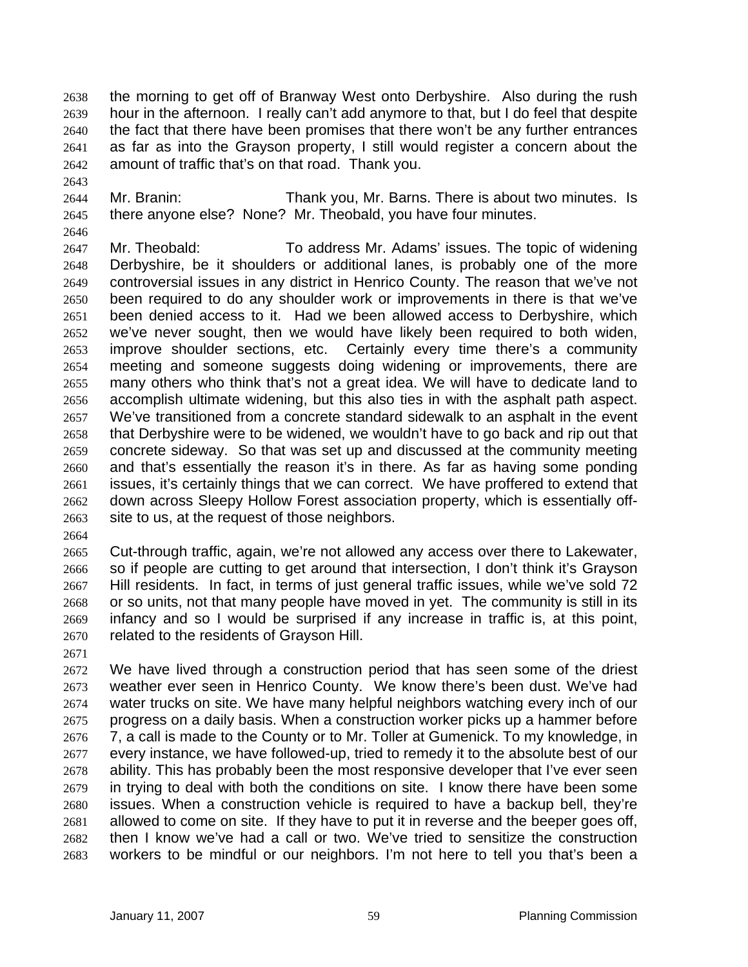the morning to get off of Branway West onto Derbyshire. Also during the rush hour in the afternoon. I really can't add anymore to that, but I do feel that despite the fact that there have been promises that there won't be any further entrances as far as into the Grayson property, I still would register a concern about the amount of traffic that's on that road. Thank you. 2638 2639 2640 2641 2642

- 2644 2645 Mr. Branin: Thank you, Mr. Barns. There is about two minutes. Is there anyone else? None? Mr. Theobald, you have four minutes.
- 2647 2648 2649 2650 2651 2652 2653 2654 2655 2656 2657 2658 2659 2660 2661 2662 2663 Mr. Theobald: To address Mr. Adams' issues. The topic of widening Derbyshire, be it shoulders or additional lanes, is probably one of the more controversial issues in any district in Henrico County. The reason that we've not been required to do any shoulder work or improvements in there is that we've been denied access to it. Had we been allowed access to Derbyshire, which we've never sought, then we would have likely been required to both widen, improve shoulder sections, etc. Certainly every time there's a community meeting and someone suggests doing widening or improvements, there are many others who think that's not a great idea. We will have to dedicate land to accomplish ultimate widening, but this also ties in with the asphalt path aspect. We've transitioned from a concrete standard sidewalk to an asphalt in the event that Derbyshire were to be widened, we wouldn't have to go back and rip out that concrete sideway. So that was set up and discussed at the community meeting and that's essentially the reason it's in there. As far as having some ponding issues, it's certainly things that we can correct. We have proffered to extend that down across Sleepy Hollow Forest association property, which is essentially offsite to us, at the request of those neighbors.
- 2664

2643

2646

2665 2666 2667 2668 2669 2670 Cut-through traffic, again, we're not allowed any access over there to Lakewater, so if people are cutting to get around that intersection, I don't think it's Grayson Hill residents. In fact, in terms of just general traffic issues, while we've sold 72 or so units, not that many people have moved in yet. The community is still in its infancy and so I would be surprised if any increase in traffic is, at this point, related to the residents of Grayson Hill.

2671

2672 2673 2674 2675 2676 2677 2678 2679 2680 2681 2682 2683 We have lived through a construction period that has seen some of the driest weather ever seen in Henrico County. We know there's been dust. We've had water trucks on site. We have many helpful neighbors watching every inch of our progress on a daily basis. When a construction worker picks up a hammer before 7, a call is made to the County or to Mr. Toller at Gumenick. To my knowledge, in every instance, we have followed-up, tried to remedy it to the absolute best of our ability. This has probably been the most responsive developer that I've ever seen in trying to deal with both the conditions on site. I know there have been some issues. When a construction vehicle is required to have a backup bell, they're allowed to come on site. If they have to put it in reverse and the beeper goes off, then I know we've had a call or two. We've tried to sensitize the construction workers to be mindful or our neighbors. I'm not here to tell you that's been a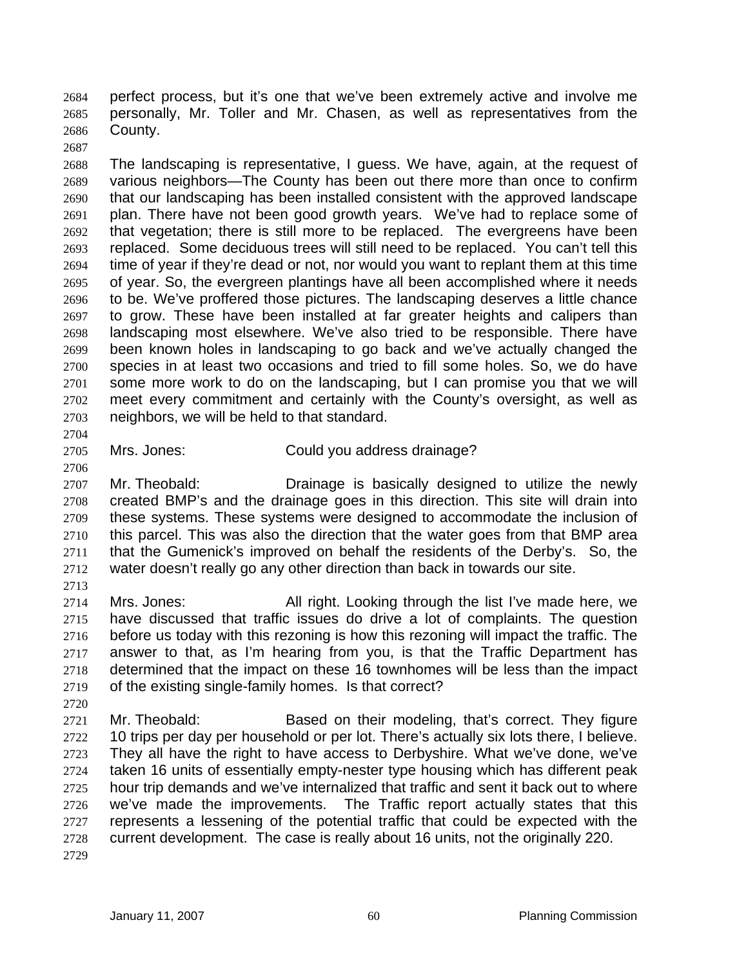perfect process, but it's one that we've been extremely active and involve me personally, Mr. Toller and Mr. Chasen, as well as representatives from the County. 2684 2685 2686

2688 2689 2690 2691 2692 2693 2694 2695 2696 2697 2698 2699 2700 2701 2702 2703 The landscaping is representative, I guess. We have, again, at the request of various neighbors—The County has been out there more than once to confirm that our landscaping has been installed consistent with the approved landscape plan. There have not been good growth years. We've had to replace some of that vegetation; there is still more to be replaced. The evergreens have been replaced. Some deciduous trees will still need to be replaced. You can't tell this time of year if they're dead or not, nor would you want to replant them at this time of year. So, the evergreen plantings have all been accomplished where it needs to be. We've proffered those pictures. The landscaping deserves a little chance to grow. These have been installed at far greater heights and calipers than landscaping most elsewhere. We've also tried to be responsible. There have been known holes in landscaping to go back and we've actually changed the species in at least two occasions and tried to fill some holes. So, we do have some more work to do on the landscaping, but I can promise you that we will meet every commitment and certainly with the County's oversight, as well as neighbors, we will be held to that standard.

2704

2706

2687

2705 Mrs. Jones: Could you address drainage?

2707 2708 2709 2710 2711 2712 2713 Mr. Theobald: Drainage is basically designed to utilize the newly created BMP's and the drainage goes in this direction. This site will drain into these systems. These systems were designed to accommodate the inclusion of this parcel. This was also the direction that the water goes from that BMP area that the Gumenick's improved on behalf the residents of the Derby's. So, the water doesn't really go any other direction than back in towards our site.

2714 2715 2716 2717 2718 2719 Mrs. Jones: All right. Looking through the list I've made here, we have discussed that traffic issues do drive a lot of complaints. The question before us today with this rezoning is how this rezoning will impact the traffic. The answer to that, as I'm hearing from you, is that the Traffic Department has determined that the impact on these 16 townhomes will be less than the impact of the existing single-family homes. Is that correct?

2721 2722 2723 2724 2725 2726 2727 2728 Mr. Theobald: Based on their modeling, that's correct. They figure 10 trips per day per household or per lot. There's actually six lots there, I believe. They all have the right to have access to Derbyshire. What we've done, we've taken 16 units of essentially empty-nester type housing which has different peak hour trip demands and we've internalized that traffic and sent it back out to where we've made the improvements. The Traffic report actually states that this represents a lessening of the potential traffic that could be expected with the current development. The case is really about 16 units, not the originally 220.

2729

2720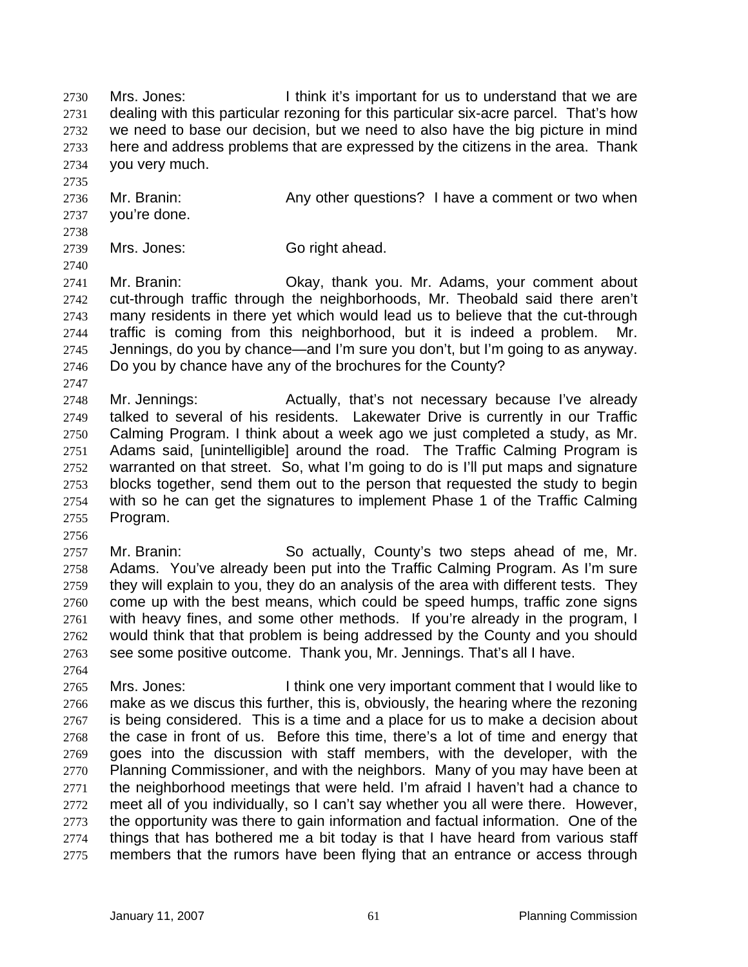Mrs. Jones: I think it's important for us to understand that we are dealing with this particular rezoning for this particular six-acre parcel. That's how we need to base our decision, but we need to also have the big picture in mind here and address problems that are expressed by the citizens in the area. Thank you very much. 2730 2731 2732 2733 2734

- 2736 2737 2738 Mr. Branin: Any other questions? I have a comment or two when you're done.
- 2739 Mrs. Jones: Go right ahead.

2741 2742 2743 2744 2745 2746 2747 Mr. Branin: Okay, thank you. Mr. Adams, your comment about cut-through traffic through the neighborhoods, Mr. Theobald said there aren't many residents in there yet which would lead us to believe that the cut-through traffic is coming from this neighborhood, but it is indeed a problem. Mr. Jennings, do you by chance—and I'm sure you don't, but I'm going to as anyway. Do you by chance have any of the brochures for the County?

- 2748 2749 2750 2751 2752 2753 2754 2755 Mr. Jennings: Actually, that's not necessary because I've already talked to several of his residents. Lakewater Drive is currently in our Traffic Calming Program. I think about a week ago we just completed a study, as Mr. Adams said, [unintelligible] around the road. The Traffic Calming Program is warranted on that street. So, what I'm going to do is I'll put maps and signature blocks together, send them out to the person that requested the study to begin with so he can get the signatures to implement Phase 1 of the Traffic Calming Program.
- 2757 2758 2759 2760 2761 2762 2763 Mr. Branin: So actually, County's two steps ahead of me, Mr. Adams. You've already been put into the Traffic Calming Program. As I'm sure they will explain to you, they do an analysis of the area with different tests. They come up with the best means, which could be speed humps, traffic zone signs with heavy fines, and some other methods. If you're already in the program, I would think that that problem is being addressed by the County and you should see some positive outcome. Thank you, Mr. Jennings. That's all I have.
- 2764

2756

2735

2740

2765 2766 2767 2768 2769 2770 2771 2772 2773 2774 2775 Mrs. Jones: I think one very important comment that I would like to make as we discus this further, this is, obviously, the hearing where the rezoning is being considered. This is a time and a place for us to make a decision about the case in front of us. Before this time, there's a lot of time and energy that goes into the discussion with staff members, with the developer, with the Planning Commissioner, and with the neighbors. Many of you may have been at the neighborhood meetings that were held. I'm afraid I haven't had a chance to meet all of you individually, so I can't say whether you all were there. However, the opportunity was there to gain information and factual information. One of the things that has bothered me a bit today is that I have heard from various staff members that the rumors have been flying that an entrance or access through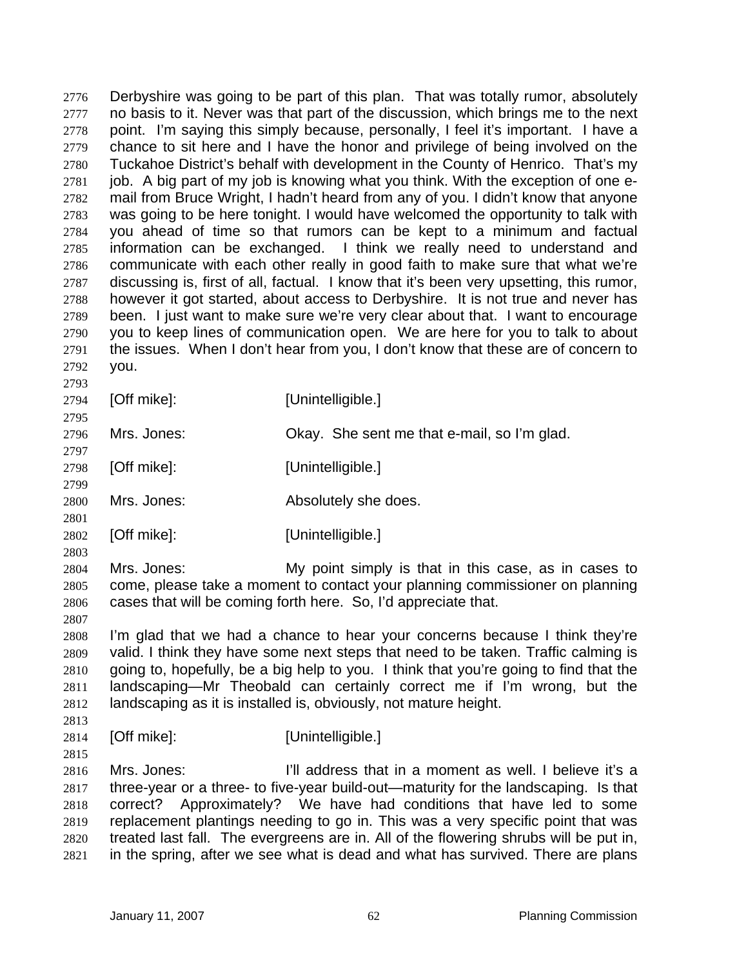Derbyshire was going to be part of this plan. That was totally rumor, absolutely no basis to it. Never was that part of the discussion, which brings me to the next point. I'm saying this simply because, personally, I feel it's important. I have a chance to sit here and I have the honor and privilege of being involved on the Tuckahoe District's behalf with development in the County of Henrico. That's my job. A big part of my job is knowing what you think. With the exception of one email from Bruce Wright, I hadn't heard from any of you. I didn't know that anyone was going to be here tonight. I would have welcomed the opportunity to talk with you ahead of time so that rumors can be kept to a minimum and factual information can be exchanged. I think we really need to understand and communicate with each other really in good faith to make sure that what we're discussing is, first of all, factual. I know that it's been very upsetting, this rumor, however it got started, about access to Derbyshire. It is not true and never has been. I just want to make sure we're very clear about that. I want to encourage you to keep lines of communication open. We are here for you to talk to about the issues. When I don't hear from you, I don't know that these are of concern to you. 2776 2777 2778 2779 2780 2781 2782 2783 2784 2785 2786 2787 2788 2789 2790 2791 2792 2793

2794 [Off mike]: [Unintelligible.]

2795

2797

2799

2801

2807

2796 Mrs. Jones: Okay. She sent me that e-mail, so I'm glad.

2798 [Off mike]: [Unintelligible.]

2800 Mrs. Jones:  $\qquad \qquad \text{Absolutely she does.}$ 

2802 [Off mike]: [Unintelligible.]

2803 2804 2805 2806 Mrs. Jones: My point simply is that in this case, as in cases to come, please take a moment to contact your planning commissioner on planning cases that will be coming forth here. So, I'd appreciate that.

2808 2809 2810 2811 2812 I'm glad that we had a chance to hear your concerns because I think they're valid. I think they have some next steps that need to be taken. Traffic calming is going to, hopefully, be a big help to you. I think that you're going to find that the landscaping—Mr Theobald can certainly correct me if I'm wrong, but the landscaping as it is installed is, obviously, not mature height.

2814 [Off mike]: [Unintelligible.]

2815

2813

2816 2817 2818 2819 2820 2821 Mrs. Jones: **I'll address that in a moment as well.** I believe it's a three-year or a three- to five-year build-out—maturity for the landscaping. Is that correct? Approximately? We have had conditions that have led to some replacement plantings needing to go in. This was a very specific point that was treated last fall. The evergreens are in. All of the flowering shrubs will be put in, in the spring, after we see what is dead and what has survived. There are plans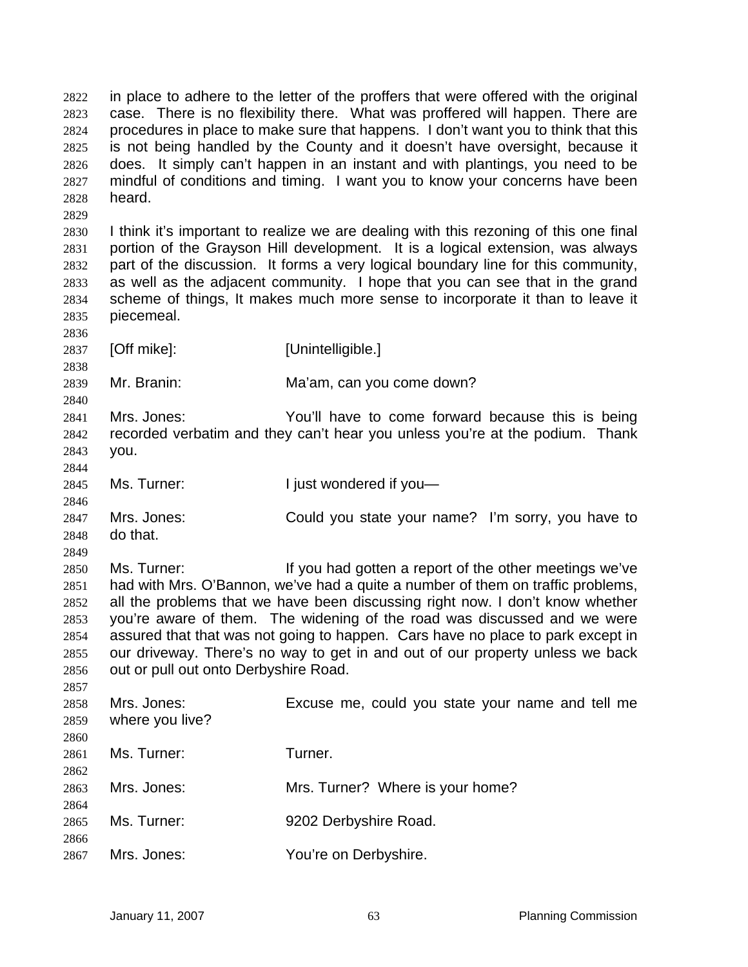in place to adhere to the letter of the proffers that were offered with the original case. There is no flexibility there. What was proffered will happen. There are procedures in place to make sure that happens. I don't want you to think that this is not being handled by the County and it doesn't have oversight, because it does. It simply can't happen in an instant and with plantings, you need to be mindful of conditions and timing. I want you to know your concerns have been heard. 2822 2823 2824 2825 2826 2827 2828 2829 2830 2831 2832 2833 2834 2835 2836 2837 2838 2839 2840 2841 2842 2843 2844 2845 2846 2847 2848 2849 2850 2851 2852 2853 2854 2855 2856 2857 2858 2859 2860 2861 2862 2863 2864 2865 2866 2867 I think it's important to realize we are dealing with this rezoning of this one final portion of the Grayson Hill development. It is a logical extension, was always part of the discussion. It forms a very logical boundary line for this community, as well as the adjacent community. I hope that you can see that in the grand scheme of things, It makes much more sense to incorporate it than to leave it piecemeal. [Off mike]: [Unintelligible.] Mr. Branin: Ma'am, can you come down? Mrs. Jones: You'll have to come forward because this is being recorded verbatim and they can't hear you unless you're at the podium. Thank you. Ms. Turner: I just wondered if you-Mrs. Jones: Could you state your name? I'm sorry, you have to do that. Ms. Turner: **If you had gotten a report of the other meetings we've** had with Mrs. O'Bannon, we've had a quite a number of them on traffic problems, all the problems that we have been discussing right now. I don't know whether you're aware of them. The widening of the road was discussed and we were assured that that was not going to happen. Cars have no place to park except in our driveway. There's no way to get in and out of our property unless we back out or pull out onto Derbyshire Road. Mrs. Jones: Excuse me, could you state your name and tell me where you live? Ms. Turner: Turner. Mrs. Jones: Mrs. Turner? Where is your home? Ms. Turner: 9202 Derbyshire Road. Mrs. Jones: You're on Derbyshire.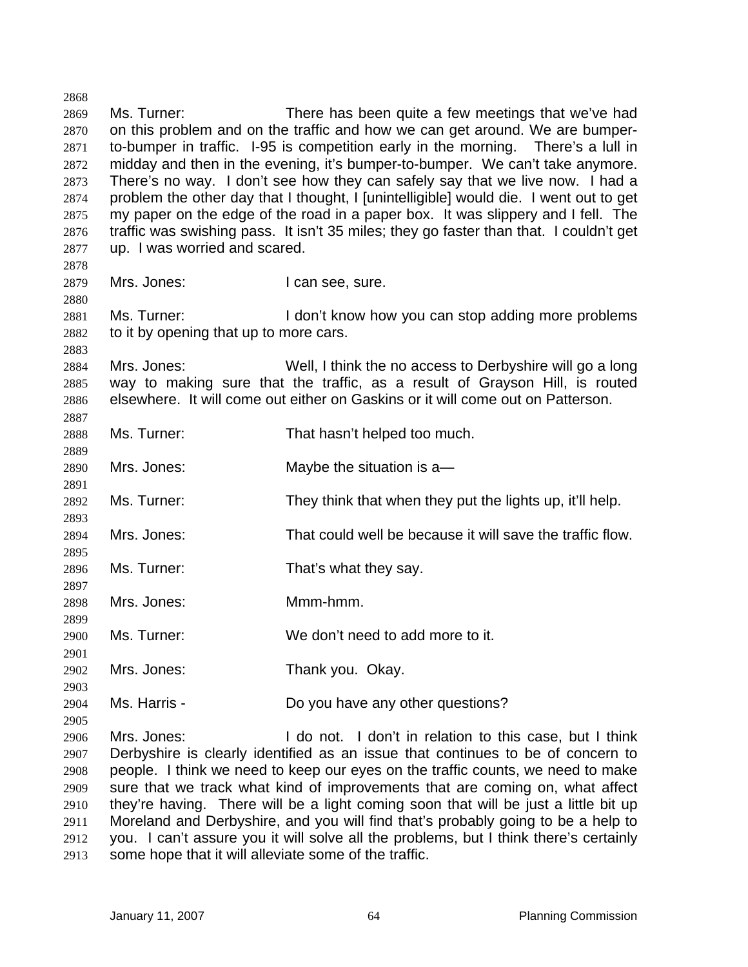2869 2870 2871 2872 2873 2874 2875 2876 2877 2878 2879 2880 2881 2882 2883 2884 2885 2886 2887 2888 2889 2890 2891 2892 2893 2894 2895 2896 2897 2898 2899 2900 2901 2902 2903 2904 2905 2906 2907 2908 2909 2910 2911 2912 Ms. Turner: There has been quite a few meetings that we've had on this problem and on the traffic and how we can get around. We are bumperto-bumper in traffic. I-95 is competition early in the morning. There's a lull in midday and then in the evening, it's bumper-to-bumper. We can't take anymore. There's no way. I don't see how they can safely say that we live now. I had a problem the other day that I thought, I [unintelligible] would die. I went out to get my paper on the edge of the road in a paper box. It was slippery and I fell. The traffic was swishing pass. It isn't 35 miles; they go faster than that. I couldn't get up. I was worried and scared. Mrs. Jones: I can see, sure. Ms. Turner: I don't know how you can stop adding more problems to it by opening that up to more cars. Mrs. Jones: Well, I think the no access to Derbyshire will go a long way to making sure that the traffic, as a result of Grayson Hill, is routed elsewhere. It will come out either on Gaskins or it will come out on Patterson. Ms. Turner: That hasn't helped too much. Mrs. Jones: Maybe the situation is a— Ms. Turner: They think that when they put the lights up, it'll help. Mrs. Jones: That could well be because it will save the traffic flow. Ms. Turner: That's what they say. Mrs. Jones: Mmm-hmm. Ms. Turner: We don't need to add more to it. Mrs. Jones: Thank you. Okay. Ms. Harris - The Motor Collection Do you have any other questions? Mrs. Jones: I do not. I don't in relation to this case, but I think Derbyshire is clearly identified as an issue that continues to be of concern to people. I think we need to keep our eyes on the traffic counts, we need to make sure that we track what kind of improvements that are coming on, what affect they're having. There will be a light coming soon that will be just a little bit up Moreland and Derbyshire, and you will find that's probably going to be a help to you. I can't assure you it will solve all the problems, but I think there's certainly

2913 some hope that it will alleviate some of the traffic.

2868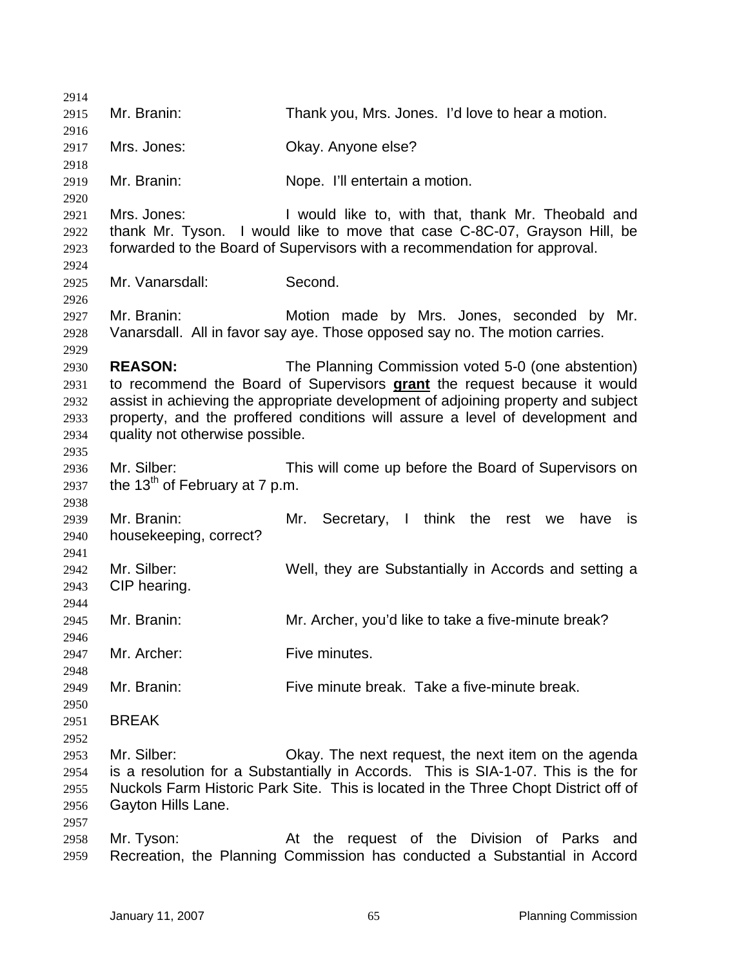| 2914                                         |                                                           |                                                                                                                                                                                                                                                                                                      |
|----------------------------------------------|-----------------------------------------------------------|------------------------------------------------------------------------------------------------------------------------------------------------------------------------------------------------------------------------------------------------------------------------------------------------------|
| 2915                                         | Mr. Branin:                                               | Thank you, Mrs. Jones. I'd love to hear a motion.                                                                                                                                                                                                                                                    |
| 2916<br>2917                                 | Mrs. Jones:                                               | Okay. Anyone else?                                                                                                                                                                                                                                                                                   |
| 2918                                         |                                                           |                                                                                                                                                                                                                                                                                                      |
| 2919<br>2920                                 | Mr. Branin:                                               | Nope. I'll entertain a motion.                                                                                                                                                                                                                                                                       |
| 2921<br>2922<br>2923                         | Mrs. Jones:                                               | I would like to, with that, thank Mr. Theobald and<br>thank Mr. Tyson. I would like to move that case C-8C-07, Grayson Hill, be<br>forwarded to the Board of Supervisors with a recommendation for approval.                                                                                         |
| 2924<br>2925<br>2926                         | Mr. Vanarsdall:                                           | Second.                                                                                                                                                                                                                                                                                              |
| 2927<br>2928                                 | Mr. Branin:                                               | Motion made by Mrs. Jones, seconded by Mr.<br>Vanarsdall. All in favor say aye. Those opposed say no. The motion carries.                                                                                                                                                                            |
| 2929<br>2930<br>2931<br>2932<br>2933<br>2934 | <b>REASON:</b><br>quality not otherwise possible.         | The Planning Commission voted 5-0 (one abstention)<br>to recommend the Board of Supervisors grant the request because it would<br>assist in achieving the appropriate development of adjoining property and subject<br>property, and the proffered conditions will assure a level of development and |
| 2935<br>2936<br>2937<br>2938                 | Mr. Silber:<br>the 13 <sup>th</sup> of February at 7 p.m. | This will come up before the Board of Supervisors on                                                                                                                                                                                                                                                 |
| 2939<br>2940                                 | Mr. Branin:<br>housekeeping, correct?                     | Secretary, I think the rest we<br>Mr.<br>have<br><b>is</b>                                                                                                                                                                                                                                           |
| 2941<br>2942<br>2943                         | Mr. Silber:<br>CIP hearing.                               | Well, they are Substantially in Accords and setting a                                                                                                                                                                                                                                                |
| 2944<br>2945<br>2946                         | Mr. Branin:                                               | Mr. Archer, you'd like to take a five-minute break?                                                                                                                                                                                                                                                  |
| 2947<br>2948                                 | Mr. Archer:                                               | Five minutes.                                                                                                                                                                                                                                                                                        |
| 2949<br>2950                                 | Mr. Branin:                                               | Five minute break. Take a five-minute break.                                                                                                                                                                                                                                                         |
| 2951<br>2952                                 | <b>BREAK</b>                                              |                                                                                                                                                                                                                                                                                                      |
| 2953<br>2954<br>2955<br>2956<br>2957         | Mr. Silber:<br>Gayton Hills Lane.                         | Okay. The next request, the next item on the agenda<br>is a resolution for a Substantially in Accords. This is SIA-1-07. This is the for<br>Nuckols Farm Historic Park Site. This is located in the Three Chopt District off of                                                                      |
| 2958<br>2959                                 | Mr. Tyson:                                                | At the request of the Division of Parks and<br>Recreation, the Planning Commission has conducted a Substantial in Accord                                                                                                                                                                             |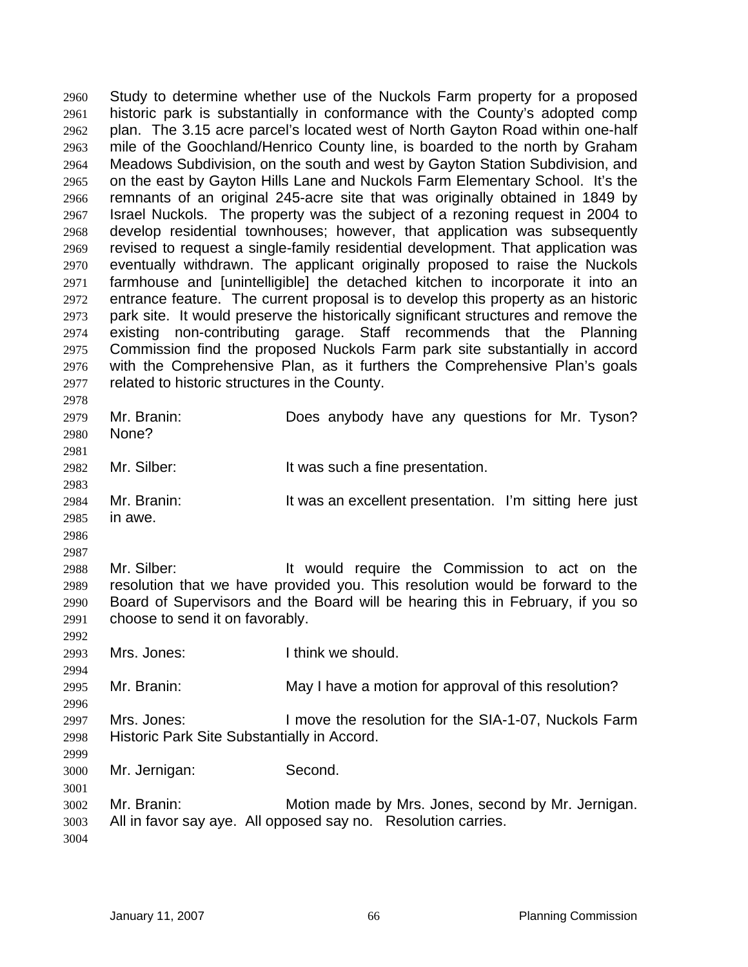Study to determine whether use of the Nuckols Farm property for a proposed historic park is substantially in conformance with the County's adopted comp plan. The 3.15 acre parcel's located west of North Gayton Road within one-half mile of the Goochland/Henrico County line, is boarded to the north by Graham Meadows Subdivision, on the south and west by Gayton Station Subdivision, and on the east by Gayton Hills Lane and Nuckols Farm Elementary School. It's the remnants of an original 245-acre site that was originally obtained in 1849 by Israel Nuckols. The property was the subject of a rezoning request in 2004 to develop residential townhouses; however, that application was subsequently revised to request a single-family residential development. That application was eventually withdrawn. The applicant originally proposed to raise the Nuckols farmhouse and [unintelligible] the detached kitchen to incorporate it into an entrance feature. The current proposal is to develop this property as an historic park site. It would preserve the historically significant structures and remove the existing non-contributing garage. Staff recommends that the Planning Commission find the proposed Nuckols Farm park site substantially in accord with the Comprehensive Plan, as it furthers the Comprehensive Plan's goals related to historic structures in the County. 2960 2961 2962 2963 2964 2965 2966 2967 2968 2969 2970 2971 2972 2973 2974 2975 2976 2977 2978

2979 2980 2981 2982 2983 2984 2985 2986 2987 2988 2989 2990 2991 2992 2993 2994 2995 2996 2997 2998 2999 3000 3001 Mr. Branin: Does anybody have any questions for Mr. Tyson? None? Mr. Silber: It was such a fine presentation. Mr. Branin: It was an excellent presentation. I'm sitting here just in awe. Mr. Silber: It would require the Commission to act on the resolution that we have provided you. This resolution would be forward to the Board of Supervisors and the Board will be hearing this in February, if you so choose to send it on favorably. Mrs. Jones: I think we should. Mr. Branin: May I have a motion for approval of this resolution? Mrs. Jones: I move the resolution for the SIA-1-07, Nuckols Farm Historic Park Site Substantially in Accord. Mr. Jernigan: Second.

3002 3003 3004 Mr. Branin: Motion made by Mrs. Jones, second by Mr. Jernigan. All in favor say aye. All opposed say no. Resolution carries.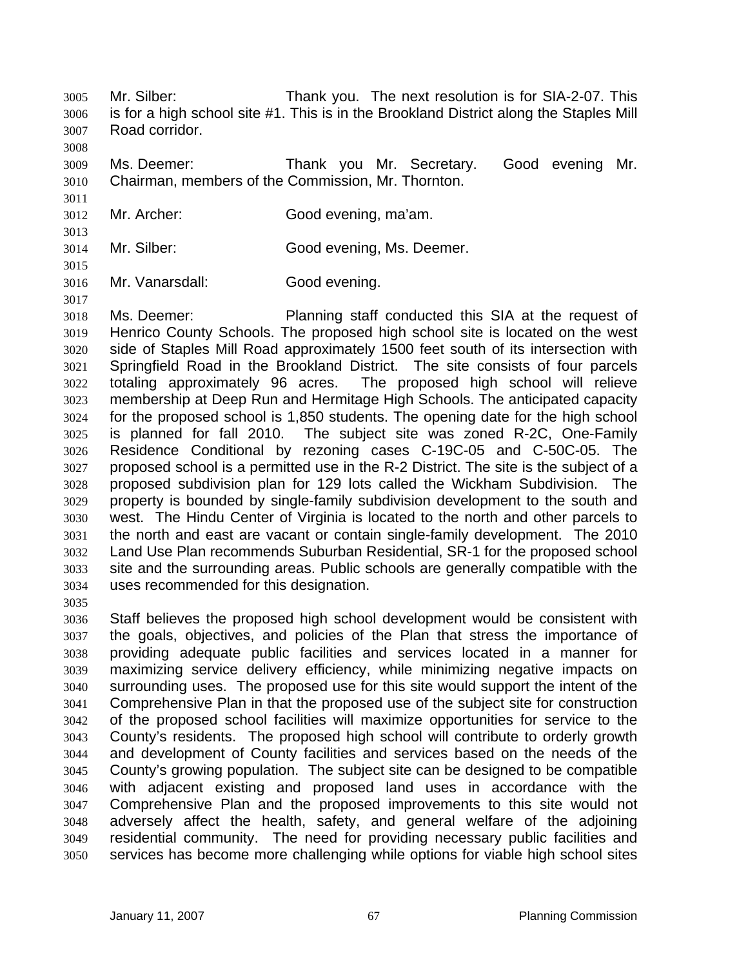Mr. Silber: Thank you. The next resolution is for SIA-2-07. This is for a high school site #1. This is in the Brookland District along the Staples Mill Road corridor. 3005 3006 3007

3009 3010 Ms. Deemer: Thank you Mr. Secretary. Good evening Mr. Chairman, members of the Commission, Mr. Thornton.

- 3012 Mr. Archer: Good evening, ma'am.
- 3014 Mr. Silber: Good evening, Ms. Deemer.
- 3015 3016

3017

3035

3008

3011

3013

Mr. Vanarsdall: Good evening.

3018 3019 3020 3021 3022 3023 3024 3025 3026 3027 3028 3029 3030 3031 3032 3033 3034 Ms. Deemer: Planning staff conducted this SIA at the request of Henrico County Schools. The proposed high school site is located on the west side of Staples Mill Road approximately 1500 feet south of its intersection with Springfield Road in the Brookland District. The site consists of four parcels totaling approximately 96 acres. The proposed high school will relieve membership at Deep Run and Hermitage High Schools. The anticipated capacity for the proposed school is 1,850 students. The opening date for the high school is planned for fall 2010. The subject site was zoned R-2C, One-Family Residence Conditional by rezoning cases C-19C-05 and C-50C-05. The proposed school is a permitted use in the R-2 District. The site is the subject of a proposed subdivision plan for 129 lots called the Wickham Subdivision. The property is bounded by single-family subdivision development to the south and west. The Hindu Center of Virginia is located to the north and other parcels to the north and east are vacant or contain single-family development. The 2010 Land Use Plan recommends Suburban Residential, SR-1 for the proposed school site and the surrounding areas. Public schools are generally compatible with the uses recommended for this designation.

3036 3037 3038 3039 3040 3041 3042 3043 3044 3045 3046 3047 3048 3049 3050 Staff believes the proposed high school development would be consistent with the goals, objectives, and policies of the Plan that stress the importance of providing adequate public facilities and services located in a manner for maximizing service delivery efficiency, while minimizing negative impacts on surrounding uses. The proposed use for this site would support the intent of the Comprehensive Plan in that the proposed use of the subject site for construction of the proposed school facilities will maximize opportunities for service to the County's residents. The proposed high school will contribute to orderly growth and development of County facilities and services based on the needs of the County's growing population. The subject site can be designed to be compatible with adjacent existing and proposed land uses in accordance with the Comprehensive Plan and the proposed improvements to this site would not adversely affect the health, safety, and general welfare of the adjoining residential community. The need for providing necessary public facilities and services has become more challenging while options for viable high school sites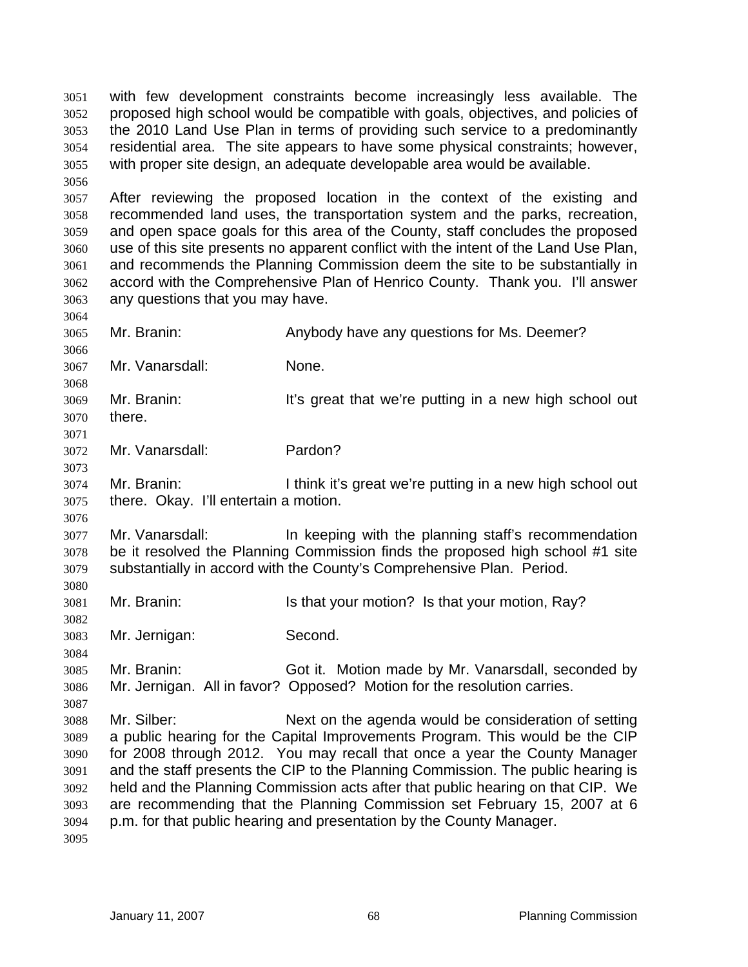with few development constraints become increasingly less available. The proposed high school would be compatible with goals, objectives, and policies of the 2010 Land Use Plan in terms of providing such service to a predominantly residential area. The site appears to have some physical constraints; however, with proper site design, an adequate developable area would be available. 3051 3052 3053 3054 3055 3056

3057 3058 3059 3060 3061 3062 3063 After reviewing the proposed location in the context of the existing and recommended land uses, the transportation system and the parks, recreation, and open space goals for this area of the County, staff concludes the proposed use of this site presents no apparent conflict with the intent of the Land Use Plan, and recommends the Planning Commission deem the site to be substantially in accord with the Comprehensive Plan of Henrico County. Thank you. I'll answer any questions that you may have.

3064 3065 3066

3073

3076

3080

3082

3084

3087

Mr. Branin: Anybody have any questions for Ms. Deemer?

3067 Mr. Vanarsdall: None.

3068 3069 3070 3071 Mr. Branin: It's great that we're putting in a new high school out there.

3072 Mr. Vanarsdall: Pardon?

3074 3075 Mr. Branin: I think it's great we're putting in a new high school out there. Okay. I'll entertain a motion.

3077 3078 3079 Mr. Vanarsdall: In keeping with the planning staff's recommendation be it resolved the Planning Commission finds the proposed high school #1 site substantially in accord with the County's Comprehensive Plan. Period.

3081 Mr. Branin: Is that your motion? Is that your motion, Ray?

3083 Mr. Jernigan: Second.

3085 3086 Mr. Branin: Got it. Motion made by Mr. Vanarsdall, seconded by Mr. Jernigan. All in favor? Opposed? Motion for the resolution carries.

3088 3089 3090 3091 3092 3093 3094 Mr. Silber: Next on the agenda would be consideration of setting a public hearing for the Capital Improvements Program. This would be the CIP for 2008 through 2012. You may recall that once a year the County Manager and the staff presents the CIP to the Planning Commission. The public hearing is held and the Planning Commission acts after that public hearing on that CIP. We are recommending that the Planning Commission set February 15, 2007 at 6 p.m. for that public hearing and presentation by the County Manager.

3095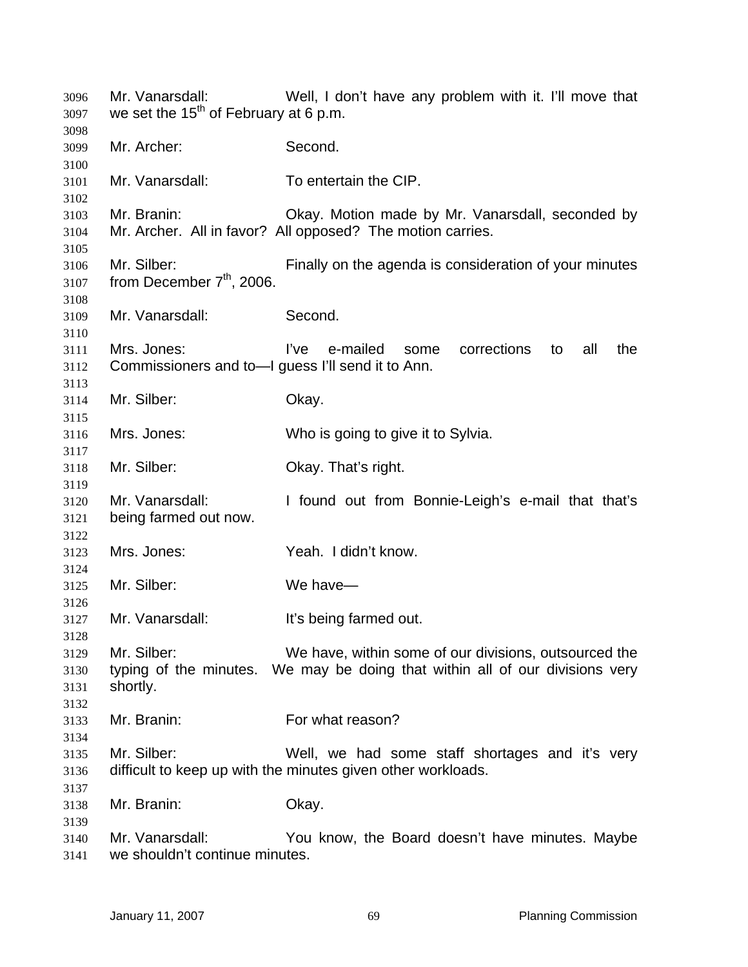Mr. Vanarsdall: Well, I don't have any problem with it. I'll move that we set the 15<sup>th</sup> of February at 6 p.m. Mr. Archer: Second. Mr. Vanarsdall: To entertain the CIP. Mr. Branin: Okay. Motion made by Mr. Vanarsdall, seconded by Mr. Archer. All in favor? All opposed? The motion carries. Mr. Silber: Finally on the agenda is consideration of your minutes from December  $7<sup>th</sup>$ , 2006. Mr. Vanarsdall: Second. Mrs. Jones: I've e-mailed some corrections to all the Commissioners and to—I guess I'll send it to Ann. Mr. Silber: Okay. Mrs. Jones: Who is going to give it to Sylvia. Mr. Silber: Okay. That's right. Mr. Vanarsdall: I found out from Bonnie-Leigh's e-mail that that's being farmed out now. Mrs. Jones: Yeah. I didn't know. Mr. Silber: We have— Mr. Vanarsdall: It's being farmed out. Mr. Silber: We have, within some of our divisions, outsourced the typing of the minutes. We may be doing that within all of our divisions very shortly. Mr. Branin: For what reason? Mr. Silber: Well, we had some staff shortages and it's very difficult to keep up with the minutes given other workloads. Mr. Branin: Okay. Mr. Vanarsdall: You know, the Board doesn't have minutes. Maybe we shouldn't continue minutes.